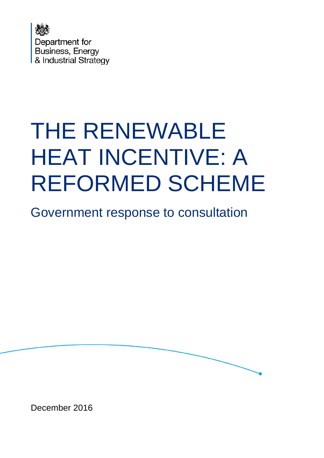

# THE RENEWABLE HEAT INCENTIVE: A REFORMED SCHEME

Government response to consultation



December 2016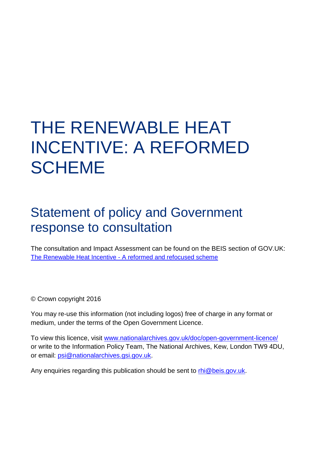## THE RENEWABLE HEAT INCENTIVE: A REFORMED **SCHEME**

## Statement of policy and Government response to consultation

The consultation and Impact Assessment can be found on the BEIS section of GOV.UK: The Renewable Heat Incentive - [A reformed and refocused scheme](https://www.gov.uk/government/uploads/system/uploads/attachment_data/file/505972/The_Renewable_Heat_Incentive_-_A_reformed_and_refocussed_scheme.pdf)

© Crown copyright 2016

You may re-use this information (not including logos) free of charge in any format or medium, under the terms of the Open Government Licence.

To view this licence, visit [www.nationalarchives.gov.uk/doc/open-government-licence/](http://www.nationalarchives.gov.uk/doc/open-government-licence/) or write to the Information Policy Team, The National Archives, Kew, London TW9 4DU, or email: [psi@nationalarchives.gsi.gov.uk.](mailto:psi@nationalarchives.gsi.gov.uk)

Any enquiries regarding this publication should be sent to [rhi@beis.gov.uk.](mailto:rhi@beis.gov.uk)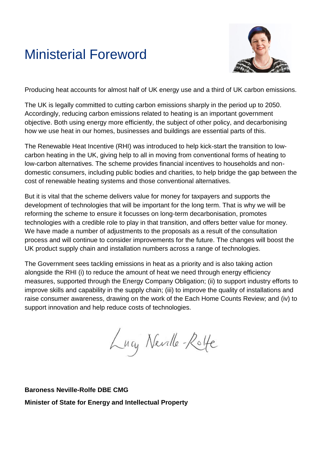## <span id="page-2-0"></span>Ministerial Foreword



Producing heat accounts for almost half of UK energy use and a third of UK carbon emissions.

The UK is legally committed to cutting carbon emissions sharply in the period up to 2050. Accordingly, reducing carbon emissions related to heating is an important government objective. Both using energy more efficiently, the subject of other policy, and decarbonising how we use heat in our homes, businesses and buildings are essential parts of this.

The Renewable Heat Incentive (RHI) was introduced to help kick-start the transition to lowcarbon heating in the UK, giving help to all in moving from conventional forms of heating to low-carbon alternatives. The scheme provides financial incentives to households and nondomestic consumers, including public bodies and charities, to help bridge the gap between the cost of renewable heating systems and those conventional alternatives.

But it is vital that the scheme delivers value for money for taxpayers and supports the development of technologies that will be important for the long term. That is why we will be reforming the scheme to ensure it focusses on long-term decarbonisation, promotes technologies with a credible role to play in that transition, and offers better value for money. We have made a number of adjustments to the proposals as a result of the consultation process and will continue to consider improvements for the future. The changes will boost the UK product supply chain and installation numbers across a range of technologies.

The Government sees tackling emissions in heat as a priority and is also taking action alongside the RHI (i) to reduce the amount of heat we need through energy efficiency measures, supported through the Energy Company Obligation; (ii) to support industry efforts to improve skills and capability in the supply chain; (iii) to improve the quality of installations and raise consumer awareness, drawing on the work of the Each Home Counts Review; and (iv) to support innovation and help reduce costs of technologies.

Lucy Neville-Refe

**Baroness Neville-Rolfe DBE CMG Minister of State for Energy and Intellectual Property**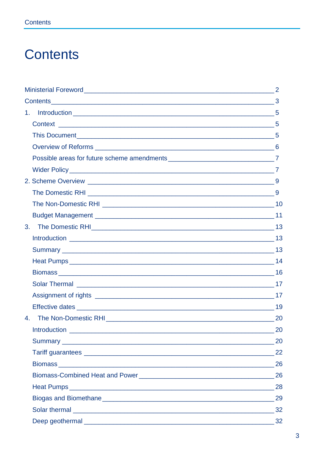## <span id="page-3-0"></span>**Contents**

| 3.           |                 |
|--------------|-----------------|
|              |                 |
|              |                 |
|              |                 |
|              |                 |
|              |                 |
|              |                 |
|              |                 |
| $4_{-}$      | 20              |
| Introduction | $\overline{20}$ |
|              | 20              |
|              | 22              |
|              | 26              |
|              |                 |
|              | 28              |
|              | 29              |
|              | 32              |
|              | 32              |
|              |                 |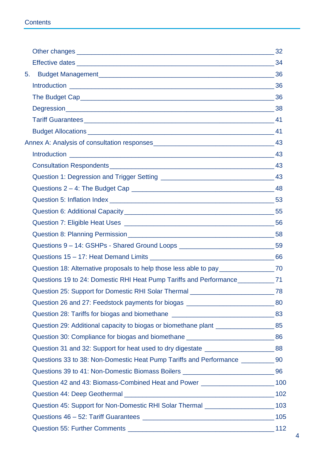| Effective dates 34                                                                         |  |
|--------------------------------------------------------------------------------------------|--|
| 5.                                                                                         |  |
|                                                                                            |  |
|                                                                                            |  |
|                                                                                            |  |
|                                                                                            |  |
|                                                                                            |  |
|                                                                                            |  |
|                                                                                            |  |
|                                                                                            |  |
|                                                                                            |  |
|                                                                                            |  |
|                                                                                            |  |
|                                                                                            |  |
|                                                                                            |  |
|                                                                                            |  |
| Questions 9 - 14: GSHPs - Shared Ground Loops ________________________________59           |  |
|                                                                                            |  |
| Question 18: Alternative proposals to help those less able to pay ______________________70 |  |
| Questions 19 to 24: Domestic RHI Heat Pump Tariffs and Performance ____________71          |  |
| Question 25: Support for Domestic RHI Solar Thermal __________________________78           |  |
| Question 26 and 27: Feedstock payments for biogas ______________________________80         |  |
| Question 28: Tariffs for biogas and biomethane __________________________________83        |  |
| Question 29: Additional capacity to biogas or biomethane plant _________________85         |  |
| Question 30: Compliance for biogas and biomethane ______________________________86         |  |
| Question 31 and 32: Support for heat used to dry digestate _____________________88         |  |
| Questions 33 to 38: Non-Domestic Heat Pump Tariffs and Performance ___________90           |  |
|                                                                                            |  |
| Question 42 and 43: Biomass-Combined Heat and Power ___________________________100         |  |
|                                                                                            |  |
| Question 45: Support for Non-Domestic RHI Solar Thermal ________________________ 103       |  |
|                                                                                            |  |
|                                                                                            |  |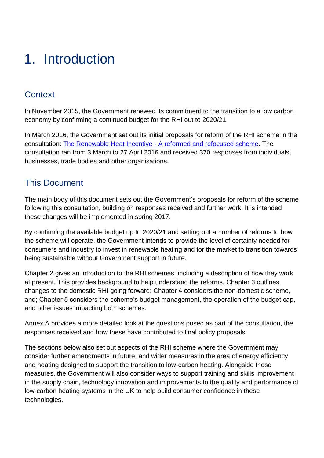## <span id="page-5-0"></span>1. Introduction

## <span id="page-5-1"></span>**Context**

In November 2015, the Government renewed its commitment to the transition to a low carbon economy by confirming a continued budget for the RHI out to 2020/21.

In March 2016, the Government set out its initial proposals for reform of the RHI scheme in the consultation: The Renewable Heat Incentive - [A reformed and refocused scheme.](https://www.gov.uk/government/uploads/system/uploads/attachment_data/file/505972/The_Renewable_Heat_Incentive_-_A_reformed_and_refocussed_scheme.pdf) The consultation ran from 3 March to 27 April 2016 and received 370 responses from individuals, businesses, trade bodies and other organisations.

## <span id="page-5-2"></span>This Document

The main body of this document sets out the Government's proposals for reform of the scheme following this consultation, building on responses received and further work. It is intended these changes will be implemented in spring 2017.

By confirming the available budget up to 2020/21 and setting out a number of reforms to how the scheme will operate, the Government intends to provide the level of certainty needed for consumers and industry to invest in renewable heating and for the market to transition towards being sustainable without Government support in future.

Chapter 2 gives an introduction to the RHI schemes, including a description of how they work at present. This provides background to help understand the reforms. Chapter 3 outlines changes to the domestic RHI going forward; Chapter 4 considers the non-domestic scheme, and; Chapter 5 considers the scheme's budget management, the operation of the budget cap, and other issues impacting both schemes.

Annex A provides a more detailed look at the questions posed as part of the consultation, the responses received and how these have contributed to final policy proposals.

The sections below also set out aspects of the RHI scheme where the Government may consider further amendments in future, and wider measures in the area of energy efficiency and heating designed to support the transition to low-carbon heating. Alongside these measures, the Government will also consider ways to support training and skills improvement in the supply chain, technology innovation and improvements to the quality and performance of low-carbon heating systems in the UK to help build consumer confidence in these technologies.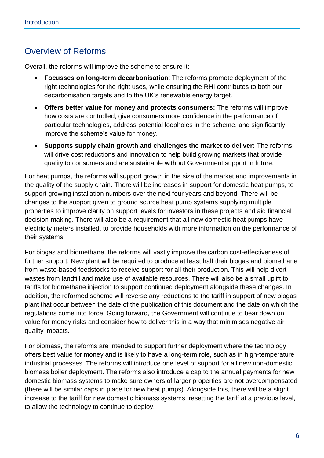## <span id="page-6-0"></span>Overview of Reforms

Overall, the reforms will improve the scheme to ensure it:

- **Focusses on long-term decarbonisation**: The reforms promote deployment of the right technologies for the right uses, while ensuring the RHI contributes to both our decarbonisation targets and to the UK's renewable energy target.
- **Offers better value for money and protects consumers:** The reforms will improve how costs are controlled, give consumers more confidence in the performance of particular technologies, address potential loopholes in the scheme, and significantly improve the scheme's value for money.
- **Supports supply chain growth and challenges the market to deliver:** The reforms will drive cost reductions and innovation to help build growing markets that provide quality to consumers and are sustainable without Government support in future.

For heat pumps, the reforms will support growth in the size of the market and improvements in the quality of the supply chain. There will be increases in support for domestic heat pumps, to support growing installation numbers over the next four years and beyond. There will be changes to the support given to ground source heat pump systems supplying multiple properties to improve clarity on support levels for investors in these projects and aid financial decision-making. There will also be a requirement that all new domestic heat pumps have electricity meters installed, to provide households with more information on the performance of their systems.

For biogas and biomethane, the reforms will vastly improve the carbon cost-effectiveness of further support. New plant will be required to produce at least half their biogas and biomethane from waste-based feedstocks to receive support for all their production. This will help divert wastes from landfill and make use of available resources. There will also be a small uplift to tariffs for biomethane injection to support continued deployment alongside these changes. In addition, the reformed scheme will reverse any reductions to the tariff in support of new biogas plant that occur between the date of the publication of this document and the date on which the regulations come into force. Going forward, the Government will continue to bear down on value for money risks and consider how to deliver this in a way that minimises negative air quality impacts.

For biomass, the reforms are intended to support further deployment where the technology offers best value for money and is likely to have a long-term role, such as in high-temperature industrial processes. The reforms will introduce one level of support for all new non-domestic biomass boiler deployment. The reforms also introduce a cap to the annual payments for new domestic biomass systems to make sure owners of larger properties are not overcompensated (there will be similar caps in place for new heat pumps). Alongside this, there will be a slight increase to the tariff for new domestic biomass systems, resetting the tariff at a previous level, to allow the technology to continue to deploy.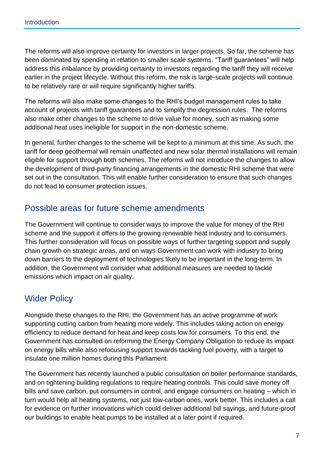The reforms will also improve certainty for investors in larger projects. So far, the scheme has been dominated by spending in relation to smaller scale systems. "Tariff guarantees" will help address this imbalance by providing certainty to investors regarding the tariff they will receive earlier in the project lifecycle. Without this reform, the risk is large-scale projects will continue to be relatively rare or will require significantly higher tariffs.

The reforms will also make some changes to the RHI's budget management rules to take account of projects with tariff guarantees and to simplify the degression rules. The reforms also make other changes to the scheme to drive value for money, such as making some additional heat uses ineligible for support in the non-domestic scheme.

In general, further changes to the scheme will be kept to a minimum at this time. As such, the tariff for deep geothermal will remain unaffected and new solar thermal installations will remain eligible for support through both schemes. The reforms will not introduce the changes to allow the development of third-party financing arrangements in the domestic RHI scheme that were set out in the consultation. This will enable further consideration to ensure that such changes do not lead to consumer protection issues.

## <span id="page-7-0"></span>Possible areas for future scheme amendments

The Government will continue to consider ways to improve the value for money of the RHI scheme and the support it offers to the growing renewable heat industry and to consumers. This further consideration will focus on possible ways of further targeting support and supply chain growth on strategic areas, and on ways Government can work with industry to bring down barriers to the deployment of technologies likely to be important in the long-term. In addition, the Government will consider what additional measures are needed to tackle emissions which impact on air quality.

## <span id="page-7-1"></span>Wider Policy

Alongside these changes to the RHI, the Government has an active programme of work supporting cutting carbon from heating more widely. This includes taking action on energy efficiency to reduce demand for heat and keep costs low for consumers. To this end, the Government has consulted on reforming the Energy Company Obligation to reduce its impact on energy bills while also refocusing support towards tackling fuel poverty, with a target to insulate one million homes during this Parliament.

The Government has recently launched a public consultation on boiler performance standards, and on tightening building regulations to require heating controls. This could save money off bills and save carbon, put consumers in control, and engage consumers on heating – which in turn would help all heating systems, not just low-carbon ones, work better. This includes a call for evidence on further innovations which could deliver additional bill savings, and future-proof our buildings to enable heat pumps to be installed at a later point if required.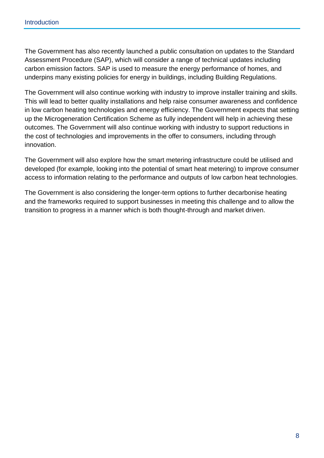The Government has also recently launched a public consultation on updates to the Standard Assessment Procedure (SAP), which will consider a range of technical updates including carbon emission factors. SAP is used to measure the energy performance of homes, and underpins many existing policies for energy in buildings, including Building Regulations.

The Government will also continue working with industry to improve installer training and skills. This will lead to better quality installations and help raise consumer awareness and confidence in low carbon heating technologies and energy efficiency. The Government expects that setting up the Microgeneration Certification Scheme as fully independent will help in achieving these outcomes. The Government will also continue working with industry to support reductions in the cost of technologies and improvements in the offer to consumers, including through innovation.

The Government will also explore how the smart metering infrastructure could be utilised and developed (for example, looking into the potential of smart heat metering) to improve consumer access to information relating to the performance and outputs of low carbon heat technologies.

The Government is also considering the longer-term options to further decarbonise heating and the frameworks required to support businesses in meeting this challenge and to allow the transition to progress in a manner which is both thought-through and market driven.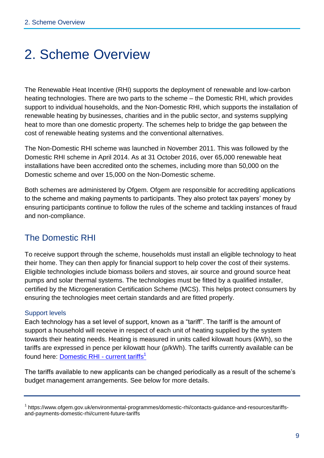## <span id="page-9-0"></span>2. Scheme Overview

The Renewable Heat Incentive (RHI) supports the deployment of renewable and low-carbon heating technologies. There are two parts to the scheme – the Domestic RHI, which provides support to individual households, and the Non-Domestic RHI, which supports the installation of renewable heating by businesses, charities and in the public sector, and systems supplying heat to more than one domestic property. The schemes help to bridge the gap between the cost of renewable heating systems and the conventional alternatives.

The Non-Domestic RHI scheme was launched in November 2011. This was followed by the Domestic RHI scheme in April 2014. As at 31 October 2016, over 65,000 renewable heat installations have been accredited onto the schemes, including more than 50,000 on the Domestic scheme and over 15,000 on the Non-Domestic scheme.

Both schemes are administered by Ofgem. Ofgem are responsible for accrediting applications to the scheme and making payments to participants. They also protect tax payers' money by ensuring participants continue to follow the rules of the scheme and tackling instances of fraud and non-compliance.

## <span id="page-9-1"></span>The Domestic RHI

To receive support through the scheme, households must install an eligible technology to heat their home. They can then apply for financial support to help cover the cost of their systems. Eligible technologies include biomass boilers and stoves, air source and ground source heat pumps and solar thermal systems. The technologies must be fitted by a qualified installer, certified by the Microgeneration Certification Scheme (MCS). This helps protect consumers by ensuring the technologies meet certain standards and are fitted properly.

#### Support levels

Each technology has a set level of support, known as a "tariff". The tariff is the amount of support a household will receive in respect of each unit of heating supplied by the system towards their heating needs. Heating is measured in units called kilowatt hours (kWh), so the tariffs are expressed in pence per kilowatt hour (p/kWh). The tariffs currently available can be found here: [Domestic RHI -](https://www.ofgem.gov.uk/environmental-programmes/domestic-rhi/contacts-guidance-and-resources/tariffs-and-payments-domestic-rhi/current-future-tariffs) current tariffs<sup>1</sup>

The tariffs available to new applicants can be changed periodically as a result of the scheme's budget management arrangements. See below for more details.

<sup>1</sup> https://www.ofgem.gov.uk/environmental-programmes/domestic-rhi/contacts-guidance-and-resources/tariffsand-payments-domestic-rhi/current-future-tariffs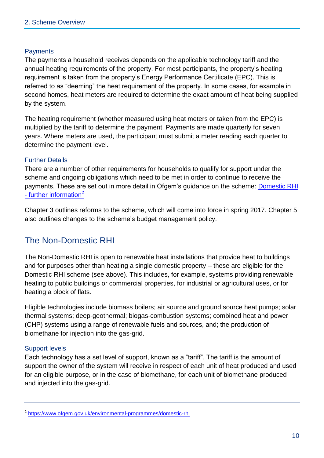#### **Payments**

The payments a household receives depends on the applicable technology tariff and the annual heating requirements of the property. For most participants, the property's heating requirement is taken from the property's Energy Performance Certificate (EPC). This is referred to as "deeming" the heat requirement of the property. In some cases, for example in second homes, heat meters are required to determine the exact amount of heat being supplied by the system.

The heating requirement (whether measured using heat meters or taken from the EPC) is multiplied by the tariff to determine the payment. Payments are made quarterly for seven years. Where meters are used, the participant must submit a meter reading each quarter to determine the payment level.

#### Further Details

There are a number of other requirements for households to qualify for support under the scheme and ongoing obligations which need to be met in order to continue to receive the payments. These are set out in more detail in Ofgem's guidance on the scheme: Domestic RHI - [further information](https://www.ofgem.gov.uk/environmental-programmes/domestic-rhi) $2$ 

Chapter 3 outlines reforms to the scheme, which will come into force in spring 2017. Chapter 5 also outlines changes to the scheme's budget management policy.

## <span id="page-10-0"></span>The Non-Domestic RHI

The Non-Domestic RHI is open to renewable heat installations that provide heat to buildings and for purposes other than heating a single domestic property – these are eligible for the Domestic RHI scheme (see above). This includes, for example, systems providing renewable heating to public buildings or commercial properties, for industrial or agricultural uses, or for heating a block of flats.

Eligible technologies include biomass boilers; air source and ground source heat pumps; solar thermal systems; deep-geothermal; biogas-combustion systems; combined heat and power (CHP) systems using a range of renewable fuels and sources, and; the production of biomethane for injection into the gas-grid.

#### Support levels

Each technology has a set level of support, known as a "tariff". The tariff is the amount of support the owner of the system will receive in respect of each unit of heat produced and used for an eligible purpose, or in the case of biomethane, for each unit of biomethane produced and injected into the gas-grid.

<sup>&</sup>lt;sup>2</sup> <https://www.ofgem.gov.uk/environmental-programmes/domestic-rhi>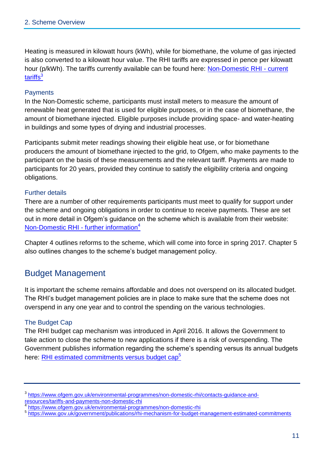Heating is measured in kilowatt hours (kWh), while for biomethane, the volume of gas injected is also converted to a kilowatt hour value. The RHI tariffs are expressed in pence per kilowatt hour (p/kWh). The tariffs currently available can be found here: [Non-Domestic RHI -](https://www.ofgem.gov.uk/environmental-programmes/non-domestic-rhi/contacts-guidance-and-resources/tariffs-and-payments-non-domestic-rhi) current [tariffs](https://www.ofgem.gov.uk/environmental-programmes/non-domestic-rhi/contacts-guidance-and-resources/tariffs-and-payments-non-domestic-rhi)<sup>3</sup>

#### **Payments**

In the Non-Domestic scheme, participants must install meters to measure the amount of renewable heat generated that is used for eligible purposes, or in the case of biomethane, the amount of biomethane injected. Eligible purposes include providing space- and water-heating in buildings and some types of drying and industrial processes.

Participants submit meter readings showing their eligible heat use, or for biomethane producers the amount of biomethane injected to the grid, to Ofgem, who make payments to the participant on the basis of these measurements and the relevant tariff. Payments are made to participants for 20 years, provided they continue to satisfy the eligibility criteria and ongoing obligations.

#### Further details

There are a number of other requirements participants must meet to qualify for support under the scheme and ongoing obligations in order to continue to receive payments. These are set out in more detail in Ofgem's guidance on the scheme which is available from their website: [Non-Domestic RHI -](https://www.ofgem.gov.uk/environmental-programmes/non-domestic-rhi) further information<sup>4</sup>

Chapter 4 outlines reforms to the scheme, which will come into force in spring 2017. Chapter 5 also outlines changes to the scheme's budget management policy.

### <span id="page-11-0"></span>Budget Management

It is important the scheme remains affordable and does not overspend on its allocated budget. The RHI's budget management policies are in place to make sure that the scheme does not overspend in any one year and to control the spending on the various technologies.

#### The Budget Cap

The RHI budget cap mechanism was introduced in April 2016. It allows the Government to take action to close the scheme to new applications if there is a risk of overspending. The Government publishes information regarding the scheme's spending versus its annual budgets here: [RHI estimated commitments versus budget cap](https://www.gov.uk/government/publications/rhi-mechanism-for-budget-management-estimated-commitments)<sup>5</sup>

<sup>&</sup>lt;sup>3</sup> [https://www.ofgem.gov.uk/environmental-programmes/non-domestic-rhi/contacts-guidance-and](https://www.ofgem.gov.uk/environmental-programmes/non-domestic-rhi/contacts-guidance-and-resources/tariffs-and-payments-non-domestic-rhi)[resources/tariffs-and-payments-non-domestic-rhi](https://www.ofgem.gov.uk/environmental-programmes/non-domestic-rhi/contacts-guidance-and-resources/tariffs-and-payments-non-domestic-rhi)

<sup>4</sup> <https://www.ofgem.gov.uk/environmental-programmes/non-domestic-rhi>

<sup>5</sup> <https://www.gov.uk/government/publications/rhi-mechanism-for-budget-management-estimated-commitments>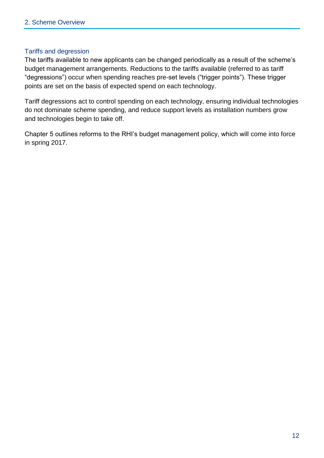#### Tariffs and degression

The tariffs available to new applicants can be changed periodically as a result of the scheme's budget management arrangements. Reductions to the tariffs available (referred to as tariff "degressions") occur when spending reaches pre-set levels ("trigger points"). These trigger points are set on the basis of expected spend on each technology.

Tariff degressions act to control spending on each technology, ensuring individual technologies do not dominate scheme spending, and reduce support levels as installation numbers grow and technologies begin to take off.

Chapter 5 outlines reforms to the RHI's budget management policy, which will come into force in spring 2017.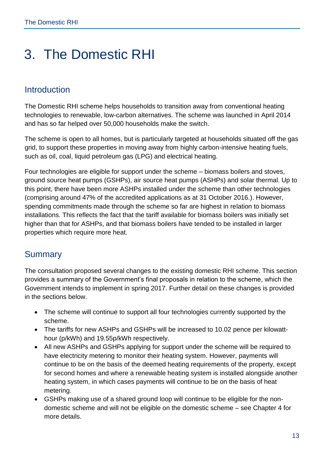## <span id="page-13-0"></span>3. The Domestic RHI

### <span id="page-13-1"></span>**Introduction**

The Domestic RHI scheme helps households to transition away from conventional heating technologies to renewable, low-carbon alternatives. The scheme was launched in April 2014 and has so far helped over 50,000 households make the switch.

The scheme is open to all homes, but is particularly targeted at households situated off the gas grid, to support these properties in moving away from highly carbon-intensive heating fuels, such as oil, coal, liquid petroleum gas (LPG) and electrical heating.

Four technologies are eligible for support under the scheme – biomass boilers and stoves, ground source heat pumps (GSHPs), air source heat pumps (ASHPs) and solar thermal. Up to this point, there have been more ASHPs installed under the scheme than other technologies (comprising around 47% of the accredited applications as at 31 October 2016.). However, spending commitments made through the scheme so far are highest in relation to biomass installations. This reflects the fact that the tariff available for biomass boilers was initially set higher than that for ASHPs, and that biomass boilers have tended to be installed in larger properties which require more heat.

## <span id="page-13-2"></span>**Summary**

The consultation proposed several changes to the existing domestic RHI scheme. This section provides a summary of the Government's final proposals in relation to the scheme, which the Government intends to implement in spring 2017. Further detail on these changes is provided in the sections below.

- The scheme will continue to support all four technologies currently supported by the scheme.
- The tariffs for new ASHPs and GSHPs will be increased to 10.02 pence per kilowatthour (p/kWh) and 19.55p/kWh respectively.
- All new ASHPs and GSHPs applying for support under the scheme will be required to have electricity metering to monitor their heating system. However, payments will continue to be on the basis of the deemed heating requirements of the property, except for second homes and where a renewable heating system is installed alongside another heating system, in which cases payments will continue to be on the basis of heat metering.
- GSHPs making use of a shared ground loop will continue to be eligible for the nondomestic scheme and will not be eligible on the domestic scheme – see Chapter 4 for more details.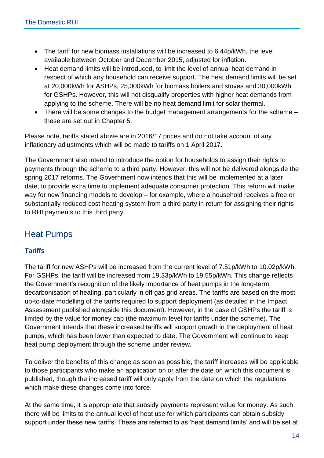- The tariff for new biomass installations will be increased to 6.44p/kWh, the level available between October and December 2015, adjusted for inflation.
- Heat demand limits will be introduced, to limit the level of annual heat demand in respect of which any household can receive support. The heat demand limits will be set at 20,000kWh for ASHPs, 25,000kWh for biomass boilers and stoves and 30,000kWh for GSHPs. However, this will not disqualify properties with higher heat demands from applying to the scheme. There will be no heat demand limit for solar thermal.
- There will be some changes to the budget management arrangements for the scheme these are set out in Chapter 5.

Please note, tariffs stated above are in 2016/17 prices and do not take account of any inflationary adjustments which will be made to tariffs on 1 April 2017.

The Government also intend to introduce the option for households to assign their rights to payments through the scheme to a third party. However, this will not be delivered alongside the spring 2017 reforms. The Government now intends that this will be implemented at a later date, to provide extra time to implement adequate consumer protection. This reform will make way for new financing models to develop – for example, where a household receives a free or substantially reduced-cost heating system from a third party in return for assigning their rights to RHI payments to this third party.

## <span id="page-14-0"></span>Heat Pumps

### **Tariffs**

The tariff for new ASHPs will be increased from the current level of 7.51p/kWh to 10.02p/kWh. For GSHPs, the tariff will be increased from 19.33p/kWh to 19.55p/kWh. This change reflects the Government's recognition of the likely importance of heat pumps in the long-term decarbonisation of heating, particularly in off gas grid areas. The tariffs are based on the most up-to-date modelling of the tariffs required to support deployment (as detailed in the Impact Assessment published alongside this document). However, in the case of GSHPs the tariff is limited by the value for money cap (the maximum level for tariffs under the scheme). The Government intends that these increased tariffs will support growth in the deployment of heat pumps, which has been lower than expected to date. The Government will continue to keep heat pump deployment through the scheme under review.

To deliver the benefits of this change as soon as possible, the tariff increases will be applicable to those participants who make an application on or after the date on which this document is published, though the increased tariff will only apply from the date on which the regulations which make these changes come into force.

At the same time, it is appropriate that subsidy payments represent value for money. As such, there will be limits to the annual level of heat use for which participants can obtain subsidy support under these new tariffs. These are referred to as 'heat demand limits' and will be set at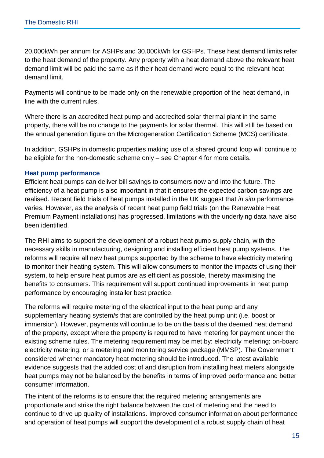20,000kWh per annum for ASHPs and 30,000kWh for GSHPs. These heat demand limits refer to the heat demand of the property. Any property with a heat demand above the relevant heat demand limit will be paid the same as if their heat demand were equal to the relevant heat demand limit.

Payments will continue to be made only on the renewable proportion of the heat demand, in line with the current rules.

Where there is an accredited heat pump and accredited solar thermal plant in the same property, there will be no change to the payments for solar thermal. This will still be based on the annual generation figure on the Microgeneration Certification Scheme (MCS) certificate.

In addition, GSHPs in domestic properties making use of a shared ground loop will continue to be eligible for the non-domestic scheme only – see Chapter 4 for more details.

#### **Heat pump performance**

Efficient heat pumps can deliver bill savings to consumers now and into the future. The efficiency of a heat pump is also important in that it ensures the expected carbon savings are realised. Recent field trials of heat pumps installed in the UK suggest that *in situ* performance varies. However, as the analysis of recent heat pump field trials (on the Renewable Heat Premium Payment installations) has progressed, limitations with the underlying data have also been identified.

The RHI aims to support the development of a robust heat pump supply chain, with the necessary skills in manufacturing, designing and installing efficient heat pump systems. The reforms will require all new heat pumps supported by the scheme to have electricity metering to monitor their heating system. This will allow consumers to monitor the impacts of using their system, to help ensure heat pumps are as efficient as possible, thereby maximising the benefits to consumers. This requirement will support continued improvements in heat pump performance by encouraging installer best practice.

The reforms will require metering of the electrical input to the heat pump and any supplementary heating system/s that are controlled by the heat pump unit (i.e. boost or immersion). However, payments will continue to be on the basis of the deemed heat demand of the property, except where the property is required to have metering for payment under the existing scheme rules. The metering requirement may be met by: electricity metering; on-board electricity metering; or a metering and monitoring service package (MMSP). The Government considered whether mandatory heat metering should be introduced. The latest available evidence suggests that the added cost of and disruption from installing heat meters alongside heat pumps may not be balanced by the benefits in terms of improved performance and better consumer information.

The intent of the reforms is to ensure that the required metering arrangements are proportionate and strike the right balance between the cost of metering and the need to continue to drive up quality of installations. Improved consumer information about performance and operation of heat pumps will support the development of a robust supply chain of heat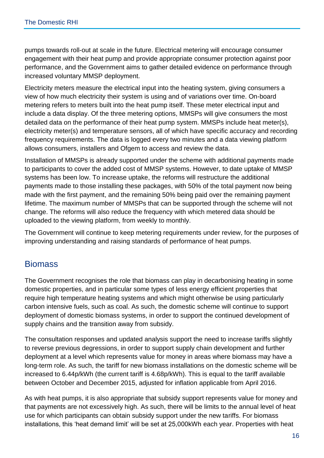pumps towards roll-out at scale in the future. Electrical metering will encourage consumer engagement with their heat pump and provide appropriate consumer protection against poor performance, and the Government aims to gather detailed evidence on performance through increased voluntary MMSP deployment.

Electricity meters measure the electrical input into the heating system, giving consumers a view of how much electricity their system is using and of variations over time. On-board metering refers to meters built into the heat pump itself. These meter electrical input and include a data display. Of the three metering options, MMSPs will give consumers the most detailed data on the performance of their heat pump system. MMSPs include heat meter(s), electricity meter(s) and temperature sensors, all of which have specific accuracy and recording frequency requirements. The data is logged every two minutes and a data viewing platform allows consumers, installers and Ofgem to access and review the data.

Installation of MMSPs is already supported under the scheme with additional payments made to participants to cover the added cost of MMSP systems. However, to date uptake of MMSP systems has been low. To increase uptake, the reforms will restructure the additional payments made to those installing these packages, with 50% of the total payment now being made with the first payment, and the remaining 50% being paid over the remaining payment lifetime. The maximum number of MMSPs that can be supported through the scheme will not change. The reforms will also reduce the frequency with which metered data should be uploaded to the viewing platform, from weekly to monthly.

The Government will continue to keep metering requirements under review, for the purposes of improving understanding and raising standards of performance of heat pumps.

## <span id="page-16-0"></span>**Biomass**

The Government recognises the role that biomass can play in decarbonising heating in some domestic properties, and in particular some types of less energy efficient properties that require high temperature heating systems and which might otherwise be using particularly carbon intensive fuels, such as coal. As such, the domestic scheme will continue to support deployment of domestic biomass systems, in order to support the continued development of supply chains and the transition away from subsidy.

The consultation responses and updated analysis support the need to increase tariffs slightly to reverse previous degressions, in order to support supply chain development and further deployment at a level which represents value for money in areas where biomass may have a long-term role. As such, the tariff for new biomass installations on the domestic scheme will be increased to 6.44p/kWh (the current tariff is 4.68p/kWh). This is equal to the tariff available between October and December 2015, adjusted for inflation applicable from April 2016.

As with heat pumps, it is also appropriate that subsidy support represents value for money and that payments are not excessively high. As such, there will be limits to the annual level of heat use for which participants can obtain subsidy support under the new tariffs. For biomass installations, this 'heat demand limit' will be set at 25,000kWh each year. Properties with heat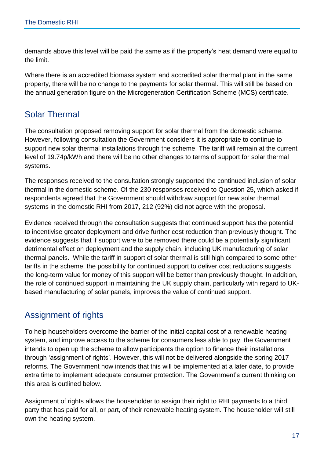demands above this level will be paid the same as if the property's heat demand were equal to the limit.

Where there is an accredited biomass system and accredited solar thermal plant in the same property, there will be no change to the payments for solar thermal. This will still be based on the annual generation figure on the Microgeneration Certification Scheme (MCS) certificate.

## <span id="page-17-0"></span>Solar Thermal

The consultation proposed removing support for solar thermal from the domestic scheme. However, following consultation the Government considers it is appropriate to continue to support new solar thermal installations through the scheme. The tariff will remain at the current level of 19.74p/kWh and there will be no other changes to terms of support for solar thermal systems.

The responses received to the consultation strongly supported the continued inclusion of solar thermal in the domestic scheme. Of the 230 responses received to Question 25, which asked if respondents agreed that the Government should withdraw support for new solar thermal systems in the domestic RHI from 2017, 212 (92%) did not agree with the proposal.

Evidence received through the consultation suggests that continued support has the potential to incentivise greater deployment and drive further cost reduction than previously thought. The evidence suggests that if support were to be removed there could be a potentially significant detrimental effect on deployment and the supply chain, including UK manufacturing of solar thermal panels. While the tariff in support of solar thermal is still high compared to some other tariffs in the scheme, the possibility for continued support to deliver cost reductions suggests the long-term value for money of this support will be better than previously thought. In addition, the role of continued support in maintaining the UK supply chain, particularly with regard to UKbased manufacturing of solar panels, improves the value of continued support.

## <span id="page-17-1"></span>Assignment of rights

To help householders overcome the barrier of the initial capital cost of a renewable heating system, and improve access to the scheme for consumers less able to pay, the Government intends to open up the scheme to allow participants the option to finance their installations through 'assignment of rights'. However, this will not be delivered alongside the spring 2017 reforms. The Government now intends that this will be implemented at a later date, to provide extra time to implement adequate consumer protection. The Government's current thinking on this area is outlined below.

Assignment of rights allows the householder to assign their right to RHI payments to a third party that has paid for all, or part, of their renewable heating system. The householder will still own the heating system.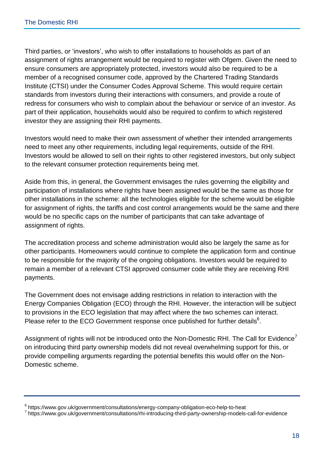Third parties, or 'investors', who wish to offer installations to households as part of an assignment of rights arrangement would be required to register with Ofgem. Given the need to ensure consumers are appropriately protected, investors would also be required to be a member of a recognised consumer code, approved by the Chartered Trading Standards Institute (CTSI) under the Consumer Codes Approval Scheme. This would require certain standards from investors during their interactions with consumers, and provide a route of redress for consumers who wish to complain about the behaviour or service of an investor. As part of their application, households would also be required to confirm to which registered investor they are assigning their RHI payments.

Investors would need to make their own assessment of whether their intended arrangements need to meet any other requirements, including legal requirements, outside of the RHI. Investors would be allowed to sell on their rights to other registered investors, but only subject to the relevant consumer protection requirements being met.

Aside from this, in general, the Government envisages the rules governing the eligibility and participation of installations where rights have been assigned would be the same as those for other installations in the scheme: all the technologies eligible for the scheme would be eligible for assignment of rights, the tariffs and cost control arrangements would be the same and there would be no specific caps on the number of participants that can take advantage of assignment of rights.

The accreditation process and scheme administration would also be largely the same as for other participants. Homeowners would continue to complete the application form and continue to be responsible for the majority of the ongoing obligations. Investors would be required to remain a member of a relevant CTSI approved consumer code while they are receiving RHI payments.

The Government does not envisage adding restrictions in relation to interaction with the Energy Companies Obligation (ECO) through the RHI. However, the interaction will be subject to provisions in the ECO legislation that may affect where the two schemes can interact. Please refer to the ECO Government response once published for further details $6$ .

Assignment of rights will not be introduced onto the Non-Domestic RHI. The Call for Evidence<sup>7</sup> on introducing third party ownership models did not reveal overwhelming support for this, or provide compelling arguments regarding the potential benefits this would offer on the Non-Domestic scheme.

<sup>6</sup> https://www.gov.uk/government/consultations/energy-company-obligation-eco-help-to-heat

<sup>&</sup>lt;sup>7</sup> https://www.gov.uk/government/consultations/rhi-introducing-third-party-ownership-models-call-for-evidence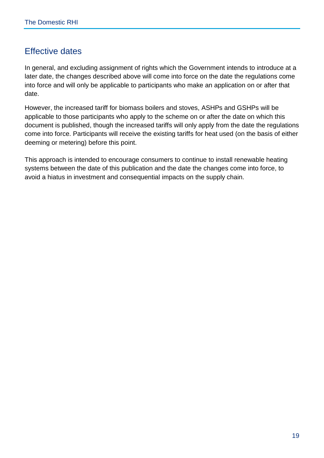## <span id="page-19-0"></span>Effective dates

In general, and excluding assignment of rights which the Government intends to introduce at a later date, the changes described above will come into force on the date the regulations come into force and will only be applicable to participants who make an application on or after that date.

However, the increased tariff for biomass boilers and stoves, ASHPs and GSHPs will be applicable to those participants who apply to the scheme on or after the date on which this document is published, though the increased tariffs will only apply from the date the regulations come into force. Participants will receive the existing tariffs for heat used (on the basis of either deeming or metering) before this point.

This approach is intended to encourage consumers to continue to install renewable heating systems between the date of this publication and the date the changes come into force, to avoid a hiatus in investment and consequential impacts on the supply chain.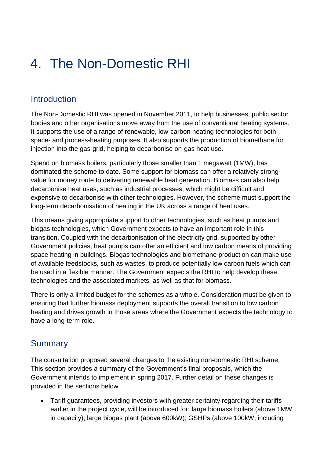## <span id="page-20-0"></span>4. The Non-Domestic RHI

### <span id="page-20-1"></span>**Introduction**

The Non-Domestic RHI was opened in November 2011, to help businesses, public sector bodies and other organisations move away from the use of conventional heating systems. It supports the use of a range of renewable, low-carbon heating technologies for both space- and process-heating purposes. It also supports the production of biomethane for injection into the gas-grid, helping to decarbonise on-gas heat use.

Spend on biomass boilers, particularly those smaller than 1 megawatt (1MW), has dominated the scheme to date. Some support for biomass can offer a relatively strong value for money route to delivering renewable heat generation. Biomass can also help decarbonise heat uses, such as industrial processes, which might be difficult and expensive to decarbonise with other technologies. However, the scheme must support the long-term decarbonisation of heating in the UK across a range of heat uses.

This means giving appropriate support to other technologies, such as heat pumps and biogas technologies, which Government expects to have an important role in this transition. Coupled with the decarbonisation of the electricity grid, supported by other Government policies, heat pumps can offer an efficient and low carbon means of providing space heating in buildings. Biogas technologies and biomethane production can make use of available feedstocks, such as wastes, to produce potentially low carbon fuels which can be used in a flexible manner. The Government expects the RHI to help develop these technologies and the associated markets, as well as that for biomass.

There is only a limited budget for the schemes as a whole. Consideration must be given to ensuring that further biomass deployment supports the overall transition to low carbon heating and drives growth in those areas where the Government expects the technology to have a long-term role.

## <span id="page-20-2"></span>**Summary**

The consultation proposed several changes to the existing non-domestic RHI scheme. This section provides a summary of the Government's final proposals, which the Government intends to implement in spring 2017. Further detail on these changes is provided in the sections below.

 Tariff guarantees, providing investors with greater certainty regarding their tariffs earlier in the project cycle, will be introduced for: large biomass boilers (above 1MW in capacity); large biogas plant (above 600kW); GSHPs (above 100kW, including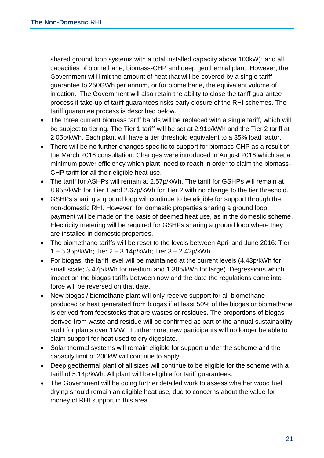shared ground loop systems with a total installed capacity above 100kW); and all capacities of biomethane, biomass-CHP and deep geothermal plant. However, the Government will limit the amount of heat that will be covered by a single tariff guarantee to 250GWh per annum, or for biomethane, the equivalent volume of injection. The Government will also retain the ability to close the tariff guarantee process if take-up of tariff guarantees risks early closure of the RHI schemes. The tariff guarantee process is described below.

- The three current biomass tariff bands will be replaced with a single tariff, which will be subject to tiering. The Tier 1 tariff will be set at 2.91p/kWh and the Tier 2 tariff at 2.05p/kWh. Each plant will have a tier threshold equivalent to a 35% load factor.
- There will be no further changes specific to support for biomass-CHP as a result of the March 2016 consultation. Changes were introduced in August 2016 which set a minimum power efficiency which plant need to reach in order to claim the biomass-CHP tariff for all their eligible heat use.
- The tariff for ASHPs will remain at 2.57p/kWh. The tariff for GSHPs will remain at 8.95p/kWh for Tier 1 and 2.67p/kWh for Tier 2 with no change to the tier threshold.
- GSHPs sharing a ground loop will continue to be eligible for support through the non-domestic RHI. However, for domestic properties sharing a ground loop payment will be made on the basis of deemed heat use, as in the domestic scheme. Electricity metering will be required for GSHPs sharing a ground loop where they are installed in domestic properties.
- The biomethane tariffs will be reset to the levels between April and June 2016: Tier 1 – 5.35p/kWh; Tier 2 – 3.14p/kWh; Tier 3 – 2.42p/kWh.
- For biogas, the tariff level will be maintained at the current levels (4.43p/kWh for small scale; 3.47p/kWh for medium and 1.30p/kWh for large). Degressions which impact on the biogas tariffs between now and the date the regulations come into force will be reversed on that date.
- New biogas / biomethane plant will only receive support for all biomethane produced or heat generated from biogas if at least 50% of the biogas or biomethane is derived from feedstocks that are wastes or residues. The proportions of biogas derived from waste and residue will be confirmed as part of the annual sustainability audit for plants over 1MW. Furthermore, new participants will no longer be able to claim support for heat used to dry digestate.
- Solar thermal systems will remain eligible for support under the scheme and the capacity limit of 200kW will continue to apply.
- Deep geothermal plant of all sizes will continue to be eligible for the scheme with a tariff of 5.14p/kWh. All plant will be eligible for tariff guarantees.
- The Government will be doing further detailed work to assess whether wood fuel drying should remain an eligible heat use, due to concerns about the value for money of RHI support in this area.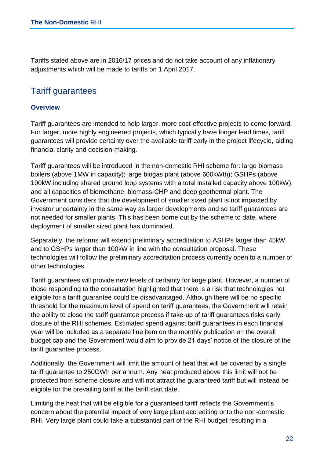Tariffs stated above are in 2016/17 prices and do not take account of any inflationary adjustments which will be made to tariffs on 1 April 2017.

## <span id="page-22-0"></span>Tariff guarantees

#### **Overview**

Tariff guarantees are intended to help larger, more cost-effective projects to come forward. For larger, more highly engineered projects, which typically have longer lead times, tariff guarantees will provide certainty over the available tariff early in the project lifecycle, aiding financial clarity and decision-making.

Tariff guarantees will be introduced in the non-domestic RHI scheme for: large biomass boilers (above 1MW in capacity); large biogas plant (above 600kWth); GSHPs (above 100kW including shared ground loop systems with a total installed capacity above 100kW); and all capacities of biomethane, biomass-CHP and deep geothermal plant. The Government considers that the development of smaller sized plant is not impacted by investor uncertainty in the same way as larger developments and so tariff guarantees are not needed for smaller plants. This has been borne out by the scheme to date, where deployment of smaller sized plant has dominated.

Separately, the reforms will extend preliminary accreditation to ASHPs larger than 45kW and to GSHPs larger than 100kW in line with the consultation proposal. These technologies will follow the preliminary accreditation process currently open to a number of other technologies.

Tariff guarantees will provide new levels of certainty for large plant. However, a number of those responding to the consultation highlighted that there is a risk that technologies not eligible for a tariff guarantee could be disadvantaged. Although there will be no specific threshold for the maximum level of spend on tariff guarantees, the Government will retain the ability to close the tariff guarantee process if take-up of tariff guarantees risks early closure of the RHI schemes. Estimated spend against tariff guarantees in each financial year will be included as a separate line item on the monthly publication on the overall budget cap and the Government would aim to provide 21 days' notice of the closure of the tariff guarantee process.

Additionally, the Government will limit the amount of heat that will be covered by a single tariff guarantee to 250GWh per annum. Any heat produced above this limit will not be protected from scheme closure and will not attract the guaranteed tariff but will instead be eligible for the prevailing tariff at the tariff start date.

Limiting the heat that will be eligible for a guaranteed tariff reflects the Government's concern about the potential impact of very large plant accrediting onto the non-domestic RHI. Very large plant could take a substantial part of the RHI budget resulting in a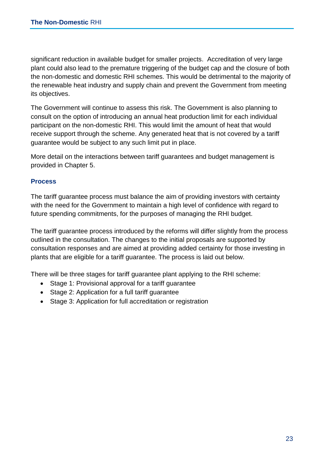significant reduction in available budget for smaller projects. Accreditation of very large plant could also lead to the premature triggering of the budget cap and the closure of both the non-domestic and domestic RHI schemes. This would be detrimental to the majority of the renewable heat industry and supply chain and prevent the Government from meeting its objectives.

The Government will continue to assess this risk. The Government is also planning to consult on the option of introducing an annual heat production limit for each individual participant on the non-domestic RHI. This would limit the amount of heat that would receive support through the scheme. Any generated heat that is not covered by a tariff guarantee would be subject to any such limit put in place.

More detail on the interactions between tariff guarantees and budget management is provided in Chapter 5.

#### **Process**

The tariff guarantee process must balance the aim of providing investors with certainty with the need for the Government to maintain a high level of confidence with regard to future spending commitments, for the purposes of managing the RHI budget.

The tariff guarantee process introduced by the reforms will differ slightly from the process outlined in the consultation. The changes to the initial proposals are supported by consultation responses and are aimed at providing added certainty for those investing in plants that are eligible for a tariff guarantee. The process is laid out below.

There will be three stages for tariff guarantee plant applying to the RHI scheme:

- Stage 1: Provisional approval for a tariff guarantee
- Stage 2: Application for a full tariff guarantee
- Stage 3: Application for full accreditation or registration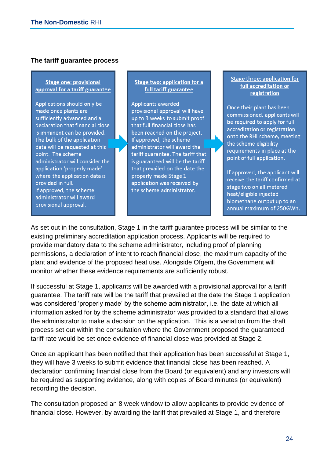#### **The tariff guarantee process**

#### **Stage one: provisional** approval for a tariff guarantee

Applications should only be made once plants are sufficiently advanced and a declaration that financial close is imminent can be provided. The bulk of the application data will be requested at this point. The scheme administrator will consider the application 'properly made' where the application data is provided in full. If approved, the scheme administrator will award provisional approval.

#### Stage two: application for a full tariff guarantee

Applicants awarded provisional approval will have up to 3 weeks to submit proof that full financial close has been reached on the project. If approved, the scheme administrator will award the tariff guarantee. The tariff that is guaranteed will be the tariff that prevailed on the date the properly made Stage 1 application was received by the scheme administrator.

#### **Stage three: application for** full accreditation or registration

Once their plant has been commissioned, applicants will be required to apply for full accreditation or registration onto the RHI scheme, meeting the scheme eligibility requirements in place at the point of full application.

If approved, the applicant will receive the tariff confirmed at stage two on all metered heat/eligible injected biomethane output up to an annual maximum of 250GWh.

As set out in the consultation, Stage 1 in the tariff guarantee process will be similar to the existing preliminary accreditation application process. Applicants will be required to provide mandatory data to the scheme administrator, including proof of planning permissions, a declaration of intent to reach financial close, the maximum capacity of the plant and evidence of the proposed heat use. Alongside Ofgem, the Government will monitor whether these evidence requirements are sufficiently robust.

If successful at Stage 1, applicants will be awarded with a provisional approval for a tariff guarantee. The tariff rate will be the tariff that prevailed at the date the Stage 1 application was considered 'properly made' by the scheme administrator, i.e. the date at which all information asked for by the scheme administrator was provided to a standard that allows the administrator to make a decision on the application. This is a variation from the draft process set out within the consultation where the Government proposed the guaranteed tariff rate would be set once evidence of financial close was provided at Stage 2.

Once an applicant has been notified that their application has been successful at Stage 1, they will have 3 weeks to submit evidence that financial close has been reached. A declaration confirming financial close from the Board (or equivalent) and any investors will be required as supporting evidence, along with copies of Board minutes (or equivalent) recording the decision.

The consultation proposed an 8 week window to allow applicants to provide evidence of financial close. However, by awarding the tariff that prevailed at Stage 1, and therefore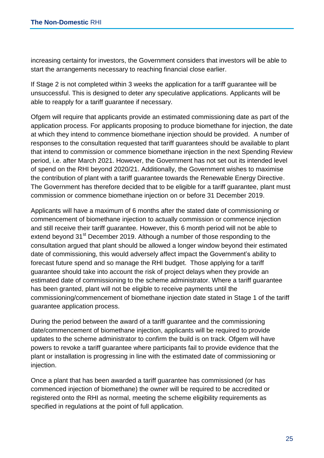increasing certainty for investors, the Government considers that investors will be able to start the arrangements necessary to reaching financial close earlier.

If Stage 2 is not completed within 3 weeks the application for a tariff guarantee will be unsuccessful. This is designed to deter any speculative applications. Applicants will be able to reapply for a tariff guarantee if necessary.

Ofgem will require that applicants provide an estimated commissioning date as part of the application process. For applicants proposing to produce biomethane for injection, the date at which they intend to commence biomethane injection should be provided. A number of responses to the consultation requested that tariff guarantees should be available to plant that intend to commission or commence biomethane injection in the next Spending Review period, i.e. after March 2021. However, the Government has not set out its intended level of spend on the RHI beyond 2020/21. Additionally, the Government wishes to maximise the contribution of plant with a tariff guarantee towards the Renewable Energy Directive. The Government has therefore decided that to be eligible for a tariff guarantee, plant must commission or commence biomethane injection on or before 31 December 2019.

Applicants will have a maximum of 6 months after the stated date of commissioning or commencement of biomethane injection to actually commission or commence injection and still receive their tariff guarantee. However, this 6 month period will not be able to extend beyond 31<sup>st</sup> December 2019. Although a number of those responding to the consultation argued that plant should be allowed a longer window beyond their estimated date of commissioning, this would adversely affect impact the Government's ability to forecast future spend and so manage the RHI budget. Those applying for a tariff guarantee should take into account the risk of project delays when they provide an estimated date of commissioning to the scheme administrator. Where a tariff guarantee has been granted, plant will not be eligible to receive payments until the commissioning/commencement of biomethane injection date stated in Stage 1 of the tariff guarantee application process.

During the period between the award of a tariff guarantee and the commissioning date/commencement of biomethane injection, applicants will be required to provide updates to the scheme administrator to confirm the build is on track. Ofgem will have powers to revoke a tariff guarantee where participants fail to provide evidence that the plant or installation is progressing in line with the estimated date of commissioning or injection.

Once a plant that has been awarded a tariff guarantee has commissioned (or has commenced injection of biomethane) the owner will be required to be accredited or registered onto the RHI as normal, meeting the scheme eligibility requirements as specified in regulations at the point of full application.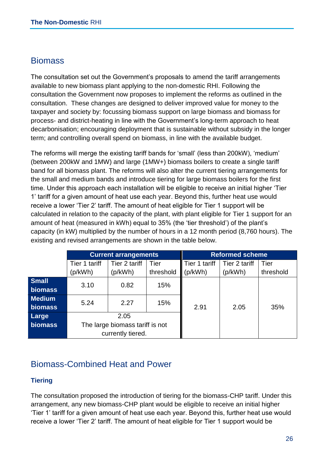### <span id="page-26-0"></span>**Biomass**

The consultation set out the Government's proposals to amend the tariff arrangements available to new biomass plant applying to the non-domestic RHI. Following the consultation the Government now proposes to implement the reforms as outlined in the consultation. These changes are designed to deliver improved value for money to the taxpayer and society by: focussing biomass support on large biomass and biomass for process- and district-heating in line with the Government's long-term approach to heat decarbonisation; encouraging deployment that is sustainable without subsidy in the longer term; and controlling overall spend on biomass, in line with the available budget.

The reforms will merge the existing tariff bands for 'small' (less than 200kW), 'medium' (between 200kW and 1MW) and large (1MW+) biomass boilers to create a single tariff band for all biomass plant. The reforms will also alter the current tiering arrangements for the small and medium bands and introduce tiering for large biomass boilers for the first time. Under this approach each installation will be eligible to receive an initial higher 'Tier 1' tariff for a given amount of heat use each year. Beyond this, further heat use would receive a lower 'Tier 2' tariff. The amount of heat eligible for Tier 1 support will be calculated in relation to the capacity of the plant, with plant eligible for Tier 1 support for an amount of heat (measured in kWh) equal to 35% (the 'tier threshold') of the plant's capacity (in kW) multiplied by the number of hours in a 12 month period (8,760 hours). The existing and revised arrangements are shown in the table below.

|                | <b>Current arrangements</b>     |               |           | <b>Reformed scheme</b> |               |           |
|----------------|---------------------------------|---------------|-----------|------------------------|---------------|-----------|
|                | Tier 1 tariff                   | Tier 2 tariff | Tier      | Tier 1 tariff          | Tier 2 tariff | Tier      |
|                | (p/kWh)                         | (p/kWh)       | threshold | (p/kWh)                | (p/kWh)       | threshold |
| <b>Small</b>   | 3.10                            | 0.82          | 15%       |                        |               |           |
| <b>biomass</b> |                                 |               |           |                        |               |           |
| <b>Medium</b>  | 5.24                            | 2.27          | 15%       |                        |               |           |
| <b>biomass</b> |                                 |               |           | 2.91                   | 2.05          | 35%       |
| Large          | 2.05                            |               |           |                        |               |           |
| <b>biomass</b> | The large biomass tariff is not |               |           |                        |               |           |
|                | currently tiered.               |               |           |                        |               |           |

## <span id="page-26-1"></span>Biomass-Combined Heat and Power

### **Tiering**

The consultation proposed the introduction of tiering for the biomass-CHP tariff. Under this arrangement, any new biomass-CHP plant would be eligible to receive an initial higher 'Tier 1' tariff for a given amount of heat use each year. Beyond this, further heat use would receive a lower 'Tier 2' tariff. The amount of heat eligible for Tier 1 support would be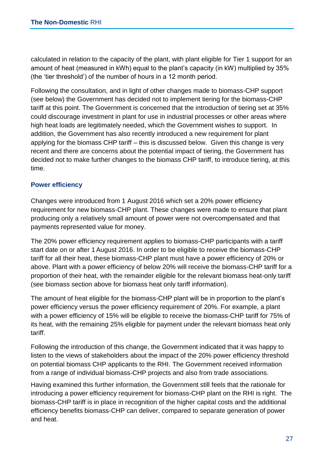calculated in relation to the capacity of the plant, with plant eligible for Tier 1 support for an amount of heat (measured in kWh) equal to the plant's capacity (in kW) multiplied by 35% (the 'tier threshold') of the number of hours in a 12 month period.

Following the consultation, and in light of other changes made to biomass-CHP support (see below) the Government has decided not to implement tiering for the biomass-CHP tariff at this point. The Government is concerned that the introduction of tiering set at 35% could discourage investment in plant for use in industrial processes or other areas where high heat loads are legitimately needed, which the Government wishes to support. In addition, the Government has also recently introduced a new requirement for plant applying for the biomass CHP tariff – this is discussed below. Given this change is very recent and there are concerns about the potential impact of tiering, the Government has decided not to make further changes to the biomass CHP tariff, to introduce tiering, at this time.

#### **Power efficiency**

Changes were introduced from 1 August 2016 which set a 20% power efficiency requirement for new biomass-CHP plant. These changes were made to ensure that plant producing only a relatively small amount of power were not overcompensated and that payments represented value for money.

The 20% power efficiency requirement applies to biomass-CHP participants with a tariff start date on or after 1 August 2016. In order to be eligible to receive the biomass-CHP tariff for all their heat, these biomass-CHP plant must have a power efficiency of 20% or above. Plant with a power efficiency of below 20% will receive the biomass-CHP tariff for a proportion of their heat, with the remainder eligible for the relevant biomass heat-only tariff (see biomass section above for biomass heat only tariff information).

The amount of heat eligible for the biomass-CHP plant will be in proportion to the plant's power efficiency versus the power efficiency requirement of 20%. For example, a plant with a power efficiency of 15% will be eligible to receive the biomass-CHP tariff for 75% of its heat, with the remaining 25% eligible for payment under the relevant biomass heat only tariff.

Following the introduction of this change, the Government indicated that it was happy to listen to the views of stakeholders about the impact of the 20% power efficiency threshold on potential biomass CHP applicants to the RHI. The Government received information from a range of individual biomass-CHP projects and also from trade associations.

Having examined this further information, the Government still feels that the rationale for introducing a power efficiency requirement for biomass-CHP plant on the RHI is right. The biomass-CHP tariff is in place in recognition of the higher capital costs and the additional efficiency benefits biomass-CHP can deliver, compared to separate generation of power and heat.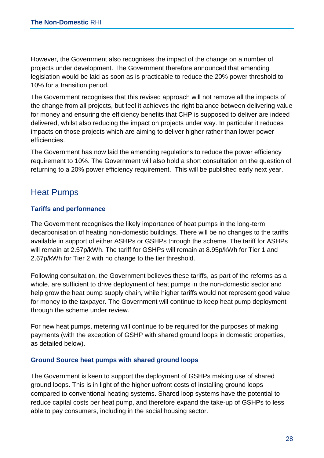However, the Government also recognises the impact of the change on a number of projects under development. The Government therefore announced that amending legislation would be laid as soon as is practicable to reduce the 20% power threshold to 10% for a transition period.

The Government recognises that this revised approach will not remove all the impacts of the change from all projects, but feel it achieves the right balance between delivering value for money and ensuring the efficiency benefits that CHP is supposed to deliver are indeed delivered, whilst also reducing the impact on projects under way. In particular it reduces impacts on those projects which are aiming to deliver higher rather than lower power efficiencies.

The Government has now laid the amending regulations to reduce the power efficiency requirement to 10%. The Government will also hold a short consultation on the question of returning to a 20% power efficiency requirement. This will be published early next year.

## <span id="page-28-0"></span>Heat Pumps

#### **Tariffs and performance**

The Government recognises the likely importance of heat pumps in the long-term decarbonisation of heating non-domestic buildings. There will be no changes to the tariffs available in support of either ASHPs or GSHPs through the scheme. The tariff for ASHPs will remain at 2.57p/kWh. The tariff for GSHPs will remain at 8.95p/kWh for Tier 1 and 2.67p/kWh for Tier 2 with no change to the tier threshold.

Following consultation, the Government believes these tariffs, as part of the reforms as a whole, are sufficient to drive deployment of heat pumps in the non-domestic sector and help grow the heat pump supply chain, while higher tariffs would not represent good value for money to the taxpayer. The Government will continue to keep heat pump deployment through the scheme under review.

For new heat pumps, metering will continue to be required for the purposes of making payments (with the exception of GSHP with shared ground loops in domestic properties, as detailed below).

#### **Ground Source heat pumps with shared ground loops**

The Government is keen to support the deployment of GSHPs making use of shared ground loops. This is in light of the higher upfront costs of installing ground loops compared to conventional heating systems. Shared loop systems have the potential to reduce capital costs per heat pump, and therefore expand the take-up of GSHPs to less able to pay consumers, including in the social housing sector.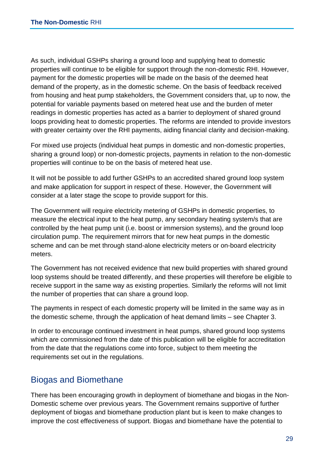As such, individual GSHPs sharing a ground loop and supplying heat to domestic properties will continue to be eligible for support through the non-domestic RHI. However, payment for the domestic properties will be made on the basis of the deemed heat demand of the property, as in the domestic scheme. On the basis of feedback received from housing and heat pump stakeholders, the Government considers that, up to now, the potential for variable payments based on metered heat use and the burden of meter readings in domestic properties has acted as a barrier to deployment of shared ground loops providing heat to domestic properties. The reforms are intended to provide investors with greater certainty over the RHI payments, aiding financial clarity and decision-making.

For mixed use projects (individual heat pumps in domestic and non-domestic properties, sharing a ground loop) or non-domestic projects, payments in relation to the non-domestic properties will continue to be on the basis of metered heat use.

It will not be possible to add further GSHPs to an accredited shared ground loop system and make application for support in respect of these. However, the Government will consider at a later stage the scope to provide support for this.

The Government will require electricity metering of GSHPs in domestic properties, to measure the electrical input to the heat pump, any secondary heating system/s that are controlled by the heat pump unit (i.e. boost or immersion systems), and the ground loop circulation pump. The requirement mirrors that for new heat pumps in the domestic scheme and can be met through stand-alone electricity meters or on-board electricity meters.

The Government has not received evidence that new build properties with shared ground loop systems should be treated differently, and these properties will therefore be eligible to receive support in the same way as existing properties. Similarly the reforms will not limit the number of properties that can share a ground loop.

The payments in respect of each domestic property will be limited in the same way as in the domestic scheme, through the application of heat demand limits – see Chapter 3.

In order to encourage continued investment in heat pumps, shared ground loop systems which are commissioned from the date of this publication will be eligible for accreditation from the date that the regulations come into force, subject to them meeting the requirements set out in the regulations.

## <span id="page-29-0"></span>Biogas and Biomethane

There has been encouraging growth in deployment of biomethane and biogas in the Non-Domestic scheme over previous years. The Government remains supportive of further deployment of biogas and biomethane production plant but is keen to make changes to improve the cost effectiveness of support. Biogas and biomethane have the potential to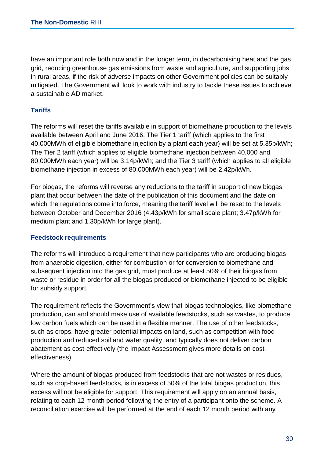have an important role both now and in the longer term, in decarbonising heat and the gas grid, reducing greenhouse gas emissions from waste and agriculture, and supporting jobs in rural areas, if the risk of adverse impacts on other Government policies can be suitably mitigated. The Government will look to work with industry to tackle these issues to achieve a sustainable AD market.

#### **Tariffs**

The reforms will reset the tariffs available in support of biomethane production to the levels available between April and June 2016. The Tier 1 tariff (which applies to the first 40,000MWh of eligible biomethane injection by a plant each year) will be set at 5.35p/kWh; The Tier 2 tariff (which applies to eligible biomethane injection between 40,000 and 80,000MWh each year) will be 3.14p/kWh; and the Tier 3 tariff (which applies to all eligible biomethane injection in excess of 80,000MWh each year) will be 2.42p/kWh.

For biogas, the reforms will reverse any reductions to the tariff in support of new biogas plant that occur between the date of the publication of this document and the date on which the regulations come into force, meaning the tariff level will be reset to the levels between October and December 2016 (4.43p/kWh for small scale plant; 3.47p/kWh for medium plant and 1.30p/kWh for large plant).

#### **Feedstock requirements**

The reforms will introduce a requirement that new participants who are producing biogas from anaerobic digestion, either for combustion or for conversion to biomethane and subsequent injection into the gas grid, must produce at least 50% of their biogas from waste or residue in order for all the biogas produced or biomethane injected to be eligible for subsidy support.

The requirement reflects the Government's view that biogas technologies, like biomethane production, can and should make use of available feedstocks, such as wastes, to produce low carbon fuels which can be used in a flexible manner. The use of other feedstocks, such as crops, have greater potential impacts on land, such as competition with food production and reduced soil and water quality, and typically does not deliver carbon abatement as cost-effectively (the Impact Assessment gives more details on costeffectiveness).

Where the amount of biogas produced from feedstocks that are not wastes or residues, such as crop-based feedstocks, is in excess of 50% of the total biogas production, this excess will not be eligible for support. This requirement will apply on an annual basis, relating to each 12 month period following the entry of a participant onto the scheme. A reconciliation exercise will be performed at the end of each 12 month period with any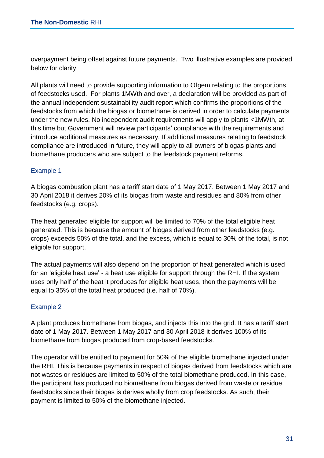overpayment being offset against future payments. Two illustrative examples are provided below for clarity.

All plants will need to provide supporting information to Ofgem relating to the proportions of feedstocks used. For plants 1MWth and over, a declaration will be provided as part of the annual independent sustainability audit report which confirms the proportions of the feedstocks from which the biogas or biomethane is derived in order to calculate payments under the new rules. No independent audit requirements will apply to plants <1MWth, at this time but Government will review participants' compliance with the requirements and introduce additional measures as necessary. If additional measures relating to feedstock compliance are introduced in future, they will apply to all owners of biogas plants and biomethane producers who are subject to the feedstock payment reforms.

#### Example 1

A biogas combustion plant has a tariff start date of 1 May 2017. Between 1 May 2017 and 30 April 2018 it derives 20% of its biogas from waste and residues and 80% from other feedstocks (e.g. crops).

The heat generated eligible for support will be limited to 70% of the total eligible heat generated. This is because the amount of biogas derived from other feedstocks (e.g. crops) exceeds 50% of the total, and the excess, which is equal to 30% of the total, is not eligible for support.

The actual payments will also depend on the proportion of heat generated which is used for an 'eligible heat use' - a heat use eligible for support through the RHI. If the system uses only half of the heat it produces for eligible heat uses, then the payments will be equal to 35% of the total heat produced (i.e. half of 70%).

#### Example 2

A plant produces biomethane from biogas, and injects this into the grid. It has a tariff start date of 1 May 2017. Between 1 May 2017 and 30 April 2018 it derives 100% of its biomethane from biogas produced from crop-based feedstocks.

The operator will be entitled to payment for 50% of the eligible biomethane injected under the RHI. This is because payments in respect of biogas derived from feedstocks which are not wastes or residues are limited to 50% of the total biomethane produced. In this case, the participant has produced no biomethane from biogas derived from waste or residue feedstocks since their biogas is derives wholly from crop feedstocks. As such, their payment is limited to 50% of the biomethane injected.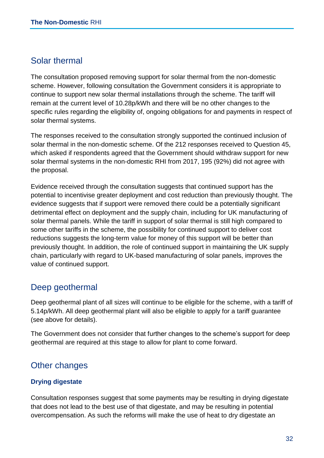### <span id="page-32-0"></span>Solar thermal

The consultation proposed removing support for solar thermal from the non-domestic scheme. However, following consultation the Government considers it is appropriate to continue to support new solar thermal installations through the scheme. The tariff will remain at the current level of 10.28p/kWh and there will be no other changes to the specific rules regarding the eligibility of, ongoing obligations for and payments in respect of solar thermal systems.

The responses received to the consultation strongly supported the continued inclusion of solar thermal in the non-domestic scheme. Of the 212 responses received to Question 45, which asked if respondents agreed that the Government should withdraw support for new solar thermal systems in the non-domestic RHI from 2017, 195 (92%) did not agree with the proposal.

Evidence received through the consultation suggests that continued support has the potential to incentivise greater deployment and cost reduction than previously thought. The evidence suggests that if support were removed there could be a potentially significant detrimental effect on deployment and the supply chain, including for UK manufacturing of solar thermal panels. While the tariff in support of solar thermal is still high compared to some other tariffs in the scheme, the possibility for continued support to deliver cost reductions suggests the long-term value for money of this support will be better than previously thought. In addition, the role of continued support in maintaining the UK supply chain, particularly with regard to UK-based manufacturing of solar panels, improves the value of continued support.

## <span id="page-32-1"></span>Deep geothermal

Deep geothermal plant of all sizes will continue to be eligible for the scheme, with a tariff of 5.14p/kWh. All deep geothermal plant will also be eligible to apply for a tariff guarantee (see above for details).

The Government does not consider that further changes to the scheme's support for deep geothermal are required at this stage to allow for plant to come forward.

## <span id="page-32-2"></span>Other changes

#### **Drying digestate**

Consultation responses suggest that some payments may be resulting in drying digestate that does not lead to the best use of that digestate, and may be resulting in potential overcompensation. As such the reforms will make the use of heat to dry digestate an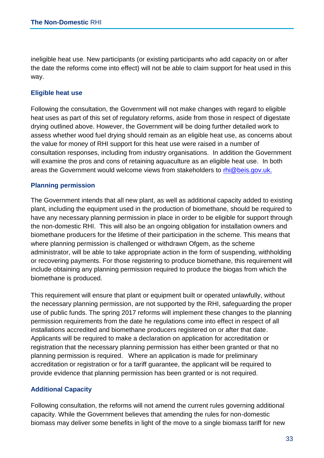ineligible heat use. New participants (or existing participants who add capacity on or after the date the reforms come into effect) will not be able to claim support for heat used in this way.

#### **Eligible heat use**

Following the consultation, the Government will not make changes with regard to eligible heat uses as part of this set of regulatory reforms, aside from those in respect of digestate drying outlined above. However, the Government will be doing further detailed work to assess whether wood fuel drying should remain as an eligible heat use, as concerns about the value for money of RHI support for this heat use were raised in a number of consultation responses, including from industry organisations. In addition the Government will examine the pros and cons of retaining aquaculture as an eligible heat use. In both areas the Government would welcome views from stakeholders to [rhi@beis.gov.uk.](mailto:rhi@beis.gov.uk)

#### **Planning permission**

The Government intends that all new plant, as well as additional capacity added to existing plant, including the equipment used in the production of biomethane, should be required to have any necessary planning permission in place in order to be eligible for support through the non-domestic RHI. This will also be an ongoing obligation for installation owners and biomethane producers for the lifetime of their participation in the scheme. This means that where planning permission is challenged or withdrawn Ofgem, as the scheme administrator, will be able to take appropriate action in the form of suspending, withholding or recovering payments. For those registering to produce biomethane, this requirement will include obtaining any planning permission required to produce the biogas from which the biomethane is produced.

This requirement will ensure that plant or equipment built or operated unlawfully, without the necessary planning permission, are not supported by the RHI, safeguarding the proper use of public funds. The spring 2017 reforms will implement these changes to the planning permission requirements from the date he regulations come into effect in respect of all installations accredited and biomethane producers registered on or after that date. Applicants will be required to make a declaration on application for accreditation or registration that the necessary planning permission has either been granted or that no planning permission is required. Where an application is made for preliminary accreditation or registration or for a tariff guarantee, the applicant will be required to provide evidence that planning permission has been granted or is not required.

#### **Additional Capacity**

Following consultation, the reforms will not amend the current rules governing additional capacity. While the Government believes that amending the rules for non-domestic biomass may deliver some benefits in light of the move to a single biomass tariff for new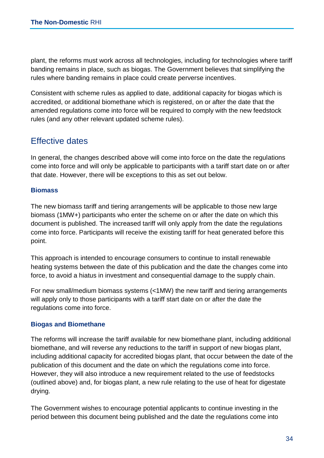plant, the reforms must work across all technologies, including for technologies where tariff banding remains in place, such as biogas. The Government believes that simplifying the rules where banding remains in place could create perverse incentives.

Consistent with scheme rules as applied to date, additional capacity for biogas which is accredited, or additional biomethane which is registered, on or after the date that the amended regulations come into force will be required to comply with the new feedstock rules (and any other relevant updated scheme rules).

## <span id="page-34-0"></span>Effective dates

In general, the changes described above will come into force on the date the regulations come into force and will only be applicable to participants with a tariff start date on or after that date. However, there will be exceptions to this as set out below.

#### **Biomass**

The new biomass tariff and tiering arrangements will be applicable to those new large biomass (1MW+) participants who enter the scheme on or after the date on which this document is published. The increased tariff will only apply from the date the regulations come into force. Participants will receive the existing tariff for heat generated before this point.

This approach is intended to encourage consumers to continue to install renewable heating systems between the date of this publication and the date the changes come into force, to avoid a hiatus in investment and consequential damage to the supply chain.

For new small/medium biomass systems (<1MW) the new tariff and tiering arrangements will apply only to those participants with a tariff start date on or after the date the regulations come into force.

#### **Biogas and Biomethane**

The reforms will increase the tariff available for new biomethane plant, including additional biomethane, and will reverse any reductions to the tariff in support of new biogas plant, including additional capacity for accredited biogas plant, that occur between the date of the publication of this document and the date on which the regulations come into force. However, they will also introduce a new requirement related to the use of feedstocks (outlined above) and, for biogas plant, a new rule relating to the use of heat for digestate drying.

The Government wishes to encourage potential applicants to continue investing in the period between this document being published and the date the regulations come into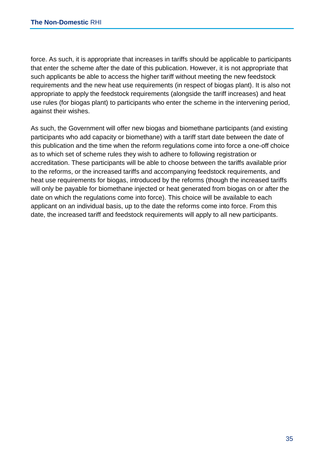force. As such, it is appropriate that increases in tariffs should be applicable to participants that enter the scheme after the date of this publication. However, it is not appropriate that such applicants be able to access the higher tariff without meeting the new feedstock requirements and the new heat use requirements (in respect of biogas plant). It is also not appropriate to apply the feedstock requirements (alongside the tariff increases) and heat use rules (for biogas plant) to participants who enter the scheme in the intervening period, against their wishes.

As such, the Government will offer new biogas and biomethane participants (and existing participants who add capacity or biomethane) with a tariff start date between the date of this publication and the time when the reform regulations come into force a one-off choice as to which set of scheme rules they wish to adhere to following registration or accreditation. These participants will be able to choose between the tariffs available prior to the reforms, or the increased tariffs and accompanying feedstock requirements, and heat use requirements for biogas, introduced by the reforms (though the increased tariffs will only be payable for biomethane injected or heat generated from biogas on or after the date on which the regulations come into force). This choice will be available to each applicant on an individual basis, up to the date the reforms come into force. From this date, the increased tariff and feedstock requirements will apply to all new participants.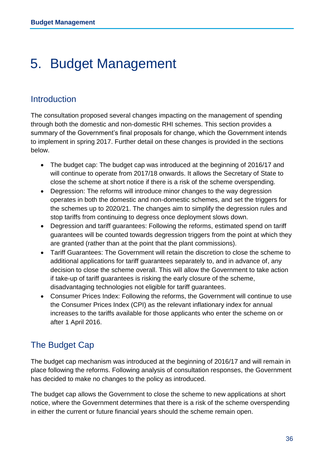# 5. Budget Management

# **Introduction**

The consultation proposed several changes impacting on the management of spending through both the domestic and non-domestic RHI schemes. This section provides a summary of the Government's final proposals for change, which the Government intends to implement in spring 2017. Further detail on these changes is provided in the sections below.

- The budget cap: The budget cap was introduced at the beginning of 2016/17 and will continue to operate from 2017/18 onwards. It allows the Secretary of State to close the scheme at short notice if there is a risk of the scheme overspending.
- Degression: The reforms will introduce minor changes to the way degression operates in both the domestic and non-domestic schemes, and set the triggers for the schemes up to 2020/21. The changes aim to simplify the degression rules and stop tariffs from continuing to degress once deployment slows down.
- Degression and tariff guarantees: Following the reforms, estimated spend on tariff guarantees will be counted towards degression triggers from the point at which they are granted (rather than at the point that the plant commissions).
- Tariff Guarantees: The Government will retain the discretion to close the scheme to additional applications for tariff guarantees separately to, and in advance of, any decision to close the scheme overall. This will allow the Government to take action if take-up of tariff guarantees is risking the early closure of the scheme, disadvantaging technologies not eligible for tariff guarantees.
- Consumer Prices Index: Following the reforms, the Government will continue to use the Consumer Prices Index (CPI) as the relevant inflationary index for annual increases to the tariffs available for those applicants who enter the scheme on or after 1 April 2016.

# The Budget Cap

The budget cap mechanism was introduced at the beginning of 2016/17 and will remain in place following the reforms. Following analysis of consultation responses, the Government has decided to make no changes to the policy as introduced.

The budget cap allows the Government to close the scheme to new applications at short notice, where the Government determines that there is a risk of the scheme overspending in either the current or future financial years should the scheme remain open.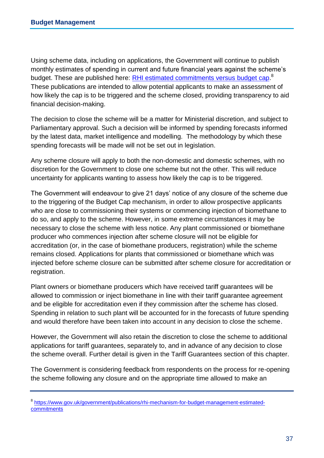Using scheme data, including on applications, the Government will continue to publish monthly estimates of spending in current and future financial years against the scheme's budget. These are published here: **[RHI estimated commitments versus](https://www.gov.uk/government/publications/rhi-mechanism-for-budget-management-estimated-commitments) budget cap.**<sup>8</sup> These publications are intended to allow potential applicants to make an assessment of how likely the cap is to be triggered and the scheme closed, providing transparency to aid financial decision-making.

The decision to close the scheme will be a matter for Ministerial discretion, and subject to Parliamentary approval. Such a decision will be informed by spending forecasts informed by the latest data, market intelligence and modelling. The methodology by which these spending forecasts will be made will not be set out in legislation.

Any scheme closure will apply to both the non-domestic and domestic schemes, with no discretion for the Government to close one scheme but not the other. This will reduce uncertainty for applicants wanting to assess how likely the cap is to be triggered.

The Government will endeavour to give 21 days' notice of any closure of the scheme due to the triggering of the Budget Cap mechanism, in order to allow prospective applicants who are close to commissioning their systems or commencing injection of biomethane to do so, and apply to the scheme. However, in some extreme circumstances it may be necessary to close the scheme with less notice. Any plant commissioned or biomethane producer who commences injection after scheme closure will not be eligible for accreditation (or, in the case of biomethane producers, registration) while the scheme remains closed. Applications for plants that commissioned or biomethane which was injected before scheme closure can be submitted after scheme closure for accreditation or registration.

Plant owners or biomethane producers which have received tariff guarantees will be allowed to commission or inject biomethane in line with their tariff guarantee agreement and be eligible for accreditation even if they commission after the scheme has closed. Spending in relation to such plant will be accounted for in the forecasts of future spending and would therefore have been taken into account in any decision to close the scheme.

However, the Government will also retain the discretion to close the scheme to additional applications for tariff guarantees, separately to, and in advance of any decision to close the scheme overall. Further detail is given in the Tariff Guarantees section of this chapter.

The Government is considering feedback from respondents on the process for re-opening the scheme following any closure and on the appropriate time allowed to make an

<sup>&</sup>lt;sup>8</sup> [https://www.gov.uk/government/publications/rhi-mechanism-for-budget-management-estimated](https://www.gov.uk/government/publications/rhi-mechanism-for-budget-management-estimated-commitments)[commitments](https://www.gov.uk/government/publications/rhi-mechanism-for-budget-management-estimated-commitments)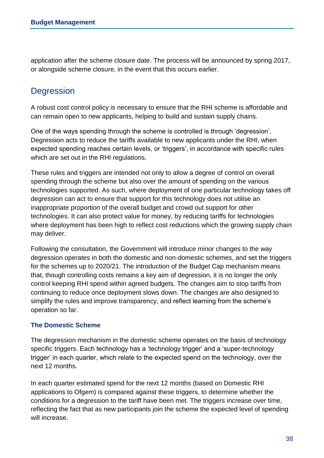application after the scheme closure date. The process will be announced by spring 2017, or alongside scheme closure, in the event that this occurs earlier.

# **Degression**

A robust cost control policy is necessary to ensure that the RHI scheme is affordable and can remain open to new applicants, helping to build and sustain supply chains.

One of the ways spending through the scheme is controlled is through 'degression'. Degression acts to reduce the tariffs available to new applicants under the RHI, when expected spending reaches certain levels, or 'triggers', in accordance with specific rules which are set out in the RHI regulations.

These rules and triggers are intended not only to allow a degree of control on overall spending through the scheme but also over the amount of spending on the various technologies supported. As such, where deployment of one particular technology takes off degression can act to ensure that support for this technology does not utilise an inappropriate proportion of the overall budget and crowd out support for other technologies. It can also protect value for money, by reducing tariffs for technologies where deployment has been high to reflect cost reductions which the growing supply chain may deliver.

Following the consultation, the Government will introduce minor changes to the way degression operates in both the domestic and non-domestic schemes, and set the triggers for the schemes up to 2020/21. The introduction of the Budget Cap mechanism means that, though controlling costs remains a key aim of degression, it is no longer the only control keeping RHI spend within agreed budgets. The changes aim to stop tariffs from continuing to reduce once deployment slows down. The changes are also designed to simplify the rules and improve transparency, and reflect learning from the scheme's operation so far.

## **The Domestic Scheme**

The degression mechanism in the domestic scheme operates on the basis of technology specific triggers. Each technology has a 'technology trigger' and a 'super-technology trigger' in each quarter, which relate to the expected spend on the technology, over the next 12 months.

In each quarter estimated spend for the next 12 months (based on Domestic RHI applications to Ofgem) is compared against these triggers, to determine whether the conditions for a degression to the tariff have been met. The triggers increase over time, reflecting the fact that as new participants join the scheme the expected level of spending will increase.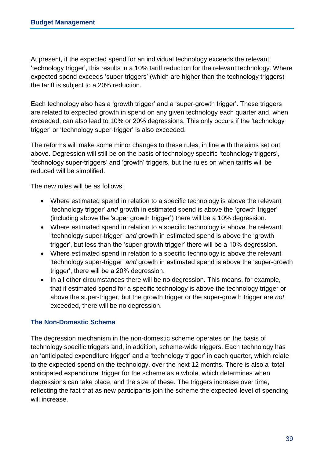At present, if the expected spend for an individual technology exceeds the relevant 'technology trigger', this results in a 10% tariff reduction for the relevant technology. Where expected spend exceeds 'super-triggers' (which are higher than the technology triggers) the tariff is subject to a 20% reduction.

Each technology also has a 'growth trigger' and a 'super-growth trigger'. These triggers are related to expected growth in spend on any given technology each quarter and, when exceeded, can also lead to 10% or 20% degressions. This only occurs if the 'technology trigger' or 'technology super-trigger' is also exceeded.

The reforms will make some minor changes to these rules, in line with the aims set out above. Degression will still be on the basis of technology specific 'technology triggers', 'technology super-triggers' and 'growth' triggers, but the rules on when tariffs will be reduced will be simplified.

The new rules will be as follows:

- Where estimated spend in relation to a specific technology is above the relevant 'technology trigger' *and* growth in estimated spend is above the 'growth trigger' (including above the 'super growth trigger') there will be a 10% degression.
- Where estimated spend in relation to a specific technology is above the relevant 'technology super-trigger' *and* growth in estimated spend is above the 'growth trigger', but less than the 'super-growth trigger' there will be a 10% degression.
- Where estimated spend in relation to a specific technology is above the relevant 'technology super-trigger' *and* growth in estimated spend is above the 'super-growth trigger', there will be a 20% degression.
- In all other circumstances there will be no degression. This means, for example, that if estimated spend for a specific technology is above the technology trigger or above the super-trigger, but the growth trigger or the super-growth trigger are *not* exceeded, there will be no degression.

# **The Non-Domestic Scheme**

The degression mechanism in the non-domestic scheme operates on the basis of technology specific triggers and, in addition, scheme-wide triggers. Each technology has an 'anticipated expenditure trigger' and a 'technology trigger' in each quarter, which relate to the expected spend on the technology, over the next 12 months. There is also a 'total anticipated expenditure' trigger for the scheme as a whole, which determines when degressions can take place, and the size of these. The triggers increase over time, reflecting the fact that as new participants join the scheme the expected level of spending will increase.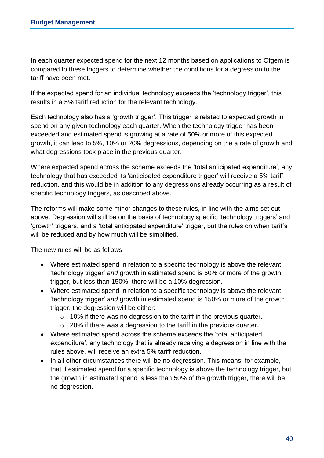In each quarter expected spend for the next 12 months based on applications to Ofgem is compared to these triggers to determine whether the conditions for a degression to the tariff have been met.

If the expected spend for an individual technology exceeds the 'technology trigger', this results in a 5% tariff reduction for the relevant technology.

Each technology also has a 'growth trigger'. This trigger is related to expected growth in spend on any given technology each quarter. When the technology trigger has been exceeded and estimated spend is growing at a rate of 50% or more of this expected growth, it can lead to 5%, 10% or 20% degressions, depending on the a rate of growth and what degressions took place in the previous quarter.

Where expected spend across the scheme exceeds the 'total anticipated expenditure', any technology that has exceeded its 'anticipated expenditure trigger' will receive a 5% tariff reduction, and this would be in addition to any degressions already occurring as a result of specific technology triggers, as described above.

The reforms will make some minor changes to these rules, in line with the aims set out above. Degression will still be on the basis of technology specific 'technology triggers' and 'growth' triggers, and a 'total anticipated expenditure' trigger, but the rules on when tariffs will be reduced and by how much will be simplified.

The new rules will be as follows:

- Where estimated spend in relation to a specific technology is above the relevant 'technology trigger' *and* growth in estimated spend is 50% or more of the growth trigger, but less than 150%, there will be a 10% degression.
- Where estimated spend in relation to a specific technology is above the relevant 'technology trigger' *and* growth in estimated spend is 150% or more of the growth trigger, the degression will be either:
	- o 10% if there was no degression to the tariff in the previous quarter.
	- o 20% if there was a degression to the tariff in the previous quarter.
- Where estimated spend across the scheme exceeds the 'total anticipated expenditure', any technology that is already receiving a degression in line with the rules above, will receive an extra 5% tariff reduction.
- In all other circumstances there will be no degression. This means, for example, that if estimated spend for a specific technology is above the technology trigger, but the growth in estimated spend is less than 50% of the growth trigger, there will be no degression.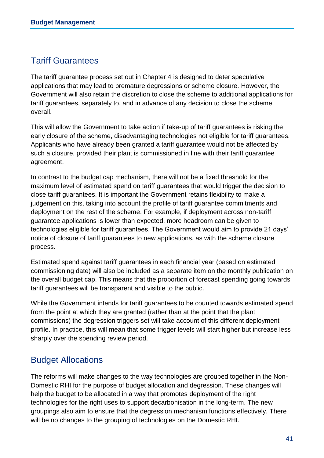# Tariff Guarantees

The tariff guarantee process set out in Chapter 4 is designed to deter speculative applications that may lead to premature degressions or scheme closure. However, the Government will also retain the discretion to close the scheme to additional applications for tariff guarantees, separately to, and in advance of any decision to close the scheme overall.

This will allow the Government to take action if take-up of tariff guarantees is risking the early closure of the scheme, disadvantaging technologies not eligible for tariff guarantees. Applicants who have already been granted a tariff guarantee would not be affected by such a closure, provided their plant is commissioned in line with their tariff guarantee agreement.

In contrast to the budget cap mechanism, there will not be a fixed threshold for the maximum level of estimated spend on tariff guarantees that would trigger the decision to close tariff guarantees. It is important the Government retains flexibility to make a judgement on this, taking into account the profile of tariff guarantee commitments and deployment on the rest of the scheme. For example, if deployment across non-tariff guarantee applications is lower than expected, more headroom can be given to technologies eligible for tariff guarantees. The Government would aim to provide 21 days' notice of closure of tariff guarantees to new applications, as with the scheme closure process.

Estimated spend against tariff guarantees in each financial year (based on estimated commissioning date) will also be included as a separate item on the monthly publication on the overall budget cap. This means that the proportion of forecast spending going towards tariff guarantees will be transparent and visible to the public.

While the Government intends for tariff guarantees to be counted towards estimated spend from the point at which they are granted (rather than at the point that the plant commissions) the degression triggers set will take account of this different deployment profile. In practice, this will mean that some trigger levels will start higher but increase less sharply over the spending review period.

# Budget Allocations

The reforms will make changes to the way technologies are grouped together in the Non-Domestic RHI for the purpose of budget allocation and degression. These changes will help the budget to be allocated in a way that promotes deployment of the right technologies for the right uses to support decarbonisation in the long-term. The new groupings also aim to ensure that the degression mechanism functions effectively. There will be no changes to the grouping of technologies on the Domestic RHI.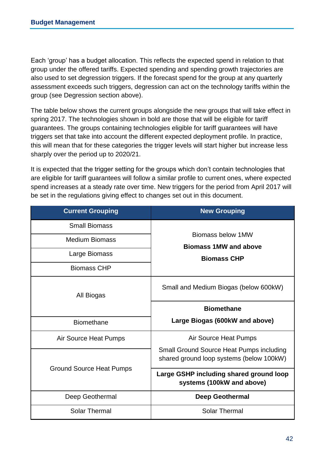Each 'group' has a budget allocation. This reflects the expected spend in relation to that group under the offered tariffs. Expected spending and spending growth trajectories are also used to set degression triggers. If the forecast spend for the group at any quarterly assessment exceeds such triggers, degression can act on the technology tariffs within the group (see Degression section above).

The table below shows the current groups alongside the new groups that will take effect in spring 2017. The technologies shown in bold are those that will be eligible for tariff guarantees. The groups containing technologies eligible for tariff guarantees will have triggers set that take into account the different expected deployment profile. In practice, this will mean that for these categories the trigger levels will start higher but increase less sharply over the period up to 2020/21.

It is expected that the trigger setting for the groups which don't contain technologies that are eligible for tariff guarantees will follow a similar profile to current ones, where expected spend increases at a steady rate over time. New triggers for the period from April 2017 will be set in the regulations giving effect to changes set out in this document.

| <b>Current Grouping</b>         | <b>New Grouping</b>                                                                         |
|---------------------------------|---------------------------------------------------------------------------------------------|
| <b>Small Biomass</b>            |                                                                                             |
| <b>Medium Biomass</b>           | Biomass below 1MW<br><b>Biomass 1MW and above</b>                                           |
| Large Biomass                   | <b>Biomass CHP</b>                                                                          |
| <b>Biomass CHP</b>              |                                                                                             |
| All Biogas                      | Small and Medium Biogas (below 600kW)                                                       |
|                                 | <b>Biomethane</b>                                                                           |
| <b>Biomethane</b>               | Large Biogas (600kW and above)                                                              |
| Air Source Heat Pumps           | Air Source Heat Pumps                                                                       |
|                                 | <b>Small Ground Source Heat Pumps including</b><br>shared ground loop systems (below 100kW) |
| <b>Ground Source Heat Pumps</b> | Large GSHP including shared ground loop<br>systems (100kW and above)                        |
| Deep Geothermal                 | <b>Deep Geothermal</b>                                                                      |
| <b>Solar Thermal</b>            | <b>Solar Thermal</b>                                                                        |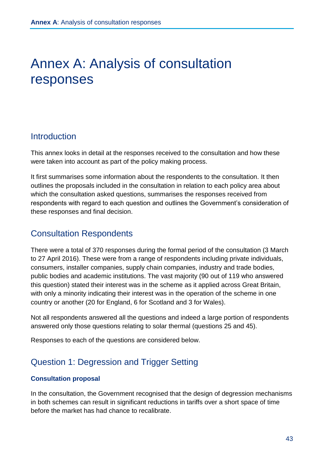# Annex A: Analysis of consultation responses

# **Introduction**

This annex looks in detail at the responses received to the consultation and how these were taken into account as part of the policy making process.

It first summarises some information about the respondents to the consultation. It then outlines the proposals included in the consultation in relation to each policy area about which the consultation asked questions, summarises the responses received from respondents with regard to each question and outlines the Government's consideration of these responses and final decision.

# Consultation Respondents

There were a total of 370 responses during the formal period of the consultation (3 March to 27 April 2016). These were from a range of respondents including private individuals, consumers, installer companies, supply chain companies, industry and trade bodies, public bodies and academic institutions. The vast majority (90 out of 119 who answered this question) stated their interest was in the scheme as it applied across Great Britain, with only a minority indicating their interest was in the operation of the scheme in one country or another (20 for England, 6 for Scotland and 3 for Wales).

Not all respondents answered all the questions and indeed a large portion of respondents answered only those questions relating to solar thermal (questions 25 and 45).

Responses to each of the questions are considered below.

# Question 1: Degression and Trigger Setting

## **Consultation proposal**

In the consultation, the Government recognised that the design of degression mechanisms in both schemes can result in significant reductions in tariffs over a short space of time before the market has had chance to recalibrate.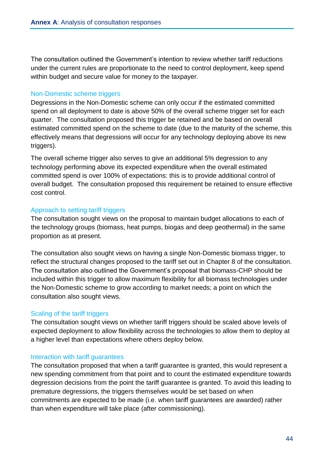The consultation outlined the Government's intention to review whether tariff reductions under the current rules are proportionate to the need to control deployment, keep spend within budget and secure value for money to the taxpayer.

#### Non-Domestic scheme triggers

Degressions in the Non-Domestic scheme can only occur if the estimated committed spend on all deployment to date is above 50% of the overall scheme trigger set for each quarter. The consultation proposed this trigger be retained and be based on overall estimated committed spend on the scheme to date (due to the maturity of the scheme, this effectively means that degressions will occur for any technology deploying above its new triggers).

The overall scheme trigger also serves to give an additional 5% degression to any technology performing above its expected expenditure when the overall estimated committed spend is over 100% of expectations: this is to provide additional control of overall budget. The consultation proposed this requirement be retained to ensure effective cost control.

#### Approach to setting tariff triggers

The consultation sought views on the proposal to maintain budget allocations to each of the technology groups (biomass, heat pumps, biogas and deep geothermal) in the same proportion as at present.

The consultation also sought views on having a single Non-Domestic biomass trigger, to reflect the structural changes proposed to the tariff set out in Chapter 8 of the consultation. The consultation also outlined the Government's proposal that biomass-CHP should be included within this trigger to allow maximum flexibility for all biomass technologies under the Non-Domestic scheme to grow according to market needs; a point on which the consultation also sought views.

## Scaling of the tariff triggers

The consultation sought views on whether tariff triggers should be scaled above levels of expected deployment to allow flexibility across the technologies to allow them to deploy at a higher level than expectations where others deploy below.

## Interaction with tariff guarantees

The consultation proposed that when a tariff guarantee is granted, this would represent a new spending commitment from that point and to count the estimated expenditure towards degression decisions from the point the tariff guarantee is granted. To avoid this leading to premature degressions, the triggers themselves would be set based on when commitments are expected to be made (i.e. when tariff guarantees are awarded) rather than when expenditure will take place (after commissioning).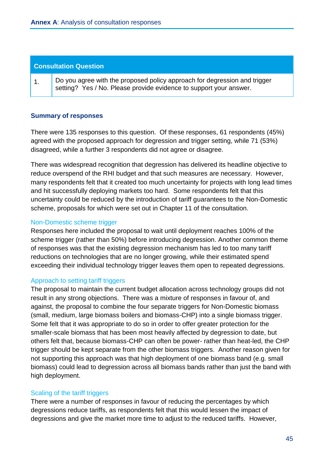#### **Consultation Question**

1. **Do you agree with the proposed policy approach for degression and trigger** setting? Yes / No. Please provide evidence to support your answer.

#### **Summary of responses**

There were 135 responses to this question. Of these responses, 61 respondents (45%) agreed with the proposed approach for degression and trigger setting, while 71 (53%) disagreed, while a further 3 respondents did not agree or disagree.

There was widespread recognition that degression has delivered its headline objective to reduce overspend of the RHI budget and that such measures are necessary. However, many respondents felt that it created too much uncertainty for projects with long lead times and hit successfully deploying markets too hard. Some respondents felt that this uncertainty could be reduced by the introduction of tariff guarantees to the Non-Domestic scheme, proposals for which were set out in Chapter 11 of the consultation.

#### Non-Domestic scheme trigger

Responses here included the proposal to wait until deployment reaches 100% of the scheme trigger (rather than 50%) before introducing degression. Another common theme of responses was that the existing degression mechanism has led to too many tariff reductions on technologies that are no longer growing, while their estimated spend exceeding their individual technology trigger leaves them open to repeated degressions.

#### Approach to setting tariff triggers

The proposal to maintain the current budget allocation across technology groups did not result in any strong objections. There was a mixture of responses in favour of, and against, the proposal to combine the four separate triggers for Non-Domestic biomass (small, medium, large biomass boilers and biomass-CHP) into a single biomass trigger. Some felt that it was appropriate to do so in order to offer greater protection for the smaller-scale biomass that has been most heavily affected by degression to date, but others felt that, because biomass-CHP can often be power- rather than heat-led, the CHP trigger should be kept separate from the other biomass triggers. Another reason given for not supporting this approach was that high deployment of one biomass band (e.g. small biomass) could lead to degression across all biomass bands rather than just the band with high deployment.

#### Scaling of the tariff triggers

There were a number of responses in favour of reducing the percentages by which degressions reduce tariffs, as respondents felt that this would lessen the impact of degressions and give the market more time to adjust to the reduced tariffs. However,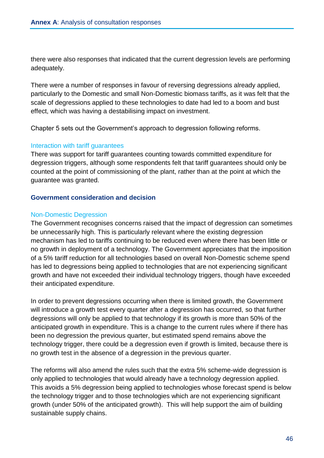there were also responses that indicated that the current degression levels are performing adequately.

There were a number of responses in favour of reversing degressions already applied, particularly to the Domestic and small Non-Domestic biomass tariffs, as it was felt that the scale of degressions applied to these technologies to date had led to a boom and bust effect, which was having a destabilising impact on investment.

Chapter 5 sets out the Government's approach to degression following reforms.

#### Interaction with tariff guarantees

There was support for tariff guarantees counting towards committed expenditure for degression triggers, although some respondents felt that tariff guarantees should only be counted at the point of commissioning of the plant, rather than at the point at which the guarantee was granted.

## **Government consideration and decision**

#### Non-Domestic Degression

The Government recognises concerns raised that the impact of degression can sometimes be unnecessarily high. This is particularly relevant where the existing degression mechanism has led to tariffs continuing to be reduced even where there has been little or no growth in deployment of a technology. The Government appreciates that the imposition of a 5% tariff reduction for all technologies based on overall Non-Domestic scheme spend has led to degressions being applied to technologies that are not experiencing significant growth and have not exceeded their individual technology triggers, though have exceeded their anticipated expenditure.

In order to prevent degressions occurring when there is limited growth, the Government will introduce a growth test every quarter after a degression has occurred, so that further degressions will only be applied to that technology if its growth is more than 50% of the anticipated growth in expenditure. This is a change to the current rules where if there has been no degression the previous quarter, but estimated spend remains above the technology trigger, there could be a degression even if growth is limited, because there is no growth test in the absence of a degression in the previous quarter.

The reforms will also amend the rules such that the extra 5% scheme-wide degression is only applied to technologies that would already have a technology degression applied. This avoids a 5% degression being applied to technologies whose forecast spend is below the technology trigger and to those technologies which are not experiencing significant growth (under 50% of the anticipated growth). This will help support the aim of building sustainable supply chains.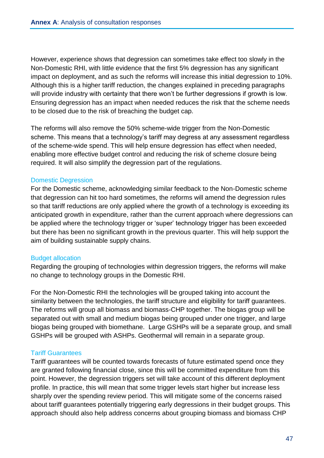However, experience shows that degression can sometimes take effect too slowly in the Non-Domestic RHI, with little evidence that the first 5% degression has any significant impact on deployment, and as such the reforms will increase this initial degression to 10%. Although this is a higher tariff reduction, the changes explained in preceding paragraphs will provide industry with certainty that there won't be further degressions if growth is low. Ensuring degression has an impact when needed reduces the risk that the scheme needs to be closed due to the risk of breaching the budget cap.

The reforms will also remove the 50% scheme-wide trigger from the Non-Domestic scheme. This means that a technology's tariff may degress at any assessment regardless of the scheme-wide spend. This will help ensure degression has effect when needed, enabling more effective budget control and reducing the risk of scheme closure being required. It will also simplify the degression part of the regulations.

## Domestic Degression

For the Domestic scheme, acknowledging similar feedback to the Non-Domestic scheme that degression can hit too hard sometimes, the reforms will amend the degression rules so that tariff reductions are only applied where the growth of a technology is exceeding its anticipated growth in expenditure, rather than the current approach where degressions can be applied where the technology trigger or 'super' technology trigger has been exceeded but there has been no significant growth in the previous quarter. This will help support the aim of building sustainable supply chains.

## Budget allocation

Regarding the grouping of technologies within degression triggers, the reforms will make no change to technology groups in the Domestic RHI.

For the Non-Domestic RHI the technologies will be grouped taking into account the similarity between the technologies, the tariff structure and eligibility for tariff guarantees. The reforms will group all biomass and biomass-CHP together. The biogas group will be separated out with small and medium biogas being grouped under one trigger, and large biogas being grouped with biomethane. Large GSHPs will be a separate group, and small GSHPs will be grouped with ASHPs. Geothermal will remain in a separate group.

# Tariff Guarantees

Tariff guarantees will be counted towards forecasts of future estimated spend once they are granted following financial close, since this will be committed expenditure from this point. However, the degression triggers set will take account of this different deployment profile. In practice, this will mean that some trigger levels start higher but increase less sharply over the spending review period. This will mitigate some of the concerns raised about tariff guarantees potentially triggering early degressions in their budget groups. This approach should also help address concerns about grouping biomass and biomass CHP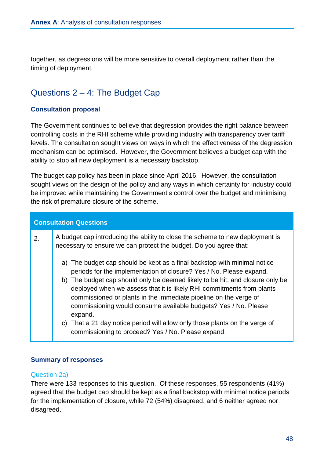together, as degressions will be more sensitive to overall deployment rather than the timing of deployment.

# Questions 2 – 4: The Budget Cap

#### **Consultation proposal**

The Government continues to believe that degression provides the right balance between controlling costs in the RHI scheme while providing industry with transparency over tariff levels. The consultation sought views on ways in which the effectiveness of the degression mechanism can be optimised. However, the Government believes a budget cap with the ability to stop all new deployment is a necessary backstop.

The budget cap policy has been in place since April 2016. However, the consultation sought views on the design of the policy and any ways in which certainty for industry could be improved while maintaining the Government's control over the budget and minimising the risk of premature closure of the scheme.

| <b>Consultation Questions</b> |                                                                                                                                                                                                                                                                                                                                                                                                                                                                                                                                                                                                  |
|-------------------------------|--------------------------------------------------------------------------------------------------------------------------------------------------------------------------------------------------------------------------------------------------------------------------------------------------------------------------------------------------------------------------------------------------------------------------------------------------------------------------------------------------------------------------------------------------------------------------------------------------|
| 2.                            | A budget cap introducing the ability to close the scheme to new deployment is<br>necessary to ensure we can protect the budget. Do you agree that:                                                                                                                                                                                                                                                                                                                                                                                                                                               |
|                               | a) The budget cap should be kept as a final backstop with minimal notice<br>periods for the implementation of closure? Yes / No. Please expand.<br>b) The budget cap should only be deemed likely to be hit, and closure only be<br>deployed when we assess that it is likely RHI commitments from plants<br>commissioned or plants in the immediate pipeline on the verge of<br>commissioning would consume available budgets? Yes / No. Please<br>expand.<br>c) That a 21 day notice period will allow only those plants on the verge of<br>commissioning to proceed? Yes / No. Please expand. |

#### **Summary of responses**

#### Question 2a)

There were 133 responses to this question. Of these responses, 55 respondents (41%) agreed that the budget cap should be kept as a final backstop with minimal notice periods for the implementation of closure, while 72 (54%) disagreed, and 6 neither agreed nor disagreed.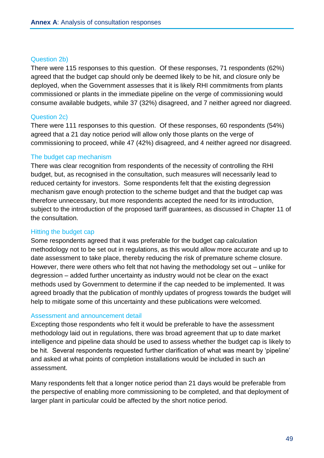#### Question 2b)

There were 115 responses to this question. Of these responses, 71 respondents (62%) agreed that the budget cap should only be deemed likely to be hit, and closure only be deployed, when the Government assesses that it is likely RHI commitments from plants commissioned or plants in the immediate pipeline on the verge of commissioning would consume available budgets, while 37 (32%) disagreed, and 7 neither agreed nor diagreed.

#### Question 2c)

There were 111 responses to this question. Of these responses, 60 respondents (54%) agreed that a 21 day notice period will allow only those plants on the verge of commissioning to proceed, while 47 (42%) disagreed, and 4 neither agreed nor disagreed.

#### The budget cap mechanism

There was clear recognition from respondents of the necessity of controlling the RHI budget, but, as recognised in the consultation, such measures will necessarily lead to reduced certainty for investors. Some respondents felt that the existing degression mechanism gave enough protection to the scheme budget and that the budget cap was therefore unnecessary, but more respondents accepted the need for its introduction, subject to the introduction of the proposed tariff guarantees, as discussed in Chapter 11 of the consultation.

### Hitting the budget cap

Some respondents agreed that it was preferable for the budget cap calculation methodology not to be set out in regulations, as this would allow more accurate and up to date assessment to take place, thereby reducing the risk of premature scheme closure. However, there were others who felt that not having the methodology set out – unlike for degression – added further uncertainty as industry would not be clear on the exact methods used by Government to determine if the cap needed to be implemented. It was agreed broadly that the publication of monthly updates of progress towards the budget will help to mitigate some of this uncertainty and these publications were welcomed.

#### Assessment and announcement detail

Excepting those respondents who felt it would be preferable to have the assessment methodology laid out in regulations, there was broad agreement that up to date market intelligence and pipeline data should be used to assess whether the budget cap is likely to be hit. Several respondents requested further clarification of what was meant by 'pipeline' and asked at what points of completion installations would be included in such an assessment.

Many respondents felt that a longer notice period than 21 days would be preferable from the perspective of enabling more commissioning to be completed, and that deployment of larger plant in particular could be affected by the short notice period.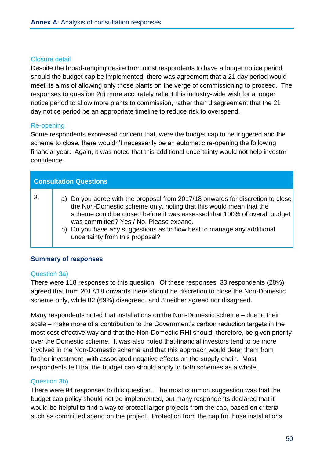#### Closure detail

Despite the broad-ranging desire from most respondents to have a longer notice period should the budget cap be implemented, there was agreement that a 21 day period would meet its aims of allowing only those plants on the verge of commissioning to proceed. The responses to question 2c) more accurately reflect this industry-wide wish for a longer notice period to allow more plants to commission, rather than disagreement that the 21 day notice period be an appropriate timeline to reduce risk to overspend.

## Re-opening

Some respondents expressed concern that, were the budget cap to be triggered and the scheme to close, there wouldn't necessarily be an automatic re-opening the following financial year. Again, it was noted that this additional uncertainty would not help investor confidence.

| <b>Consultation Questions</b> |                                                                                                                                                                                                                                                                                                                                                                                           |  |
|-------------------------------|-------------------------------------------------------------------------------------------------------------------------------------------------------------------------------------------------------------------------------------------------------------------------------------------------------------------------------------------------------------------------------------------|--|
|                               | a) Do you agree with the proposal from 2017/18 onwards for discretion to close<br>the Non-Domestic scheme only, noting that this would mean that the<br>scheme could be closed before it was assessed that 100% of overall budget<br>was committed? Yes / No. Please expand.<br>b) Do you have any suggestions as to how best to manage any additional<br>uncertainty from this proposal? |  |

## **Summary of responses**

## Question 3a)

There were 118 responses to this question. Of these responses, 33 respondents (28%) agreed that from 2017/18 onwards there should be discretion to close the Non-Domestic scheme only, while 82 (69%) disagreed, and 3 neither agreed nor disagreed.

Many respondents noted that installations on the Non-Domestic scheme – due to their scale – make more of a contribution to the Government's carbon reduction targets in the most cost-effective way and that the Non-Domestic RHI should, therefore, be given priority over the Domestic scheme. It was also noted that financial investors tend to be more involved in the Non-Domestic scheme and that this approach would deter them from further investment, with associated negative effects on the supply chain. Most respondents felt that the budget cap should apply to both schemes as a whole.

## Question 3b)

There were 94 responses to this question. The most common suggestion was that the budget cap policy should not be implemented, but many respondents declared that it would be helpful to find a way to protect larger projects from the cap, based on criteria such as committed spend on the project. Protection from the cap for those installations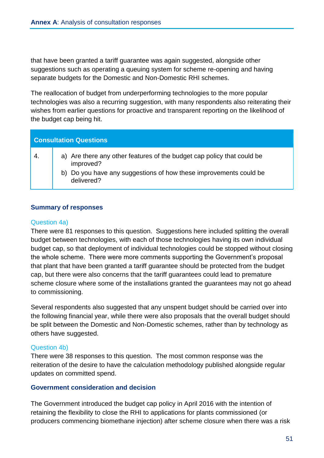that have been granted a tariff guarantee was again suggested, alongside other suggestions such as operating a queuing system for scheme re-opening and having separate budgets for the Domestic and Non-Domestic RHI schemes.

The reallocation of budget from underperforming technologies to the more popular technologies was also a recurring suggestion, with many respondents also reiterating their wishes from earlier questions for proactive and transparent reporting on the likelihood of the budget cap being hit.

| <b>Consultation Questions</b> |                                                                                                                                                                        |
|-------------------------------|------------------------------------------------------------------------------------------------------------------------------------------------------------------------|
| -4.                           | a) Are there any other features of the budget cap policy that could be<br>improved?<br>b) Do you have any suggestions of how these improvements could be<br>delivered? |

## **Summary of responses**

#### Question 4a)

There were 81 responses to this question. Suggestions here included splitting the overall budget between technologies, with each of those technologies having its own individual budget cap, so that deployment of individual technologies could be stopped without closing the whole scheme. There were more comments supporting the Government's proposal that plant that have been granted a tariff guarantee should be protected from the budget cap, but there were also concerns that the tariff guarantees could lead to premature scheme closure where some of the installations granted the guarantees may not go ahead to commissioning.

Several respondents also suggested that any unspent budget should be carried over into the following financial year, while there were also proposals that the overall budget should be split between the Domestic and Non-Domestic schemes, rather than by technology as others have suggested.

#### Question 4b)

There were 38 responses to this question. The most common response was the reiteration of the desire to have the calculation methodology published alongside regular updates on committed spend.

#### **Government consideration and decision**

The Government introduced the budget cap policy in April 2016 with the intention of retaining the flexibility to close the RHI to applications for plants commissioned (or producers commencing biomethane injection) after scheme closure when there was a risk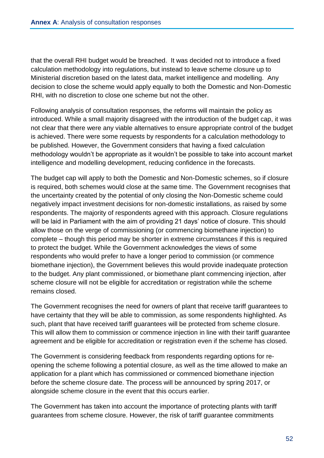that the overall RHI budget would be breached. It was decided not to introduce a fixed calculation methodology into regulations, but instead to leave scheme closure up to Ministerial discretion based on the latest data, market intelligence and modelling. Any decision to close the scheme would apply equally to both the Domestic and Non-Domestic RHI, with no discretion to close one scheme but not the other.

Following analysis of consultation responses, the reforms will maintain the policy as introduced. While a small majority disagreed with the introduction of the budget cap, it was not clear that there were any viable alternatives to ensure appropriate control of the budget is achieved. There were some requests by respondents for a calculation methodology to be published. However, the Government considers that having a fixed calculation methodology wouldn't be appropriate as it wouldn't be possible to take into account market intelligence and modelling development, reducing confidence in the forecasts.

The budget cap will apply to both the Domestic and Non-Domestic schemes, so if closure is required, both schemes would close at the same time. The Government recognises that the uncertainty created by the potential of only closing the Non-Domestic scheme could negatively impact investment decisions for non-domestic installations, as raised by some respondents. The majority of respondents agreed with this approach. Closure regulations will be laid in Parliament with the aim of providing 21 days' notice of closure. This should allow those on the verge of commissioning (or commencing biomethane injection) to complete – though this period may be shorter in extreme circumstances if this is required to protect the budget. While the Government acknowledges the views of some respondents who would prefer to have a longer period to commission (or commence biomethane injection), the Government believes this would provide inadequate protection to the budget. Any plant commissioned, or biomethane plant commencing injection, after scheme closure will not be eligible for accreditation or registration while the scheme remains closed.

The Government recognises the need for owners of plant that receive tariff guarantees to have certainty that they will be able to commission, as some respondents highlighted. As such, plant that have received tariff guarantees will be protected from scheme closure. This will allow them to commission or commence injection in line with their tariff guarantee agreement and be eligible for accreditation or registration even if the scheme has closed.

The Government is considering feedback from respondents regarding options for reopening the scheme following a potential closure, as well as the time allowed to make an application for a plant which has commissioned or commenced biomethane injection before the scheme closure date. The process will be announced by spring 2017, or alongside scheme closure in the event that this occurs earlier.

The Government has taken into account the importance of protecting plants with tariff guarantees from scheme closure. However, the risk of tariff guarantee commitments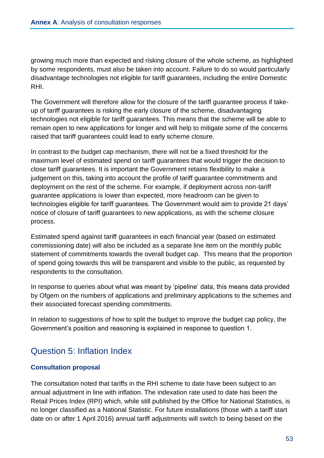growing much more than expected and risking closure of the whole scheme, as highlighted by some respondents, must also be taken into account. Failure to do so would particularly disadvantage technologies not eligible for tariff guarantees, including the entire Domestic RHI.

The Government will therefore allow for the closure of the tariff guarantee process if takeup of tariff guarantees is risking the early closure of the scheme, disadvantaging technologies not eligible for tariff guarantees. This means that the scheme will be able to remain open to new applications for longer and will help to mitigate some of the concerns raised that tariff guarantees could lead to early scheme closure.

In contrast to the budget cap mechanism, there will not be a fixed threshold for the maximum level of estimated spend on tariff guarantees that would trigger the decision to close tariff guarantees. It is important the Government retains flexibility to make a judgement on this, taking into account the profile of tariff guarantee commitments and deployment on the rest of the scheme. For example, if deployment across non-tariff guarantee applications is lower than expected, more headroom can be given to technologies eligible for tariff guarantees. The Government would aim to provide 21 days' notice of closure of tariff guarantees to new applications, as with the scheme closure process.

Estimated spend against tariff guarantees in each financial year (based on estimated commissioning date) will also be included as a separate line item on the monthly public statement of commitments towards the overall budget cap. This means that the proportion of spend going towards this will be transparent and visible to the public, as requested by respondents to the consultation.

In response to queries about what was meant by 'pipeline' data, this means data provided by Ofgem on the numbers of applications and preliminary applications to the schemes and their associated forecast spending commitments.

In relation to suggestions of how to split the budget to improve the budget cap policy, the Government's position and reasoning is explained in response to question 1.

# Question 5: Inflation Index

## **Consultation proposal**

The consultation noted that tariffs in the RHI scheme to date have been subject to an annual adjustment in line with inflation. The indexation rate used to date has been the Retail Prices Index (RPI) which, while still published by the Office for National Statistics, is no longer classified as a National Statistic. For future installations (those with a tariff start date on or after 1 April 2016) annual tariff adjustments will switch to being based on the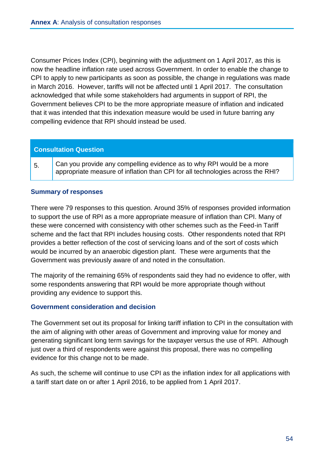Consumer Prices Index (CPI), beginning with the adjustment on 1 April 2017, as this is now the headline inflation rate used across Government. In order to enable the change to CPI to apply to new participants as soon as possible, the change in regulations was made in March 2016. However, tariffs will not be affected until 1 April 2017. The consultation acknowledged that while some stakeholders had arguments in support of RPI, the Government believes CPI to be the more appropriate measure of inflation and indicated that it was intended that this indexation measure would be used in future barring any compelling evidence that RPI should instead be used.

#### **Consultation Question**

 $\mathcal{F}_5$ . Can you provide any compelling evidence as to why RPI would be a more appropriate measure of inflation than CPI for all technologies across the RHI?

#### **Summary of responses**

There were 79 responses to this question. Around 35% of responses provided information to support the use of RPI as a more appropriate measure of inflation than CPI. Many of these were concerned with consistency with other schemes such as the Feed-in Tariff scheme and the fact that RPI includes housing costs. Other respondents noted that RPI provides a better reflection of the cost of servicing loans and of the sort of costs which would be incurred by an anaerobic digestion plant. These were arguments that the Government was previously aware of and noted in the consultation.

The majority of the remaining 65% of respondents said they had no evidence to offer, with some respondents answering that RPI would be more appropriate though without providing any evidence to support this.

#### **Government consideration and decision**

The Government set out its proposal for linking tariff inflation to CPI in the consultation with the aim of aligning with other areas of Government and improving value for money and generating significant long term savings for the taxpayer versus the use of RPI. Although just over a third of respondents were against this proposal, there was no compelling evidence for this change not to be made.

As such, the scheme will continue to use CPI as the inflation index for all applications with a tariff start date on or after 1 April 2016, to be applied from 1 April 2017.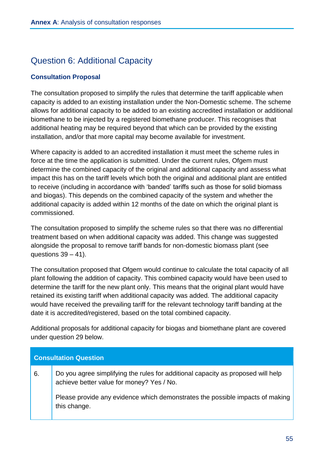# Question 6: Additional Capacity

# **Consultation Proposal**

The consultation proposed to simplify the rules that determine the tariff applicable when capacity is added to an existing installation under the Non-Domestic scheme. The scheme allows for additional capacity to be added to an existing accredited installation or additional biomethane to be injected by a registered biomethane producer. This recognises that additional heating may be required beyond that which can be provided by the existing installation, and/or that more capital may become available for investment.

Where capacity is added to an accredited installation it must meet the scheme rules in force at the time the application is submitted. Under the current rules, Ofgem must determine the combined capacity of the original and additional capacity and assess what impact this has on the tariff levels which both the original and additional plant are entitled to receive (including in accordance with 'banded' tariffs such as those for solid biomass and biogas). This depends on the combined capacity of the system and whether the additional capacity is added within 12 months of the date on which the original plant is commissioned.

The consultation proposed to simplify the scheme rules so that there was no differential treatment based on when additional capacity was added. This change was suggested alongside the proposal to remove tariff bands for non-domestic biomass plant (see questions  $39 - 41$ ).

The consultation proposed that Ofgem would continue to calculate the total capacity of all plant following the addition of capacity. This combined capacity would have been used to determine the tariff for the new plant only. This means that the original plant would have retained its existing tariff when additional capacity was added. The additional capacity would have received the prevailing tariff for the relevant technology tariff banding at the date it is accredited/registered, based on the total combined capacity.

Additional proposals for additional capacity for biogas and biomethane plant are covered under question 29 below.

| <b>Consultation Question</b> |                                                                                                                               |  |
|------------------------------|-------------------------------------------------------------------------------------------------------------------------------|--|
| 6.                           | Do you agree simplifying the rules for additional capacity as proposed will help<br>achieve better value for money? Yes / No. |  |
|                              | Please provide any evidence which demonstrates the possible impacts of making<br>this change.                                 |  |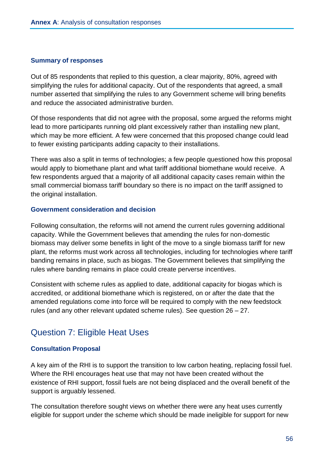Out of 85 respondents that replied to this question, a clear majority, 80%, agreed with simplifying the rules for additional capacity. Out of the respondents that agreed, a small number asserted that simplifying the rules to any Government scheme will bring benefits and reduce the associated administrative burden.

Of those respondents that did not agree with the proposal, some argued the reforms might lead to more participants running old plant excessively rather than installing new plant, which may be more efficient. A few were concerned that this proposed change could lead to fewer existing participants adding capacity to their installations.

There was also a split in terms of technologies; a few people questioned how this proposal would apply to biomethane plant and what tariff additional biomethane would receive. A few respondents argued that a majority of all additional capacity cases remain within the small commercial biomass tariff boundary so there is no impact on the tariff assigned to the original installation.

#### **Government consideration and decision**

Following consultation, the reforms will not amend the current rules governing additional capacity. While the Government believes that amending the rules for non-domestic biomass may deliver some benefits in light of the move to a single biomass tariff for new plant, the reforms must work across all technologies, including for technologies where tariff banding remains in place, such as biogas. The Government believes that simplifying the rules where banding remains in place could create perverse incentives.

Consistent with scheme rules as applied to date, additional capacity for biogas which is accredited, or additional biomethane which is registered, on or after the date that the amended regulations come into force will be required to comply with the new feedstock rules (and any other relevant updated scheme rules). See question 26 – 27.

# Question 7: Eligible Heat Uses

#### **Consultation Proposal**

A key aim of the RHI is to support the transition to low carbon heating, replacing fossil fuel. Where the RHI encourages heat use that may not have been created without the existence of RHI support, fossil fuels are not being displaced and the overall benefit of the support is arguably lessened.

The consultation therefore sought views on whether there were any heat uses currently eligible for support under the scheme which should be made ineligible for support for new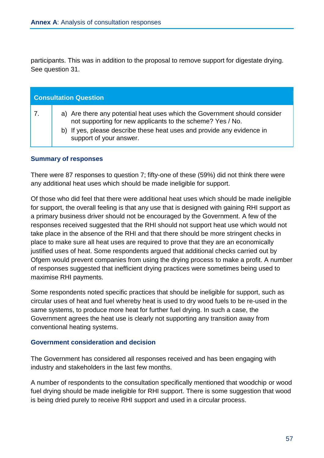participants. This was in addition to the proposal to remove support for digestate drying. See question 31.

| <b>Consultation Question</b> |                                                                                                                                                                                                                                              |
|------------------------------|----------------------------------------------------------------------------------------------------------------------------------------------------------------------------------------------------------------------------------------------|
|                              | a) Are there any potential heat uses which the Government should consider<br>not supporting for new applicants to the scheme? Yes / No.<br>b) If yes, please describe these heat uses and provide any evidence in<br>support of your answer. |

#### **Summary of responses**

There were 87 responses to question 7; fifty-one of these (59%) did not think there were any additional heat uses which should be made ineligible for support.

Of those who did feel that there were additional heat uses which should be made ineligible for support, the overall feeling is that any use that is designed with gaining RHI support as a primary business driver should not be encouraged by the Government. A few of the responses received suggested that the RHI should not support heat use which would not take place in the absence of the RHI and that there should be more stringent checks in place to make sure all heat uses are required to prove that they are an economically justified uses of heat. Some respondents argued that additional checks carried out by Ofgem would prevent companies from using the drying process to make a profit. A number of responses suggested that inefficient drying practices were sometimes being used to maximise RHI payments.

Some respondents noted specific practices that should be ineligible for support, such as circular uses of heat and fuel whereby heat is used to dry wood fuels to be re-used in the same systems, to produce more heat for further fuel drying. In such a case, the Government agrees the heat use is clearly not supporting any transition away from conventional heating systems.

#### **Government consideration and decision**

The Government has considered all responses received and has been engaging with industry and stakeholders in the last few months.

A number of respondents to the consultation specifically mentioned that woodchip or wood fuel drying should be made ineligible for RHI support. There is some suggestion that wood is being dried purely to receive RHI support and used in a circular process.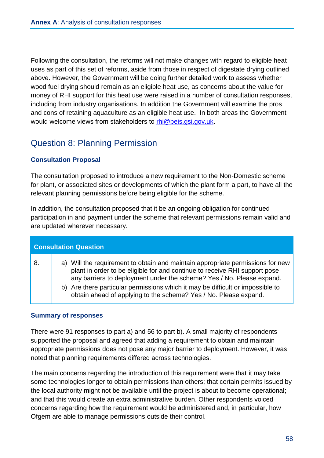Following the consultation, the reforms will not make changes with regard to eligible heat uses as part of this set of reforms, aside from those in respect of digestate drying outlined above. However, the Government will be doing further detailed work to assess whether wood fuel drying should remain as an eligible heat use, as concerns about the value for money of RHI support for this heat use were raised in a number of consultation responses, including from industry organisations. In addition the Government will examine the pros and cons of retaining aquaculture as an eligible heat use. In both areas the Government would welcome views from stakeholders to [rhi@beis.gsi.gov.uk.](mailto:rhi@beis.gsi.gov.uk)

# Question 8: Planning Permission

# **Consultation Proposal**

The consultation proposed to introduce a new requirement to the Non-Domestic scheme for plant, or associated sites or developments of which the plant form a part, to have all the relevant planning permissions before being eligible for the scheme.

In addition, the consultation proposed that it be an ongoing obligation for continued participation in and payment under the scheme that relevant permissions remain valid and are updated wherever necessary.

| <b>Consultation Question</b> |                                                                                                                                                                                                                                                                                                                                                                                             |
|------------------------------|---------------------------------------------------------------------------------------------------------------------------------------------------------------------------------------------------------------------------------------------------------------------------------------------------------------------------------------------------------------------------------------------|
| 8                            | a) Will the requirement to obtain and maintain appropriate permissions for new<br>plant in order to be eligible for and continue to receive RHI support pose<br>any barriers to deployment under the scheme? Yes / No. Please expand.<br>b) Are there particular permissions which it may be difficult or impossible to<br>obtain ahead of applying to the scheme? Yes / No. Please expand. |

#### **Summary of responses**

There were 91 responses to part a) and 56 to part b). A small majority of respondents supported the proposal and agreed that adding a requirement to obtain and maintain appropriate permissions does not pose any major barrier to deployment. However, it was noted that planning requirements differed across technologies.

The main concerns regarding the introduction of this requirement were that it may take some technologies longer to obtain permissions than others; that certain permits issued by the local authority might not be available until the project is about to become operational; and that this would create an extra administrative burden. Other respondents voiced concerns regarding how the requirement would be administered and, in particular, how Ofgem are able to manage permissions outside their control.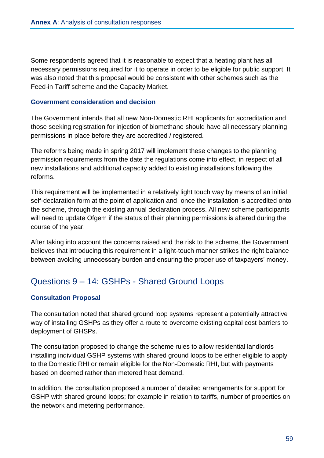Some respondents agreed that it is reasonable to expect that a heating plant has all necessary permissions required for it to operate in order to be eligible for public support. It was also noted that this proposal would be consistent with other schemes such as the Feed-in Tariff scheme and the Capacity Market.

#### **Government consideration and decision**

The Government intends that all new Non-Domestic RHI applicants for accreditation and those seeking registration for injection of biomethane should have all necessary planning permissions in place before they are accredited / registered.

The reforms being made in spring 2017 will implement these changes to the planning permission requirements from the date the regulations come into effect, in respect of all new installations and additional capacity added to existing installations following the reforms.

This requirement will be implemented in a relatively light touch way by means of an initial self-declaration form at the point of application and, once the installation is accredited onto the scheme, through the existing annual declaration process. All new scheme participants will need to update Ofgem if the status of their planning permissions is altered during the course of the year.

After taking into account the concerns raised and the risk to the scheme, the Government believes that introducing this requirement in a light-touch manner strikes the right balance between avoiding unnecessary burden and ensuring the proper use of taxpayers' money.

# Questions 9 – 14: GSHPs - Shared Ground Loops

#### **Consultation Proposal**

The consultation noted that shared ground loop systems represent a potentially attractive way of installing GSHPs as they offer a route to overcome existing capital cost barriers to deployment of GHSPs.

The consultation proposed to change the scheme rules to allow residential landlords installing individual GSHP systems with shared ground loops to be either eligible to apply to the Domestic RHI or remain eligible for the Non-Domestic RHI, but with payments based on deemed rather than metered heat demand.

In addition, the consultation proposed a number of detailed arrangements for support for GSHP with shared ground loops; for example in relation to tariffs, number of properties on the network and metering performance.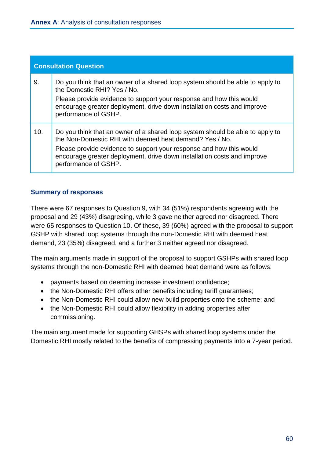| <b>Consultation Question</b> |                                                                                                                                                                                                                                                                                                                    |  |
|------------------------------|--------------------------------------------------------------------------------------------------------------------------------------------------------------------------------------------------------------------------------------------------------------------------------------------------------------------|--|
| 9.                           | Do you think that an owner of a shared loop system should be able to apply to<br>the Domestic RHI? Yes / No.<br>Please provide evidence to support your response and how this would<br>encourage greater deployment, drive down installation costs and improve<br>performance of GSHP.                             |  |
| 10.                          | Do you think that an owner of a shared loop system should be able to apply to<br>the Non-Domestic RHI with deemed heat demand? Yes / No.<br>Please provide evidence to support your response and how this would<br>encourage greater deployment, drive down installation costs and improve<br>performance of GSHP. |  |

There were 67 responses to Question 9, with 34 (51%) respondents agreeing with the proposal and 29 (43%) disagreeing, while 3 gave neither agreed nor disagreed. There were 65 responses to Question 10. Of these, 39 (60%) agreed with the proposal to support GSHP with shared loop systems through the non-Domestic RHI with deemed heat demand, 23 (35%) disagreed, and a further 3 neither agreed nor disagreed.

The main arguments made in support of the proposal to support GSHPs with shared loop systems through the non-Domestic RHI with deemed heat demand were as follows:

- payments based on deeming increase investment confidence;
- the Non-Domestic RHI offers other benefits including tariff guarantees;
- the Non-Domestic RHI could allow new build properties onto the scheme; and
- the Non-Domestic RHI could allow flexibility in adding properties after commissioning.

The main argument made for supporting GHSPs with shared loop systems under the Domestic RHI mostly related to the benefits of compressing payments into a 7-year period.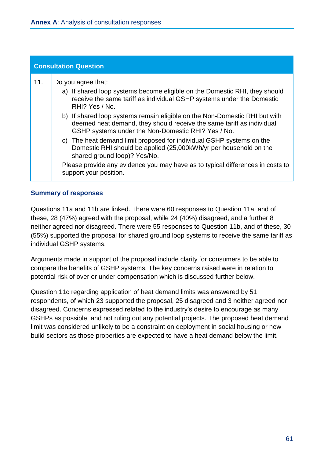| <b>Consultation Question</b> |                                                                                                                                                                                                                                                                                                                                                                                                                                                                                                                                                                                                                                                                                                   |
|------------------------------|---------------------------------------------------------------------------------------------------------------------------------------------------------------------------------------------------------------------------------------------------------------------------------------------------------------------------------------------------------------------------------------------------------------------------------------------------------------------------------------------------------------------------------------------------------------------------------------------------------------------------------------------------------------------------------------------------|
| 11.                          | Do you agree that:<br>a) If shared loop systems become eligible on the Domestic RHI, they should<br>receive the same tariff as individual GSHP systems under the Domestic<br>RHI? Yes / No.<br>b) If shared loop systems remain eligible on the Non-Domestic RHI but with<br>deemed heat demand, they should receive the same tariff as individual<br>GSHP systems under the Non-Domestic RHI? Yes / No.<br>c) The heat demand limit proposed for individual GSHP systems on the<br>Domestic RHI should be applied (25,000kWh/yr per household on the<br>shared ground loop)? Yes/No.<br>Please provide any evidence you may have as to typical differences in costs to<br>support your position. |

Questions 11a and 11b are linked. There were 60 responses to Question 11a, and of these, 28 (47%) agreed with the proposal, while 24 (40%) disagreed, and a further 8 neither agreed nor disagreed. There were 55 responses to Question 11b, and of these, 30 (55%) supported the proposal for shared ground loop systems to receive the same tariff as individual GSHP systems.

Arguments made in support of the proposal include clarity for consumers to be able to compare the benefits of GSHP systems. The key concerns raised were in relation to potential risk of over or under compensation which is discussed further below.

Question 11c regarding application of heat demand limits was answered by 51 respondents, of which 23 supported the proposal, 25 disagreed and 3 neither agreed nor disagreed. Concerns expressed related to the industry's desire to encourage as many GSHPs as possible, and not ruling out any potential projects. The proposed heat demand limit was considered unlikely to be a constraint on deployment in social housing or new build sectors as those properties are expected to have a heat demand below the limit.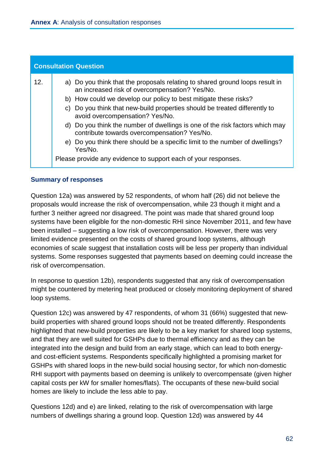| <b>Consultation Question</b> |                                                                                                                                                                                                                                                                                                                                                                                                                                                                                                                                                                                                                  |  |
|------------------------------|------------------------------------------------------------------------------------------------------------------------------------------------------------------------------------------------------------------------------------------------------------------------------------------------------------------------------------------------------------------------------------------------------------------------------------------------------------------------------------------------------------------------------------------------------------------------------------------------------------------|--|
| 12.                          | a) Do you think that the proposals relating to shared ground loops result in<br>an increased risk of overcompensation? Yes/No.<br>b) How could we develop our policy to best mitigate these risks?<br>c) Do you think that new-build properties should be treated differently to<br>avoid overcompensation? Yes/No.<br>d) Do you think the number of dwellings is one of the risk factors which may<br>contribute towards overcompensation? Yes/No.<br>e) Do you think there should be a specific limit to the number of dwellings?<br>Yes/No.<br>Please provide any evidence to support each of your responses. |  |
|                              |                                                                                                                                                                                                                                                                                                                                                                                                                                                                                                                                                                                                                  |  |

Question 12a) was answered by 52 respondents, of whom half (26) did not believe the proposals would increase the risk of overcompensation, while 23 though it might and a further 3 neither agreed nor disagreed. The point was made that shared ground loop systems have been eligible for the non-domestic RHI since November 2011, and few have been installed – suggesting a low risk of overcompensation. However, there was very limited evidence presented on the costs of shared ground loop systems, although economies of scale suggest that installation costs will be less per property than individual systems. Some responses suggested that payments based on deeming could increase the risk of overcompensation.

In response to question 12b), respondents suggested that any risk of overcompensation might be countered by metering heat produced or closely monitoring deployment of shared loop systems.

Question 12c) was answered by 47 respondents, of whom 31 (66%) suggested that newbuild properties with shared ground loops should not be treated differently. Respondents highlighted that new-build properties are likely to be a key market for shared loop systems, and that they are well suited for GSHPs due to thermal efficiency and as they can be integrated into the design and build from an early stage, which can lead to both energyand cost-efficient systems. Respondents specifically highlighted a promising market for GSHPs with shared loops in the new-build social housing sector, for which non-domestic RHI support with payments based on deeming is unlikely to overcompensate (given higher capital costs per kW for smaller homes/flats). The occupants of these new-build social homes are likely to include the less able to pay.

Questions 12d) and e) are linked, relating to the risk of overcompensation with large numbers of dwellings sharing a ground loop. Question 12d) was answered by 44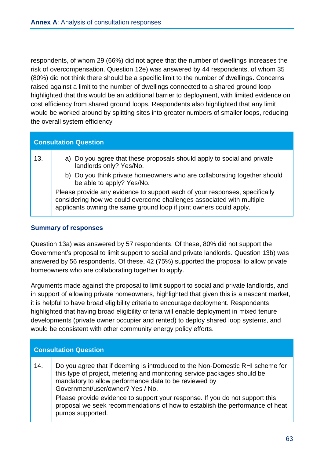respondents, of whom 29 (66%) did not agree that the number of dwellings increases the risk of overcompensation. Question 12e) was answered by 44 respondents, of whom 35 (80%) did not think there should be a specific limit to the number of dwellings. Concerns raised against a limit to the number of dwellings connected to a shared ground loop highlighted that this would be an additional barrier to deployment, with limited evidence on cost efficiency from shared ground loops. Respondents also highlighted that any limit would be worked around by splitting sites into greater numbers of smaller loops, reducing the overall system efficiency

| <b>Consultation Question</b> |                                                                                                                                                                                                                             |
|------------------------------|-----------------------------------------------------------------------------------------------------------------------------------------------------------------------------------------------------------------------------|
| 13.                          | a) Do you agree that these proposals should apply to social and private<br>landlords only? Yes/No.                                                                                                                          |
|                              | b) Do you think private homeowners who are collaborating together should<br>be able to apply? Yes/No.                                                                                                                       |
|                              | Please provide any evidence to support each of your responses, specifically<br>considering how we could overcome challenges associated with multiple<br>applicants owning the same ground loop if joint owners could apply. |

## **Summary of responses**

Question 13a) was answered by 57 respondents. Of these, 80% did not support the Government's proposal to limit support to social and private landlords. Question 13b) was answered by 56 respondents. Of these, 42 (75%) supported the proposal to allow private homeowners who are collaborating together to apply.

Arguments made against the proposal to limit support to social and private landlords, and in support of allowing private homeowners, highlighted that given this is a nascent market, it is helpful to have broad eligibility criteria to encourage deployment. Respondents highlighted that having broad eligibility criteria will enable deployment in mixed tenure developments (private owner occupier and rented) to deploy shared loop systems, and would be consistent with other community energy policy efforts.

| <b>Consultation Question</b> |                                                                                                                                                                                                                                                        |
|------------------------------|--------------------------------------------------------------------------------------------------------------------------------------------------------------------------------------------------------------------------------------------------------|
| 14.                          | Do you agree that if deeming is introduced to the Non-Domestic RHI scheme for<br>this type of project, metering and monitoring service packages should be<br>mandatory to allow performance data to be reviewed by<br>Government/user/owner? Yes / No. |
|                              | Please provide evidence to support your response. If you do not support this<br>proposal we seek recommendations of how to establish the performance of heat<br>pumps supported.                                                                       |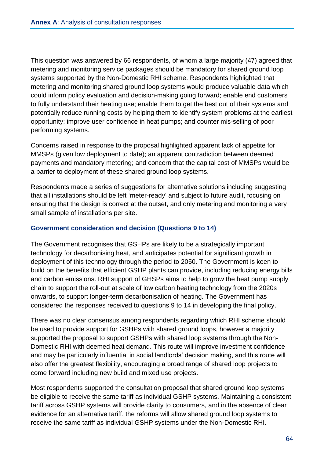This question was answered by 66 respondents, of whom a large majority (47) agreed that metering and monitoring service packages should be mandatory for shared ground loop systems supported by the Non-Domestic RHI scheme. Respondents highlighted that metering and monitoring shared ground loop systems would produce valuable data which could inform policy evaluation and decision-making going forward; enable end customers to fully understand their heating use; enable them to get the best out of their systems and potentially reduce running costs by helping them to identify system problems at the earliest opportunity; improve user confidence in heat pumps; and counter mis-selling of poor performing systems.

Concerns raised in response to the proposal highlighted apparent lack of appetite for MMSPs (given low deployment to date); an apparent contradiction between deemed payments and mandatory metering; and concern that the capital cost of MMSPs would be a barrier to deployment of these shared ground loop systems.

Respondents made a series of suggestions for alternative solutions including suggesting that all installations should be left 'meter-ready' and subject to future audit, focusing on ensuring that the design is correct at the outset, and only metering and monitoring a very small sample of installations per site.

# **Government consideration and decision (Questions 9 to 14)**

The Government recognises that GSHPs are likely to be a strategically important technology for decarbonising heat, and anticipates potential for significant growth in deployment of this technology through the period to 2050. The Government is keen to build on the benefits that efficient GSHP plants can provide, including reducing energy bills and carbon emissions. RHI support of GHSPs aims to help to grow the heat pump supply chain to support the roll-out at scale of low carbon heating technology from the 2020s onwards, to support longer-term decarbonisation of heating. The Government has considered the responses received to questions 9 to 14 in developing the final policy.

There was no clear consensus among respondents regarding which RHI scheme should be used to provide support for GSHPs with shared ground loops, however a majority supported the proposal to support GSHPs with shared loop systems through the Non-Domestic RHI with deemed heat demand. This route will improve investment confidence and may be particularly influential in social landlords' decision making, and this route will also offer the greatest flexibility, encouraging a broad range of shared loop projects to come forward including new build and mixed use projects.

Most respondents supported the consultation proposal that shared ground loop systems be eligible to receive the same tariff as individual GSHP systems. Maintaining a consistent tariff across GSHP systems will provide clarity to consumers, and in the absence of clear evidence for an alternative tariff, the reforms will allow shared ground loop systems to receive the same tariff as individual GSHP systems under the Non-Domestic RHI.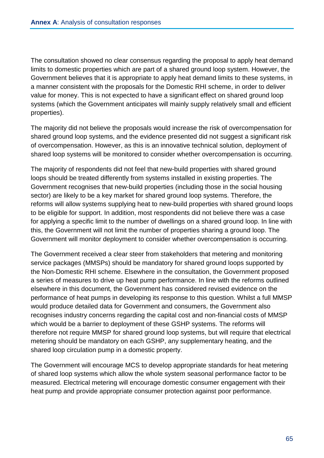The consultation showed no clear consensus regarding the proposal to apply heat demand limits to domestic properties which are part of a shared ground loop system. However, the Government believes that it is appropriate to apply heat demand limits to these systems, in a manner consistent with the proposals for the Domestic RHI scheme, in order to deliver value for money. This is not expected to have a significant effect on shared ground loop systems (which the Government anticipates will mainly supply relatively small and efficient properties).

The majority did not believe the proposals would increase the risk of overcompensation for shared ground loop systems, and the evidence presented did not suggest a significant risk of overcompensation. However, as this is an innovative technical solution, deployment of shared loop systems will be monitored to consider whether overcompensation is occurring.

The majority of respondents did not feel that new-build properties with shared ground loops should be treated differently from systems installed in existing properties. The Government recognises that new-build properties (including those in the social housing sector) are likely to be a key market for shared ground loop systems. Therefore, the reforms will allow systems supplying heat to new-build properties with shared ground loops to be eligible for support. In addition, most respondents did not believe there was a case for applying a specific limit to the number of dwellings on a shared ground loop. In line with this, the Government will not limit the number of properties sharing a ground loop. The Government will monitor deployment to consider whether overcompensation is occurring.

The Government received a clear steer from stakeholders that metering and monitoring service packages (MMSPs) should be mandatory for shared ground loops supported by the Non-Domestic RHI scheme. Elsewhere in the consultation, the Government proposed a series of measures to drive up heat pump performance. In line with the reforms outlined elsewhere in this document, the Government has considered revised evidence on the performance of heat pumps in developing its response to this question. Whilst a full MMSP would produce detailed data for Government and consumers, the Government also recognises industry concerns regarding the capital cost and non-financial costs of MMSP which would be a barrier to deployment of these GSHP systems. The reforms will therefore not require MMSP for shared ground loop systems, but will require that electrical metering should be mandatory on each GSHP, any supplementary heating, and the shared loop circulation pump in a domestic property.

The Government will encourage MCS to develop appropriate standards for heat metering of shared loop systems which allow the whole system seasonal performance factor to be measured. Electrical metering will encourage domestic consumer engagement with their heat pump and provide appropriate consumer protection against poor performance.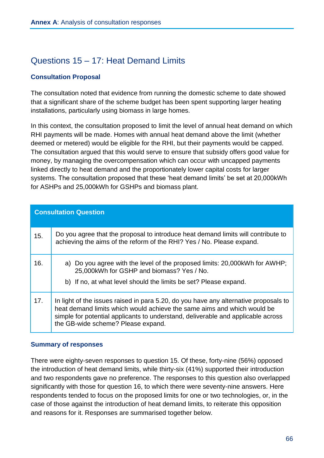# Questions 15 – 17: Heat Demand Limits

# **Consultation Proposal**

The consultation noted that evidence from running the domestic scheme to date showed that a significant share of the scheme budget has been spent supporting larger heating installations, particularly using biomass in large homes.

In this context, the consultation proposed to limit the level of annual heat demand on which RHI payments will be made. Homes with annual heat demand above the limit (whether deemed or metered) would be eligible for the RHI, but their payments would be capped. The consultation argued that this would serve to ensure that subsidy offers good value for money, by managing the overcompensation which can occur with uncapped payments linked directly to heat demand and the proportionately lower capital costs for larger systems. The consultation proposed that these 'heat demand limits' be set at 20,000kWh for ASHPs and 25,000kWh for GSHPs and biomass plant.

| <b>Consultation Question</b> |                                                                                                                                                                                                                                                                                           |
|------------------------------|-------------------------------------------------------------------------------------------------------------------------------------------------------------------------------------------------------------------------------------------------------------------------------------------|
| 15.                          | Do you agree that the proposal to introduce heat demand limits will contribute to<br>achieving the aims of the reform of the RHI? Yes / No. Please expand.                                                                                                                                |
| 16.                          | a) Do you agree with the level of the proposed limits: 20,000kWh for AWHP;<br>25,000kWh for GSHP and biomass? Yes / No.<br>b) If no, at what level should the limits be set? Please expand.                                                                                               |
| 17.                          | In light of the issues raised in para 5.20, do you have any alternative proposals to<br>heat demand limits which would achieve the same aims and which would be<br>simple for potential applicants to understand, deliverable and applicable across<br>the GB-wide scheme? Please expand. |

#### **Summary of responses**

There were eighty-seven responses to question 15. Of these, forty-nine (56%) opposed the introduction of heat demand limits, while thirty-six (41%) supported their introduction and two respondents gave no preference. The responses to this question also overlapped significantly with those for question 16, to which there were seventy-nine answers. Here respondents tended to focus on the proposed limits for one or two technologies, or, in the case of those against the introduction of heat demand limits, to reiterate this opposition and reasons for it. Responses are summarised together below.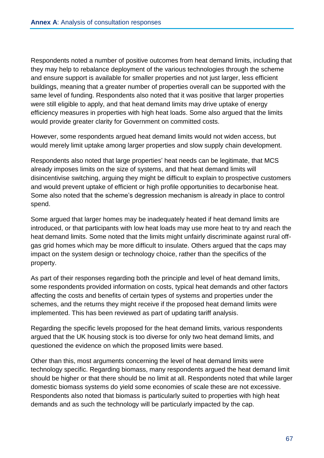Respondents noted a number of positive outcomes from heat demand limits, including that they may help to rebalance deployment of the various technologies through the scheme and ensure support is available for smaller properties and not just larger, less efficient buildings, meaning that a greater number of properties overall can be supported with the same level of funding. Respondents also noted that it was positive that larger properties were still eligible to apply, and that heat demand limits may drive uptake of energy efficiency measures in properties with high heat loads. Some also argued that the limits would provide greater clarity for Government on committed costs.

However, some respondents argued heat demand limits would not widen access, but would merely limit uptake among larger properties and slow supply chain development.

Respondents also noted that large properties' heat needs can be legitimate, that MCS already imposes limits on the size of systems, and that heat demand limits will disincentivise switching, arguing they might be difficult to explain to prospective customers and would prevent uptake of efficient or high profile opportunities to decarbonise heat. Some also noted that the scheme's degression mechanism is already in place to control spend.

Some argued that larger homes may be inadequately heated if heat demand limits are introduced, or that participants with low heat loads may use more heat to try and reach the heat demand limits. Some noted that the limits might unfairly discriminate against rural offgas grid homes which may be more difficult to insulate. Others argued that the caps may impact on the system design or technology choice, rather than the specifics of the property.

As part of their responses regarding both the principle and level of heat demand limits, some respondents provided information on costs, typical heat demands and other factors affecting the costs and benefits of certain types of systems and properties under the schemes, and the returns they might receive if the proposed heat demand limits were implemented. This has been reviewed as part of updating tariff analysis.

Regarding the specific levels proposed for the heat demand limits, various respondents argued that the UK housing stock is too diverse for only two heat demand limits, and questioned the evidence on which the proposed limits were based.

Other than this, most arguments concerning the level of heat demand limits were technology specific. Regarding biomass, many respondents argued the heat demand limit should be higher or that there should be no limit at all. Respondents noted that while larger domestic biomass systems do yield some economies of scale these are not excessive. Respondents also noted that biomass is particularly suited to properties with high heat demands and as such the technology will be particularly impacted by the cap.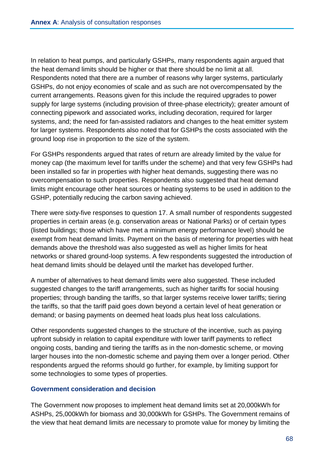In relation to heat pumps, and particularly GSHPs, many respondents again argued that the heat demand limits should be higher or that there should be no limit at all. Respondents noted that there are a number of reasons why larger systems, particularly GSHPs, do not enjoy economies of scale and as such are not overcompensated by the current arrangements. Reasons given for this include the required upgrades to power supply for large systems (including provision of three-phase electricity); greater amount of connecting pipework and associated works, including decoration, required for larger systems, and; the need for fan-assisted radiators and changes to the heat emitter system for larger systems. Respondents also noted that for GSHPs the costs associated with the ground loop rise in proportion to the size of the system.

For GSHPs respondents argued that rates of return are already limited by the value for money cap (the maximum level for tariffs under the scheme) and that very few GSHPs had been installed so far in properties with higher heat demands, suggesting there was no overcompensation to such properties. Respondents also suggested that heat demand limits might encourage other heat sources or heating systems to be used in addition to the GSHP, potentially reducing the carbon saving achieved.

There were sixty-five responses to question 17. A small number of respondents suggested properties in certain areas (e.g. conservation areas or National Parks) or of certain types (listed buildings; those which have met a minimum energy performance level) should be exempt from heat demand limits. Payment on the basis of metering for properties with heat demands above the threshold was also suggested as well as higher limits for heat networks or shared ground-loop systems. A few respondents suggested the introduction of heat demand limits should be delayed until the market has developed further.

A number of alternatives to heat demand limits were also suggested. These included suggested changes to the tariff arrangements, such as higher tariffs for social housing properties; through banding the tariffs, so that larger systems receive lower tariffs; tiering the tariffs, so that the tariff paid goes down beyond a certain level of heat generation or demand; or basing payments on deemed heat loads plus heat loss calculations.

Other respondents suggested changes to the structure of the incentive, such as paying upfront subsidy in relation to capital expenditure with lower tariff payments to reflect ongoing costs, banding and tiering the tariffs as in the non-domestic scheme, or moving larger houses into the non-domestic scheme and paying them over a longer period. Other respondents argued the reforms should go further, for example, by limiting support for some technologies to some types of properties.

#### **Government consideration and decision**

The Government now proposes to implement heat demand limits set at 20,000kWh for ASHPs, 25,000kWh for biomass and 30,000kWh for GSHPs. The Government remains of the view that heat demand limits are necessary to promote value for money by limiting the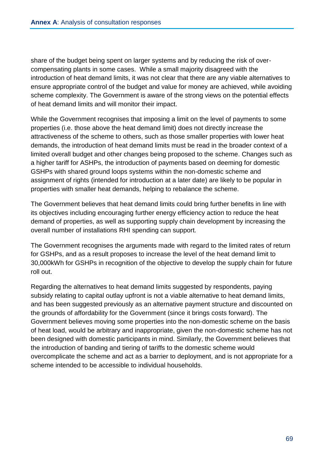share of the budget being spent on larger systems and by reducing the risk of overcompensating plants in some cases. While a small majority disagreed with the introduction of heat demand limits, it was not clear that there are any viable alternatives to ensure appropriate control of the budget and value for money are achieved, while avoiding scheme complexity. The Government is aware of the strong views on the potential effects of heat demand limits and will monitor their impact.

While the Government recognises that imposing a limit on the level of payments to some properties (i.e. those above the heat demand limit) does not directly increase the attractiveness of the scheme to others, such as those smaller properties with lower heat demands, the introduction of heat demand limits must be read in the broader context of a limited overall budget and other changes being proposed to the scheme. Changes such as a higher tariff for ASHPs, the introduction of payments based on deeming for domestic GSHPs with shared ground loops systems within the non-domestic scheme and assignment of rights (intended for introduction at a later date) are likely to be popular in properties with smaller heat demands, helping to rebalance the scheme.

The Government believes that heat demand limits could bring further benefits in line with its objectives including encouraging further energy efficiency action to reduce the heat demand of properties, as well as supporting supply chain development by increasing the overall number of installations RHI spending can support.

The Government recognises the arguments made with regard to the limited rates of return for GSHPs, and as a result proposes to increase the level of the heat demand limit to 30,000kWh for GSHPs in recognition of the objective to develop the supply chain for future roll out.

Regarding the alternatives to heat demand limits suggested by respondents, paying subsidy relating to capital outlay upfront is not a viable alternative to heat demand limits, and has been suggested previously as an alternative payment structure and discounted on the grounds of affordability for the Government (since it brings costs forward). The Government believes moving some properties into the non-domestic scheme on the basis of heat load, would be arbitrary and inappropriate, given the non-domestic scheme has not been designed with domestic participants in mind. Similarly, the Government believes that the introduction of banding and tiering of tariffs to the domestic scheme would overcomplicate the scheme and act as a barrier to deployment, and is not appropriate for a scheme intended to be accessible to individual households.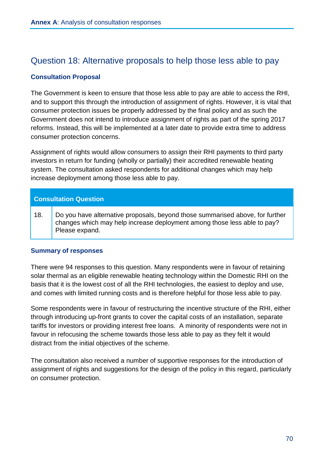# Question 18: Alternative proposals to help those less able to pay

# **Consultation Proposal**

The Government is keen to ensure that those less able to pay are able to access the RHI, and to support this through the introduction of assignment of rights. However, it is vital that consumer protection issues be properly addressed by the final policy and as such the Government does not intend to introduce assignment of rights as part of the spring 2017 reforms. Instead, this will be implemented at a later date to provide extra time to address consumer protection concerns.

Assignment of rights would allow consumers to assign their RHI payments to third party investors in return for funding (wholly or partially) their accredited renewable heating system. The consultation asked respondents for additional changes which may help increase deployment among those less able to pay.

## **Consultation Question**

18. Do you have alternative proposals, beyond those summarised above, for further changes which may help increase deployment among those less able to pay? Please expand.

#### **Summary of responses**

There were 94 responses to this question. Many respondents were in favour of retaining solar thermal as an eligible renewable heating technology within the Domestic RHI on the basis that it is the lowest cost of all the RHI technologies, the easiest to deploy and use, and comes with limited running costs and is therefore helpful for those less able to pay.

Some respondents were in favour of restructuring the incentive structure of the RHI, either through introducing up-front grants to cover the capital costs of an installation, separate tariffs for investors or providing interest free loans. A minority of respondents were not in favour in refocusing the scheme towards those less able to pay as they felt it would distract from the initial objectives of the scheme.

The consultation also received a number of supportive responses for the introduction of assignment of rights and suggestions for the design of the policy in this regard, particularly on consumer protection.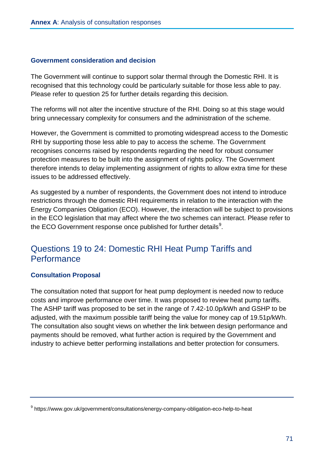#### **Government consideration and decision**

The Government will continue to support solar thermal through the Domestic RHI. It is recognised that this technology could be particularly suitable for those less able to pay. Please refer to question 25 for further details regarding this decision.

The reforms will not alter the incentive structure of the RHI. Doing so at this stage would bring unnecessary complexity for consumers and the administration of the scheme.

However, the Government is committed to promoting widespread access to the Domestic RHI by supporting those less able to pay to access the scheme. The Government recognises concerns raised by respondents regarding the need for robust consumer protection measures to be built into the assignment of rights policy. The Government therefore intends to delay implementing assignment of rights to allow extra time for these issues to be addressed effectively.

As suggested by a number of respondents, the Government does not intend to introduce restrictions through the domestic RHI requirements in relation to the interaction with the Energy Companies Obligation (ECO). However, the interaction will be subject to provisions in the ECO legislation that may affect where the two schemes can interact. Please refer to the ECO Government response once published for further details $^9$ .

# Questions 19 to 24: Domestic RHI Heat Pump Tariffs and **Performance**

## **Consultation Proposal**

The consultation noted that support for heat pump deployment is needed now to reduce costs and improve performance over time. It was proposed to review heat pump tariffs. The ASHP tariff was proposed to be set in the range of 7.42-10.0p/kWh and GSHP to be adjusted, with the maximum possible tariff being the value for money cap of 19.51p/kWh. The consultation also sought views on whether the link between design performance and payments should be removed, what further action is required by the Government and industry to achieve better performing installations and better protection for consumers.

<sup>&</sup>lt;sup>9</sup> https://www.gov.uk/government/consultations/energy-company-obligation-eco-help-to-heat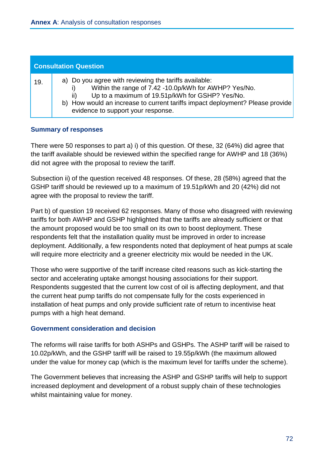|     | <b>Consultation Question</b>                                                                                                                                                                                                                                                                    |
|-----|-------------------------------------------------------------------------------------------------------------------------------------------------------------------------------------------------------------------------------------------------------------------------------------------------|
| 19. | a) Do you agree with reviewing the tariffs available:<br>Within the range of 7.42 -10.0p/kWh for AWHP? Yes/No.<br>Up to a maximum of 19.51p/kWh for GSHP? Yes/No.<br>II)<br>b) How would an increase to current tariffs impact deployment? Please provide<br>evidence to support your response. |

There were 50 responses to part a) i) of this question. Of these, 32 (64%) did agree that the tariff available should be reviewed within the specified range for AWHP and 18 (36%) did not agree with the proposal to review the tariff.

Subsection ii) of the question received 48 responses. Of these, 28 (58%) agreed that the GSHP tariff should be reviewed up to a maximum of 19.51p/kWh and 20 (42%) did not agree with the proposal to review the tariff.

Part b) of question 19 received 62 responses. Many of those who disagreed with reviewing tariffs for both AWHP and GSHP highlighted that the tariffs are already sufficient or that the amount proposed would be too small on its own to boost deployment. These respondents felt that the installation quality must be improved in order to increase deployment. Additionally, a few respondents noted that deployment of heat pumps at scale will require more electricity and a greener electricity mix would be needed in the UK.

Those who were supportive of the tariff increase cited reasons such as kick-starting the sector and accelerating uptake amongst housing associations for their support. Respondents suggested that the current low cost of oil is affecting deployment, and that the current heat pump tariffs do not compensate fully for the costs experienced in installation of heat pumps and only provide sufficient rate of return to incentivise heat pumps with a high heat demand.

#### **Government consideration and decision**

The reforms will raise tariffs for both ASHPs and GSHPs. The ASHP tariff will be raised to 10.02p/kWh, and the GSHP tariff will be raised to 19.55p/kWh (the maximum allowed under the value for money cap (which is the maximum level for tariffs under the scheme).

The Government believes that increasing the ASHP and GSHP tariffs will help to support increased deployment and development of a robust supply chain of these technologies whilst maintaining value for money.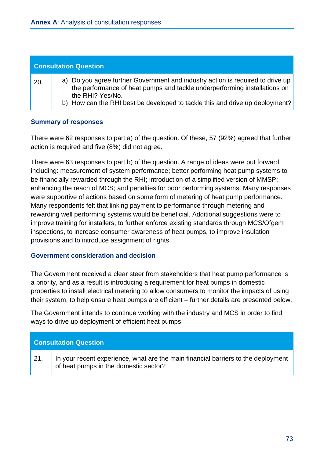|     | <b>Consultation Question</b>                                                                                                                                                                                                                                    |
|-----|-----------------------------------------------------------------------------------------------------------------------------------------------------------------------------------------------------------------------------------------------------------------|
| 20. | a) Do you agree further Government and industry action is required to drive up<br>the performance of heat pumps and tackle underperforming installations on<br>the RHI? Yes/No.<br>b) How can the RHI best be developed to tackle this and drive up deployment? |

There were 62 responses to part a) of the question. Of these, 57 (92%) agreed that further action is required and five (8%) did not agree.

There were 63 responses to part b) of the question. A range of ideas were put forward, including: measurement of system performance; better performing heat pump systems to be financially rewarded through the RHI; introduction of a simplified version of MMSP; enhancing the reach of MCS; and penalties for poor performing systems. Many responses were supportive of actions based on some form of metering of heat pump performance. Many respondents felt that linking payment to performance through metering and rewarding well performing systems would be beneficial. Additional suggestions were to improve training for installers, to further enforce existing standards through MCS/Ofgem inspections, to increase consumer awareness of heat pumps, to improve insulation provisions and to introduce assignment of rights.

#### **Government consideration and decision**

The Government received a clear steer from stakeholders that heat pump performance is a priority, and as a result is introducing a requirement for heat pumps in domestic properties to install electrical metering to allow consumers to monitor the impacts of using their system, to help ensure heat pumps are efficient – further details are presented below.

The Government intends to continue working with the industry and MCS in order to find ways to drive up deployment of efficient heat pumps.

| <b>Consultation Question</b> |                                                                                                                            |
|------------------------------|----------------------------------------------------------------------------------------------------------------------------|
| 21.                          | In your recent experience, what are the main financial barriers to the deployment<br>of heat pumps in the domestic sector? |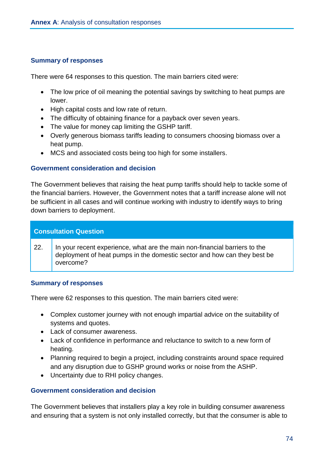There were 64 responses to this question. The main barriers cited were:

- The low price of oil meaning the potential savings by switching to heat pumps are lower.
- High capital costs and low rate of return.
- The difficulty of obtaining finance for a payback over seven years.
- The value for money cap limiting the GSHP tariff.
- Overly generous biomass tariffs leading to consumers choosing biomass over a heat pump.
- MCS and associated costs being too high for some installers.

#### **Government consideration and decision**

The Government believes that raising the heat pump tariffs should help to tackle some of the financial barriers. However, the Government notes that a tariff increase alone will not be sufficient in all cases and will continue working with industry to identify ways to bring down barriers to deployment.

# **Consultation Question** 22. In your recent experience, what are the main non-financial barriers to the

# deployment of heat pumps in the domestic sector and how can they best be overcome?

#### **Summary of responses**

There were 62 responses to this question. The main barriers cited were:

- Complex customer journey with not enough impartial advice on the suitability of systems and quotes.
- Lack of consumer awareness.
- Lack of confidence in performance and reluctance to switch to a new form of heating.
- Planning required to begin a project, including constraints around space required and any disruption due to GSHP ground works or noise from the ASHP.
- Uncertainty due to RHI policy changes.

### **Government consideration and decision**

The Government believes that installers play a key role in building consumer awareness and ensuring that a system is not only installed correctly, but that the consumer is able to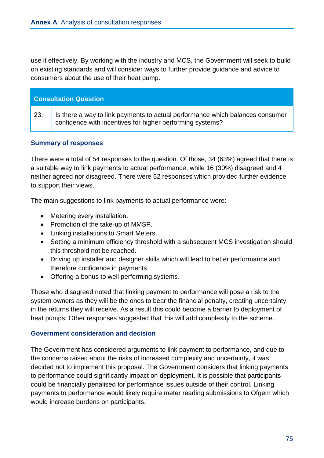use it effectively. By working with the industry and MCS, the Government will seek to build on existing standards and will consider ways to further provide guidance and advice to consumers about the use of their heat pump.

# **Consultation Question**

23. Is there a way to link payments to actual performance which balances consumer confidence with incentives for higher performing systems?

### **Summary of responses**

There were a total of 54 responses to the question. Of those, 34 (63%) agreed that there is a suitable way to link payments to actual performance, while 16 (30%) disagreed and 4 neither agreed nor disagreed. There were 52 responses which provided further evidence to support their views.

The main suggestions to link payments to actual performance were:

- Metering every installation.
- Promotion of the take-up of MMSP.
- Linking installations to Smart Meters.
- Setting a minimum efficiency threshold with a subsequent MCS investigation should this threshold not be reached.
- Driving up installer and designer skills which will lead to better performance and therefore confidence in payments.
- Offering a bonus to well performing systems.

Those who disagreed noted that linking payment to performance will pose a risk to the system owners as they will be the ones to bear the financial penalty, creating uncertainty in the returns they will receive. As a result this could become a barrier to deployment of heat pumps. Other responses suggested that this will add complexity to the scheme.

#### **Government consideration and decision**

The Government has considered arguments to link payment to performance, and due to the concerns raised about the risks of increased complexity and uncertainty, it was decided not to implement this proposal. The Government considers that linking payments to performance could significantly impact on deployment. It is possible that participants could be financially penalised for performance issues outside of their control. Linking payments to performance would likely require meter reading submissions to Ofgem which would increase burdens on participants.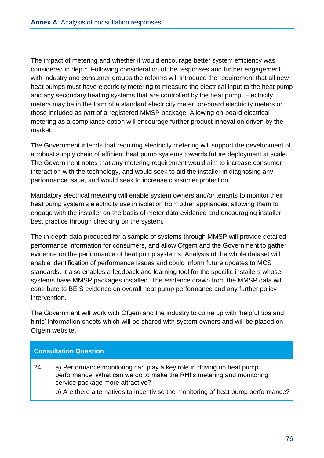The impact of metering and whether it would encourage better system efficiency was considered in depth. Following consideration of the responses and further engagement with industry and consumer groups the reforms will introduce the requirement that all new heat pumps must have electricity metering to measure the electrical input to the heat pump and any secondary heating systems that are controlled by the heat pump. Electricity meters may be in the form of a standard electricity meter, on-board electricity meters or those included as part of a registered MMSP package. Allowing on-board electrical metering as a compliance option will encourage further product innovation driven by the market.

The Government intends that requiring electricity metering will support the development of a robust supply chain of efficient heat pump systems towards future deployment at scale. The Government notes that any metering requirement would aim to increase consumer interaction with the technology, and would seek to aid the installer in diagnosing any performance issue, and would seek to increase consumer protection.

Mandatory electrical metering will enable system owners and/or tenants to monitor their heat pump system's electricity use in isolation from other appliances, allowing them to engage with the installer on the basis of meter data evidence and encouraging installer best practice through checking on the system.

The in-depth data produced for a sample of systems through MMSP will provide detailed performance information for consumers, and allow Ofgem and the Government to gather evidence on the performance of heat pump systems. Analysis of the whole dataset will enable identification of performance issues and could inform future updates to MCS standards. It also enables a feedback and learning tool for the specific installers whose systems have MMSP packages installed. The evidence drawn from the MMSP data will contribute to BEIS evidence on overall heat pump performance and any further policy intervention.

The Government will work with Ofgem and the industry to come up with 'helpful tips and hints' information sheets which will be shared with system owners and will be placed on Ofgem website.

| <b>Consultation Question</b> |                                                                                                                                                                                                                                                                      |
|------------------------------|----------------------------------------------------------------------------------------------------------------------------------------------------------------------------------------------------------------------------------------------------------------------|
| 24.                          | a) Performance monitoring can play a key role in driving up heat pump performance. What can we do to make the RHI's metering and monitoring<br>service package more attractive?<br>b) Are there alternatives to incentivise the monitoring of heat pump performance? |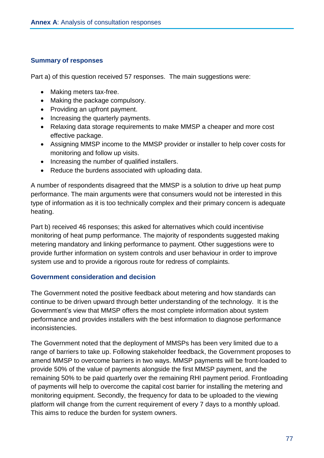Part a) of this question received 57 responses. The main suggestions were:

- Making meters tax-free.
- Making the package compulsory.
- Providing an upfront payment.
- Increasing the quarterly payments.
- Relaxing data storage requirements to make MMSP a cheaper and more cost effective package.
- Assigning MMSP income to the MMSP provider or installer to help cover costs for monitoring and follow up visits.
- Increasing the number of qualified installers.
- Reduce the burdens associated with uploading data.

A number of respondents disagreed that the MMSP is a solution to drive up heat pump performance. The main arguments were that consumers would not be interested in this type of information as it is too technically complex and their primary concern is adequate heating.

Part b) received 46 responses; this asked for alternatives which could incentivise monitoring of heat pump performance. The majority of respondents suggested making metering mandatory and linking performance to payment. Other suggestions were to provide further information on system controls and user behaviour in order to improve system use and to provide a rigorous route for redress of complaints.

#### **Government consideration and decision**

The Government noted the positive feedback about metering and how standards can continue to be driven upward through better understanding of the technology. It is the Government's view that MMSP offers the most complete information about system performance and provides installers with the best information to diagnose performance inconsistencies.

The Government noted that the deployment of MMSPs has been very limited due to a range of barriers to take up. Following stakeholder feedback, the Government proposes to amend MMSP to overcome barriers in two ways. MMSP payments will be front-loaded to provide 50% of the value of payments alongside the first MMSP payment, and the remaining 50% to be paid quarterly over the remaining RHI payment period. Frontloading of payments will help to overcome the capital cost barrier for installing the metering and monitoring equipment. Secondly, the frequency for data to be uploaded to the viewing platform will change from the current requirement of every 7 days to a monthly upload. This aims to reduce the burden for system owners.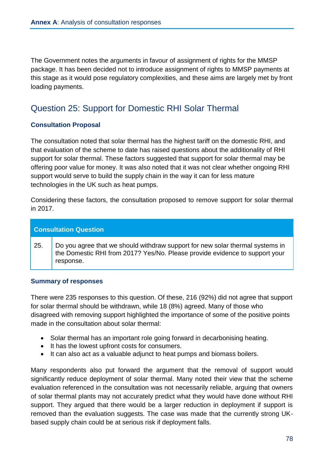The Government notes the arguments in favour of assignment of rights for the MMSP package. It has been decided not to introduce assignment of rights to MMSP payments at this stage as it would pose regulatory complexities, and these aims are largely met by front loading payments.

# Question 25: Support for Domestic RHI Solar Thermal

# **Consultation Proposal**

The consultation noted that solar thermal has the highest tariff on the domestic RHI, and that evaluation of the scheme to date has raised questions about the additionality of RHI support for solar thermal. These factors suggested that support for solar thermal may be offering poor value for money. It was also noted that it was not clear whether ongoing RHI support would serve to build the supply chain in the way it can for less mature technologies in the UK such as heat pumps.

Considering these factors, the consultation proposed to remove support for solar thermal in 2017.

| <b>Consultation Question</b> |                                                                                                                                                                           |
|------------------------------|---------------------------------------------------------------------------------------------------------------------------------------------------------------------------|
| 25.                          | Do you agree that we should withdraw support for new solar thermal systems in<br>the Domestic RHI from 2017? Yes/No. Please provide evidence to support your<br>response. |

### **Summary of responses**

There were 235 responses to this question. Of these, 216 (92%) did not agree that support for solar thermal should be withdrawn, while 18 (8%) agreed. Many of those who disagreed with removing support highlighted the importance of some of the positive points made in the consultation about solar thermal:

- Solar thermal has an important role going forward in decarbonising heating.
- It has the lowest upfront costs for consumers.
- It can also act as a valuable adjunct to heat pumps and biomass boilers.

Many respondents also put forward the argument that the removal of support would significantly reduce deployment of solar thermal. Many noted their view that the scheme evaluation referenced in the consultation was not necessarily reliable, arguing that owners of solar thermal plants may not accurately predict what they would have done without RHI support. They argued that there would be a larger reduction in deployment if support is removed than the evaluation suggests. The case was made that the currently strong UKbased supply chain could be at serious risk if deployment falls.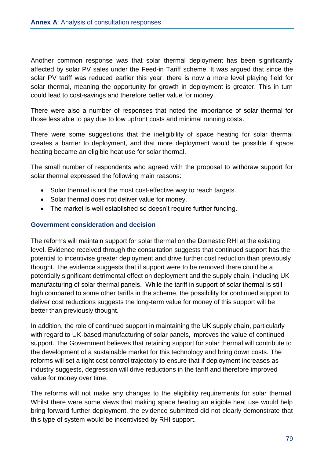Another common response was that solar thermal deployment has been significantly affected by solar PV sales under the Feed-in Tariff scheme. It was argued that since the solar PV tariff was reduced earlier this year, there is now a more level playing field for solar thermal, meaning the opportunity for growth in deployment is greater. This in turn could lead to cost-savings and therefore better value for money.

There were also a number of responses that noted the importance of solar thermal for those less able to pay due to low upfront costs and minimal running costs.

There were some suggestions that the ineligibility of space heating for solar thermal creates a barrier to deployment, and that more deployment would be possible if space heating became an eligible heat use for solar thermal.

The small number of respondents who agreed with the proposal to withdraw support for solar thermal expressed the following main reasons:

- Solar thermal is not the most cost-effective way to reach targets.
- Solar thermal does not deliver value for money.
- The market is well established so doesn't require further funding.

# **Government consideration and decision**

The reforms will maintain support for solar thermal on the Domestic RHI at the existing level. Evidence received through the consultation suggests that continued support has the potential to incentivise greater deployment and drive further cost reduction than previously thought. The evidence suggests that if support were to be removed there could be a potentially significant detrimental effect on deployment and the supply chain, including UK manufacturing of solar thermal panels. While the tariff in support of solar thermal is still high compared to some other tariffs in the scheme, the possibility for continued support to deliver cost reductions suggests the long-term value for money of this support will be better than previously thought.

In addition, the role of continued support in maintaining the UK supply chain, particularly with regard to UK-based manufacturing of solar panels, improves the value of continued support. The Government believes that retaining support for solar thermal will contribute to the development of a sustainable market for this technology and bring down costs. The reforms will set a tight cost control trajectory to ensure that if deployment increases as industry suggests, degression will drive reductions in the tariff and therefore improved value for money over time.

The reforms will not make any changes to the eligibility requirements for solar thermal. Whilst there were some views that making space heating an eligible heat use would help bring forward further deployment, the evidence submitted did not clearly demonstrate that this type of system would be incentivised by RHI support.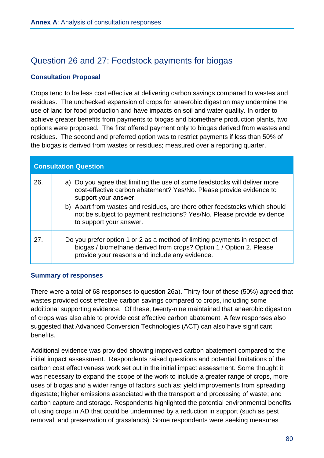# Question 26 and 27: Feedstock payments for biogas

### **Consultation Proposal**

Crops tend to be less cost effective at delivering carbon savings compared to wastes and residues. The unchecked expansion of crops for anaerobic digestion may undermine the use of land for food production and have impacts on soil and water quality. In order to achieve greater benefits from payments to biogas and biomethane production plants, two options were proposed. The first offered payment only to biogas derived from wastes and residues. The second and preferred option was to restrict payments if less than 50% of the biogas is derived from wastes or residues; measured over a reporting quarter.

| <b>Consultation Question</b> |                                                                                                                                                                                                                                                                                                                                                               |  |
|------------------------------|---------------------------------------------------------------------------------------------------------------------------------------------------------------------------------------------------------------------------------------------------------------------------------------------------------------------------------------------------------------|--|
| 26.                          | a) Do you agree that limiting the use of some feedstocks will deliver more<br>cost-effective carbon abatement? Yes/No. Please provide evidence to<br>support your answer.<br>b) Apart from wastes and residues, are there other feedstocks which should<br>not be subject to payment restrictions? Yes/No. Please provide evidence<br>to support your answer. |  |
| 27.                          | Do you prefer option 1 or 2 as a method of limiting payments in respect of<br>biogas / biomethane derived from crops? Option 1 / Option 2. Please<br>provide your reasons and include any evidence.                                                                                                                                                           |  |

#### **Summary of responses**

There were a total of 68 responses to question 26a). Thirty-four of these (50%) agreed that wastes provided cost effective carbon savings compared to crops, including some additional supporting evidence. Of these, twenty-nine maintained that anaerobic digestion of crops was also able to provide cost effective carbon abatement. A few responses also suggested that Advanced Conversion Technologies (ACT) can also have significant benefits.

Additional evidence was provided showing improved carbon abatement compared to the initial impact assessment. Respondents raised questions and potential limitations of the carbon cost effectiveness work set out in the initial impact assessment. Some thought it was necessary to expand the scope of the work to include a greater range of crops, more uses of biogas and a wider range of factors such as: yield improvements from spreading digestate; higher emissions associated with the transport and processing of waste; and carbon capture and storage. Respondents highlighted the potential environmental benefits of using crops in AD that could be undermined by a reduction in support (such as pest removal, and preservation of grasslands). Some respondents were seeking measures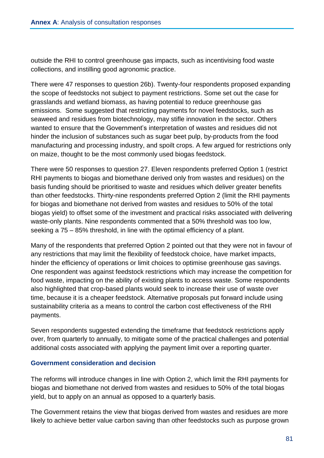outside the RHI to control greenhouse gas impacts, such as incentivising food waste collections, and instilling good agronomic practice.

There were 47 responses to question 26b). Twenty-four respondents proposed expanding the scope of feedstocks not subject to payment restrictions. Some set out the case for grasslands and wetland biomass, as having potential to reduce greenhouse gas emissions. Some suggested that restricting payments for novel feedstocks, such as seaweed and residues from biotechnology, may stifle innovation in the sector. Others wanted to ensure that the Government's interpretation of wastes and residues did not hinder the inclusion of substances such as sugar beet pulp, by-products from the food manufacturing and processing industry, and spoilt crops. A few argued for restrictions only on maize, thought to be the most commonly used biogas feedstock.

There were 50 responses to question 27. Eleven respondents preferred Option 1 (restrict RHI payments to biogas and biomethane derived only from wastes and residues) on the basis funding should be prioritised to waste and residues which deliver greater benefits than other feedstocks. Thirty-nine respondents preferred Option 2 (limit the RHI payments for biogas and biomethane not derived from wastes and residues to 50% of the total biogas yield) to offset some of the investment and practical risks associated with delivering waste-only plants. Nine respondents commented that a 50% threshold was too low, seeking a 75 – 85% threshold, in line with the optimal efficiency of a plant.

Many of the respondents that preferred Option 2 pointed out that they were not in favour of any restrictions that may limit the flexibility of feedstock choice, have market impacts, hinder the efficiency of operations or limit choices to optimise greenhouse gas savings. One respondent was against feedstock restrictions which may increase the competition for food waste, impacting on the ability of existing plants to access waste. Some respondents also highlighted that crop-based plants would seek to increase their use of waste over time, because it is a cheaper feedstock. Alternative proposals put forward include using sustainability criteria as a means to control the carbon cost effectiveness of the RHI payments.

Seven respondents suggested extending the timeframe that feedstock restrictions apply over, from quarterly to annually, to mitigate some of the practical challenges and potential additional costs associated with applying the payment limit over a reporting quarter.

# **Government consideration and decision**

The reforms will introduce changes in line with Option 2, which limit the RHI payments for biogas and biomethane not derived from wastes and residues to 50% of the total biogas yield, but to apply on an annual as opposed to a quarterly basis.

The Government retains the view that biogas derived from wastes and residues are more likely to achieve better value carbon saving than other feedstocks such as purpose grown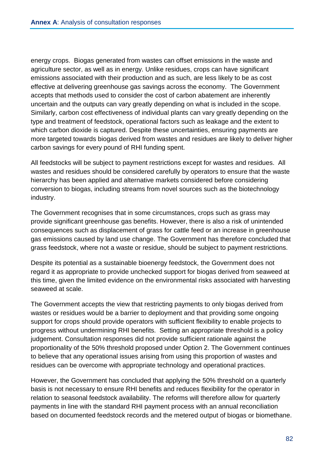energy crops. Biogas generated from wastes can offset emissions in the waste and agriculture sector, as well as in energy. Unlike residues, crops can have significant emissions associated with their production and as such, are less likely to be as cost effective at delivering greenhouse gas savings across the economy. The Government accepts that methods used to consider the cost of carbon abatement are inherently uncertain and the outputs can vary greatly depending on what is included in the scope. Similarly, carbon cost effectiveness of individual plants can vary greatly depending on the type and treatment of feedstock, operational factors such as leakage and the extent to which carbon dioxide is captured. Despite these uncertainties, ensuring payments are more targeted towards biogas derived from wastes and residues are likely to deliver higher carbon savings for every pound of RHI funding spent.

All feedstocks will be subject to payment restrictions except for wastes and residues. All wastes and residues should be considered carefully by operators to ensure that the waste hierarchy has been applied and alternative markets considered before considering conversion to biogas, including streams from novel sources such as the biotechnology industry.

The Government recognises that in some circumstances, crops such as grass may provide significant greenhouse gas benefits. However, there is also a risk of unintended consequences such as displacement of grass for cattle feed or an increase in greenhouse gas emissions caused by land use change. The Government has therefore concluded that grass feedstock, where not a waste or residue, should be subject to payment restrictions.

Despite its potential as a sustainable bioenergy feedstock, the Government does not regard it as appropriate to provide unchecked support for biogas derived from seaweed at this time, given the limited evidence on the environmental risks associated with harvesting seaweed at scale.

The Government accepts the view that restricting payments to only biogas derived from wastes or residues would be a barrier to deployment and that providing some ongoing support for crops should provide operators with sufficient flexibility to enable projects to progress without undermining RHI benefits. Setting an appropriate threshold is a policy judgement. Consultation responses did not provide sufficient rationale against the proportionality of the 50% threshold proposed under Option 2. The Government continues to believe that any operational issues arising from using this proportion of wastes and residues can be overcome with appropriate technology and operational practices.

However, the Government has concluded that applying the 50% threshold on a quarterly basis is not necessary to ensure RHI benefits and reduces flexibility for the operator in relation to seasonal feedstock availability. The reforms will therefore allow for quarterly payments in line with the standard RHI payment process with an annual reconciliation based on documented feedstock records and the metered output of biogas or biomethane.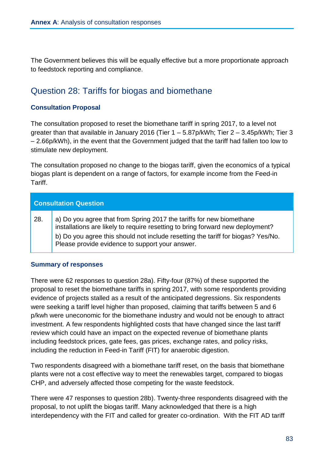The Government believes this will be equally effective but a more proportionate approach to feedstock reporting and compliance.

# Question 28: Tariffs for biogas and biomethane

# **Consultation Proposal**

The consultation proposed to reset the biomethane tariff in spring 2017, to a level not greater than that available in January 2016 (Tier 1 – 5.87p/kWh; Tier 2 – 3.45p/kWh; Tier 3 – 2.66p/kWh), in the event that the Government judged that the tariff had fallen too low to stimulate new deployment.

The consultation proposed no change to the biogas tariff, given the economics of a typical biogas plant is dependent on a range of factors, for example income from the Feed-in Tariff.

| <b>Consultation Question</b> |                                                                                                                                                                                                                                                                                               |
|------------------------------|-----------------------------------------------------------------------------------------------------------------------------------------------------------------------------------------------------------------------------------------------------------------------------------------------|
| 28.                          | a) Do you agree that from Spring 2017 the tariffs for new biomethane<br>installations are likely to require resetting to bring forward new deployment?<br>b) Do you agree this should not include resetting the tariff for biogas? Yes/No.<br>Please provide evidence to support your answer. |

# **Summary of responses**

There were 62 responses to question 28a). Fifty-four (87%) of these supported the proposal to reset the biomethane tariffs in spring 2017, with some respondents providing evidence of projects stalled as a result of the anticipated degressions. Six respondents were seeking a tariff level higher than proposed, claiming that tariffs between 5 and 6 p/kwh were uneconomic for the biomethane industry and would not be enough to attract investment. A few respondents highlighted costs that have changed since the last tariff review which could have an impact on the expected revenue of biomethane plants including feedstock prices, gate fees, gas prices, exchange rates, and policy risks, including the reduction in Feed-in Tariff (FIT) for anaerobic digestion.

Two respondents disagreed with a biomethane tariff reset, on the basis that biomethane plants were not a cost effective way to meet the renewables target, compared to biogas CHP, and adversely affected those competing for the waste feedstock.

There were 47 responses to question 28b). Twenty-three respondents disagreed with the proposal, to not uplift the biogas tariff. Many acknowledged that there is a high interdependency with the FIT and called for greater co-ordination. With the FIT AD tariff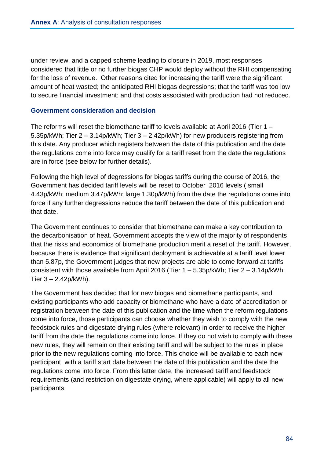under review, and a capped scheme leading to closure in 2019, most responses considered that little or no further biogas CHP would deploy without the RHI compensating for the loss of revenue. Other reasons cited for increasing the tariff were the significant amount of heat wasted; the anticipated RHI biogas degressions; that the tariff was too low to secure financial investment; and that costs associated with production had not reduced.

### **Government consideration and decision**

The reforms will reset the biomethane tariff to levels available at April 2016 (Tier 1 – 5.35p/kWh; Tier 2 – 3.14p/kWh; Tier 3 – 2.42p/kWh) for new producers registering from this date. Any producer which registers between the date of this publication and the date the regulations come into force may qualify for a tariff reset from the date the regulations are in force (see below for further details).

Following the high level of degressions for biogas tariffs during the course of 2016, the Government has decided tariff levels will be reset to October 2016 levels ( small 4.43p/kWh; medium 3.47p/kWh; large 1.30p/kWh) from the date the regulations come into force if any further degressions reduce the tariff between the date of this publication and that date.

The Government continues to consider that biomethane can make a key contribution to the decarbonisation of heat. Government accepts the view of the majority of respondents that the risks and economics of biomethane production merit a reset of the tariff. However, because there is evidence that significant deployment is achievable at a tariff level lower than 5.87p, the Government judges that new projects are able to come forward at tariffs consistent with those available from April 2016 (Tier 1 – 5.35p/kWh; Tier 2 – 3.14p/kWh; Tier  $3 - 2.42p/kWh$ ).

The Government has decided that for new biogas and biomethane participants, and existing participants who add capacity or biomethane who have a date of accreditation or registration between the date of this publication and the time when the reform regulations come into force, those participants can choose whether they wish to comply with the new feedstock rules and digestate drying rules (where relevant) in order to receive the higher tariff from the date the regulations come into force. If they do not wish to comply with these new rules, they will remain on their existing tariff and will be subject to the rules in place prior to the new regulations coming into force. This choice will be available to each new participant with a tariff start date between the date of this publication and the date the regulations come into force. From this latter date, the increased tariff and feedstock requirements (and restriction on digestate drying, where applicable) will apply to all new participants.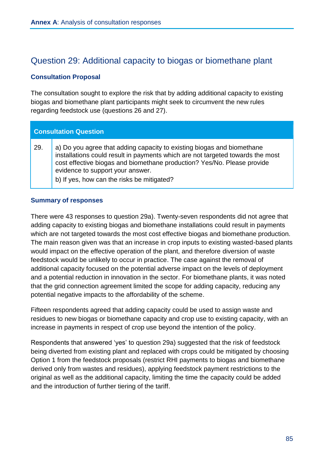# Question 29: Additional capacity to biogas or biomethane plant

# **Consultation Proposal**

The consultation sought to explore the risk that by adding additional capacity to existing biogas and biomethane plant participants might seek to circumvent the new rules regarding feedstock use (questions 26 and 27).

### **Consultation Question**

- 29.  $\Box$  a) Do you agree that adding capacity to existing biogas and biomethane installations could result in payments which are not targeted towards the most cost effective biogas and biomethane production? Yes/No. Please provide evidence to support your answer.
	- b) If yes, how can the risks be mitigated?

#### **Summary of responses**

There were 43 responses to question 29a). Twenty-seven respondents did not agree that adding capacity to existing biogas and biomethane installations could result in payments which are not targeted towards the most cost effective biogas and biomethane production. The main reason given was that an increase in crop inputs to existing wasted-based plants would impact on the effective operation of the plant, and therefore diversion of waste feedstock would be unlikely to occur in practice. The case against the removal of additional capacity focused on the potential adverse impact on the levels of deployment and a potential reduction in innovation in the sector. For biomethane plants, it was noted that the grid connection agreement limited the scope for adding capacity, reducing any potential negative impacts to the affordability of the scheme.

Fifteen respondents agreed that adding capacity could be used to assign waste and residues to new biogas or biomethane capacity and crop use to existing capacity, with an increase in payments in respect of crop use beyond the intention of the policy.

Respondents that answered 'yes' to question 29a) suggested that the risk of feedstock being diverted from existing plant and replaced with crops could be mitigated by choosing Option 1 from the feedstock proposals (restrict RHI payments to biogas and biomethane derived only from wastes and residues), applying feedstock payment restrictions to the original as well as the additional capacity, limiting the time the capacity could be added and the introduction of further tiering of the tariff.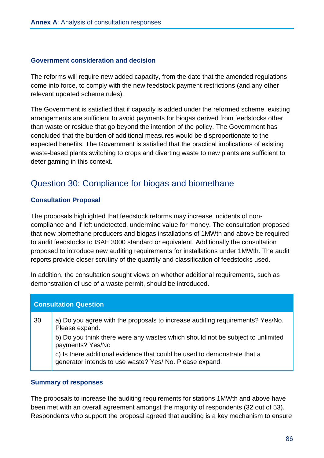#### **Government consideration and decision**

The reforms will require new added capacity, from the date that the amended regulations come into force, to comply with the new feedstock payment restrictions (and any other relevant updated scheme rules).

The Government is satisfied that if capacity is added under the reformed scheme, existing arrangements are sufficient to avoid payments for biogas derived from feedstocks other than waste or residue that go beyond the intention of the policy. The Government has concluded that the burden of additional measures would be disproportionate to the expected benefits. The Government is satisfied that the practical implications of existing waste-based plants switching to crops and diverting waste to new plants are sufficient to deter gaming in this context.

# Question 30: Compliance for biogas and biomethane

#### **Consultation Proposal**

The proposals highlighted that feedstock reforms may increase incidents of noncompliance and if left undetected, undermine value for money. The consultation proposed that new biomethane producers and biogas installations of 1MWth and above be required to audit feedstocks to ISAE 3000 standard or equivalent. Additionally the consultation proposed to introduce new auditing requirements for installations under 1MWth. The audit reports provide closer scrutiny of the quantity and classification of feedstocks used.

In addition, the consultation sought views on whether additional requirements, such as demonstration of use of a waste permit, should be introduced.

| <b>Consultation Question</b> |                                                                                                                                                                                                                                                                                                                                              |  |
|------------------------------|----------------------------------------------------------------------------------------------------------------------------------------------------------------------------------------------------------------------------------------------------------------------------------------------------------------------------------------------|--|
| 30                           | a) Do you agree with the proposals to increase auditing requirements? Yes/No.<br>Please expand.<br>b) Do you think there were any wastes which should not be subject to unlimited<br>payments? Yes/No<br>c) Is there additional evidence that could be used to demonstrate that a<br>generator intends to use waste? Yes/ No. Please expand. |  |

#### **Summary of responses**

The proposals to increase the auditing requirements for stations 1MWth and above have been met with an overall agreement amongst the majority of respondents (32 out of 53). Respondents who support the proposal agreed that auditing is a key mechanism to ensure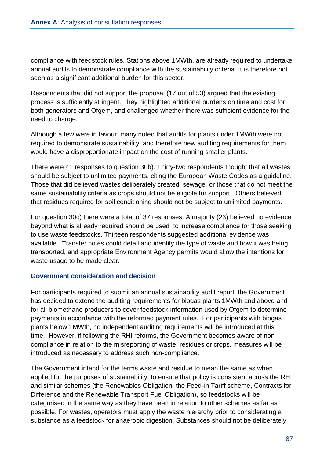compliance with feedstock rules. Stations above 1MWth, are already required to undertake annual audits to demonstrate compliance with the sustainability criteria. It is therefore not seen as a significant additional burden for this sector.

Respondents that did not support the proposal (17 out of 53) argued that the existing process is sufficiently stringent. They highlighted additional burdens on time and cost for both generators and Ofgem, and challenged whether there was sufficient evidence for the need to change.

Although a few were in favour, many noted that audits for plants under 1MWth were not required to demonstrate sustainability, and therefore new auditing requirements for them would have a disproportionate impact on the cost of running smaller plants.

There were 41 responses to question 30b). Thirty-two respondents thought that all wastes should be subject to unlimited payments, citing the European Waste Codes as a guideline. Those that did believed wastes deliberately created, sewage, or those that do not meet the same sustainability criteria as crops should not be eligible for support. Others believed that residues required for soil conditioning should not be subject to unlimited payments.

For question 30c) there were a total of 37 responses. A majority (23) believed no evidence beyond what is already required should be used to increase compliance for those seeking to use waste feedstocks. Thirteen respondents suggested additional evidence was available. Transfer notes could detail and identify the type of waste and how it was being transported, and appropriate Environment Agency permits would allow the intentions for waste usage to be made clear.

# **Government consideration and decision**

For participants required to submit an annual sustainability audit report, the Government has decided to extend the auditing requirements for biogas plants 1MWth and above and for all biomethane producers to cover feedstock information used by Ofgem to determine payments in accordance with the reformed payment rules. For participants with biogas plants below 1MWth, no independent auditing requirements will be introduced at this time. However, if following the RHI reforms, the Government becomes aware of noncompliance in relation to the misreporting of waste, residues or crops, measures will be introduced as necessary to address such non-compliance.

The Government intend for the terms waste and residue to mean the same as when applied for the purposes of sustainability, to ensure that policy is consistent across the RHI and similar schemes (the Renewables Obligation, the Feed-in Tariff scheme, Contracts for Difference and the Renewable Transport Fuel Obligation), so feedstocks will be categorised in the same way as they have been in relation to other schemes as far as possible. For wastes, operators must apply the waste hierarchy prior to considerating a substance as a feedstock for anaerobic digestion. Substances should not be deliberately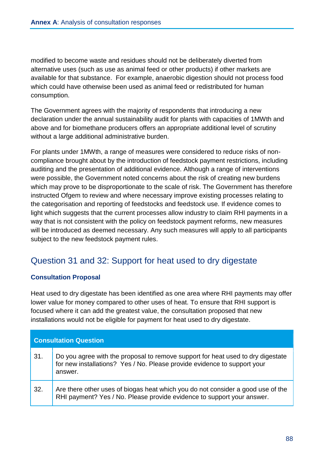modified to become waste and residues should not be deliberately diverted from alternative uses (such as use as animal feed or other products) if other markets are available for that substance. For example, anaerobic digestion should not process food which could have otherwise been used as animal feed or redistributed for human consumption.

The Government agrees with the majority of respondents that introducing a new declaration under the annual sustainability audit for plants with capacities of 1MWth and above and for biomethane producers offers an appropriate additional level of scrutiny without a large additional administrative burden.

For plants under 1MWth, a range of measures were considered to reduce risks of noncompliance brought about by the introduction of feedstock payment restrictions, including auditing and the presentation of additional evidence. Although a range of interventions were possible, the Government noted concerns about the risk of creating new burdens which may prove to be disproportionate to the scale of risk. The Government has therefore instructed Ofgem to review and where necessary improve existing processes relating to the categorisation and reporting of feedstocks and feedstock use. If evidence comes to light which suggests that the current processes allow industry to claim RHI payments in a way that is not consistent with the policy on feedstock payment reforms, new measures will be introduced as deemed necessary. Any such measures will apply to all participants subject to the new feedstock payment rules.

# Question 31 and 32: Support for heat used to dry digestate

# **Consultation Proposal**

Heat used to dry digestate has been identified as one area where RHI payments may offer lower value for money compared to other uses of heat. To ensure that RHI support is focused where it can add the greatest value, the consultation proposed that new installations would not be eligible for payment for heat used to dry digestate.

| <b>Consultation Question</b> |                                                                                                                                                                        |
|------------------------------|------------------------------------------------------------------------------------------------------------------------------------------------------------------------|
| 31.                          | Do you agree with the proposal to remove support for heat used to dry digestate<br>for new installations? Yes / No. Please provide evidence to support your<br>answer. |
| 32.                          | Are there other uses of biogas heat which you do not consider a good use of the<br>RHI payment? Yes / No. Please provide evidence to support your answer.              |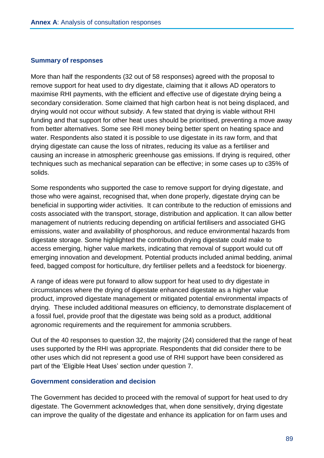More than half the respondents (32 out of 58 responses) agreed with the proposal to remove support for heat used to dry digestate, claiming that it allows AD operators to maximise RHI payments, with the efficient and effective use of digestate drying being a secondary consideration. Some claimed that high carbon heat is not being displaced, and drying would not occur without subsidy. A few stated that drying is viable without RHI funding and that support for other heat uses should be prioritised, preventing a move away from better alternatives. Some see RHI money being better spent on heating space and water. Respondents also stated it is possible to use digestate in its raw form, and that drying digestate can cause the loss of nitrates, reducing its value as a fertiliser and causing an increase in atmospheric greenhouse gas emissions. If drying is required, other techniques such as mechanical separation can be effective; in some cases up to c35% of solids.

Some respondents who supported the case to remove support for drying digestate, and those who were against, recognised that, when done properly, digestate drying can be beneficial in supporting wider activities. It can contribute to the reduction of emissions and costs associated with the transport, storage, distribution and application. It can allow better management of nutrients reducing depending on artificial fertilisers and associated GHG emissions, water and availability of phosphorous, and reduce environmental hazards from digestate storage. Some highlighted the contribution drying digestate could make to access emerging, higher value markets, indicating that removal of support would cut off emerging innovation and development. Potential products included animal bedding, animal feed, bagged compost for horticulture, dry fertiliser pellets and a feedstock for bioenergy.

A range of ideas were put forward to allow support for heat used to dry digestate in circumstances where the drying of digestate enhanced digestate as a higher value product, improved digestate management or mitigated potential environmental impacts of drying. These included additional measures on efficiency, to demonstrate displacement of a fossil fuel, provide proof that the digestate was being sold as a product, additional agronomic requirements and the requirement for ammonia scrubbers.

Out of the 40 responses to question 32, the majority (24) considered that the range of heat uses supported by the RHI was appropriate. Respondents that did consider there to be other uses which did not represent a good use of RHI support have been considered as part of the 'Eligible Heat Uses' section under question 7.

#### **Government consideration and decision**

The Government has decided to proceed with the removal of support for heat used to dry digestate. The Government acknowledges that, when done sensitively, drying digestate can improve the quality of the digestate and enhance its application for on farm uses and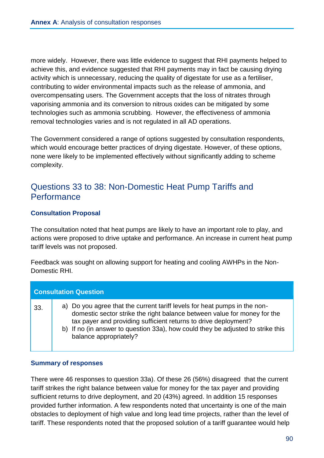more widely. However, there was little evidence to suggest that RHI payments helped to achieve this, and evidence suggested that RHI payments may in fact be causing drying activity which is unnecessary, reducing the quality of digestate for use as a fertiliser, contributing to wider environmental impacts such as the release of ammonia, and overcompensating users. The Government accepts that the loss of nitrates through vaporising ammonia and its conversion to nitrous oxides can be mitigated by some technologies such as ammonia scrubbing. However, the effectiveness of ammonia removal technologies varies and is not regulated in all AD operations.

The Government considered a range of options suggested by consultation respondents, which would encourage better practices of drying digestate. However, of these options, none were likely to be implemented effectively without significantly adding to scheme complexity.

# Questions 33 to 38: Non-Domestic Heat Pump Tariffs and **Performance**

# **Consultation Proposal**

The consultation noted that heat pumps are likely to have an important role to play, and actions were proposed to drive uptake and performance. An increase in current heat pump tariff levels was not proposed.

Feedback was sought on allowing support for heating and cooling AWHPs in the Non-Domestic RHI.

| <b>Consultation Question</b> |                                                                                                                                                                                                                                                                                                                                       |
|------------------------------|---------------------------------------------------------------------------------------------------------------------------------------------------------------------------------------------------------------------------------------------------------------------------------------------------------------------------------------|
| 33.                          | a) Do you agree that the current tariff levels for heat pumps in the non-<br>domestic sector strike the right balance between value for money for the<br>tax payer and providing sufficient returns to drive deployment?<br>b) If no (in answer to question 33a), how could they be adjusted to strike this<br>balance appropriately? |

# **Summary of responses**

There were 46 responses to question 33a). Of these 26 (56%) disagreed that the current tariff strikes the right balance between value for money for the tax payer and providing sufficient returns to drive deployment, and 20 (43%) agreed. In addition 15 responses provided further information. A few respondents noted that uncertainty is one of the main obstacles to deployment of high value and long lead time projects, rather than the level of tariff. These respondents noted that the proposed solution of a tariff guarantee would help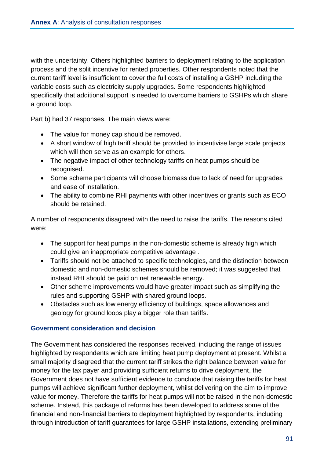with the uncertainty. Others highlighted barriers to deployment relating to the application process and the split incentive for rented properties. Other respondents noted that the current tariff level is insufficient to cover the full costs of installing a GSHP including the variable costs such as electricity supply upgrades. Some respondents highlighted specifically that additional support is needed to overcome barriers to GSHPs which share a ground loop.

Part b) had 37 responses. The main views were:

- The value for money cap should be removed.
- A short window of high tariff should be provided to incentivise large scale projects which will then serve as an example for others.
- The negative impact of other technology tariffs on heat pumps should be recognised.
- Some scheme participants will choose biomass due to lack of need for upgrades and ease of installation.
- The ability to combine RHI payments with other incentives or grants such as ECO should be retained.

A number of respondents disagreed with the need to raise the tariffs. The reasons cited were:

- The support for heat pumps in the non-domestic scheme is already high which could give an inappropriate competitive advantage .
- Tariffs should not be attached to specific technologies, and the distinction between domestic and non-domestic schemes should be removed; it was suggested that instead RHI should be paid on net renewable energy.
- Other scheme improvements would have greater impact such as simplifying the rules and supporting GSHP with shared ground loops.
- Obstacles such as low energy efficiency of buildings, space allowances and geology for ground loops play a bigger role than tariffs.

# **Government consideration and decision**

The Government has considered the responses received, including the range of issues highlighted by respondents which are limiting heat pump deployment at present. Whilst a small majority disagreed that the current tariff strikes the right balance between value for money for the tax payer and providing sufficient returns to drive deployment, the Government does not have sufficient evidence to conclude that raising the tariffs for heat pumps will achieve significant further deployment, whilst delivering on the aim to improve value for money. Therefore the tariffs for heat pumps will not be raised in the non-domestic scheme. Instead, this package of reforms has been developed to address some of the financial and non-financial barriers to deployment highlighted by respondents, including through introduction of tariff guarantees for large GSHP installations, extending preliminary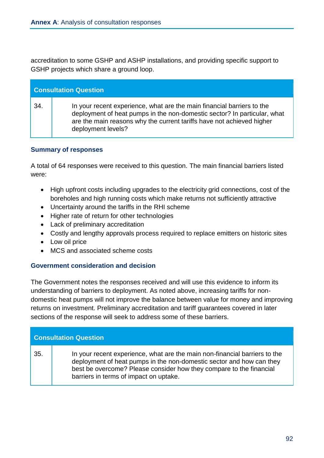accreditation to some GSHP and ASHP installations, and providing specific support to GSHP projects which share a ground loop.

| <b>Consultation Question</b> |                                                                                                                                                                                                                                                   |
|------------------------------|---------------------------------------------------------------------------------------------------------------------------------------------------------------------------------------------------------------------------------------------------|
| 34.                          | In your recent experience, what are the main financial barriers to the<br>deployment of heat pumps in the non-domestic sector? In particular, what<br>are the main reasons why the current tariffs have not achieved higher<br>deployment levels? |

# **Summary of responses**

A total of 64 responses were received to this question. The main financial barriers listed were:

- High upfront costs including upgrades to the electricity grid connections, cost of the boreholes and high running costs which make returns not sufficiently attractive
- Uncertainty around the tariffs in the RHI scheme
- Higher rate of return for other technologies
- Lack of preliminary accreditation
- Costly and lengthy approvals process required to replace emitters on historic sites
- Low oil price
- MCS and associated scheme costs

### **Government consideration and decision**

The Government notes the responses received and will use this evidence to inform its understanding of barriers to deployment. As noted above, increasing tariffs for nondomestic heat pumps will not improve the balance between value for money and improving returns on investment. Preliminary accreditation and tariff guarantees covered in later sections of the response will seek to address some of these barriers.

|     | <b>Consultation Question</b>                                                                                                                                                                                                                                        |
|-----|---------------------------------------------------------------------------------------------------------------------------------------------------------------------------------------------------------------------------------------------------------------------|
| 35. | In your recent experience, what are the main non-financial barriers to the<br>deployment of heat pumps in the non-domestic sector and how can they<br>best be overcome? Please consider how they compare to the financial<br>barriers in terms of impact on uptake. |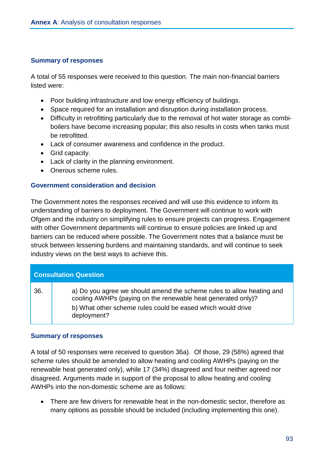A total of 55 responses were received to this question. The main non-financial barriers listed were:

- Poor building infrastructure and low energy efficiency of buildings.
- Space required for an installation and disruption during installation process.
- Difficulty in retrofitting particularly due to the removal of hot water storage as combiboilers have become increasing popular; this also results in costs when tanks must be retrofitted.
- Lack of consumer awareness and confidence in the product.
- Grid capacity.
- Lack of clarity in the planning environment.
- Onerous scheme rules.

#### **Government consideration and decision**

The Government notes the responses received and will use this evidence to inform its understanding of barriers to deployment. The Government will continue to work with Ofgem and the industry on simplifying rules to ensure projects can progress. Engagement with other Government departments will continue to ensure policies are linked up and barriers can be reduced where possible. The Government notes that a balance must be struck between lessening burdens and maintaining standards, and will continue to seek industry views on the best ways to achieve this.

| <b>Consultation Question</b> |                                                                                                                                                                                                                     |
|------------------------------|---------------------------------------------------------------------------------------------------------------------------------------------------------------------------------------------------------------------|
| 36.                          | a) Do you agree we should amend the scheme rules to allow heating and<br>cooling AWHPs (paying on the renewable heat generated only)?<br>b) What other scheme rules could be eased which would drive<br>deployment? |

#### **Summary of responses**

A total of 50 responses were received to question 36a). Of those, 29 (58%) agreed that scheme rules should be amended to allow heating and cooling AWHPs (paying on the renewable heat generated only), while 17 (34%) disagreed and four neither agreed nor disagreed. Arguments made in support of the proposal to allow heating and cooling AWHPs into the non-domestic scheme are as follows:

 There are few drivers for renewable heat in the non-domestic sector, therefore as many options as possible should be included (including implementing this one).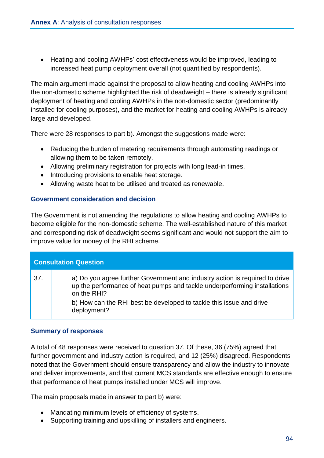• Heating and cooling AWHPs' cost effectiveness would be improved, leading to increased heat pump deployment overall (not quantified by respondents).

The main argument made against the proposal to allow heating and cooling AWHPs into the non-domestic scheme highlighted the risk of deadweight – there is already significant deployment of heating and cooling AWHPs in the non-domestic sector (predominantly installed for cooling purposes), and the market for heating and cooling AWHPs is already large and developed.

There were 28 responses to part b). Amongst the suggestions made were:

- Reducing the burden of metering requirements through automating readings or allowing them to be taken remotely.
- Allowing preliminary registration for projects with long lead-in times.
- Introducing provisions to enable heat storage.
- Allowing waste heat to be utilised and treated as renewable.

### **Government consideration and decision**

The Government is not amending the regulations to allow heating and cooling AWHPs to become eligible for the non-domestic scheme. The well-established nature of this market and corresponding risk of deadweight seems significant and would not support the aim to improve value for money of the RHI scheme.

| <b>Consultation Question</b> |                                                                                                                                                                         |  |
|------------------------------|-------------------------------------------------------------------------------------------------------------------------------------------------------------------------|--|
| -37.                         | a) Do you agree further Government and industry action is required to drive<br>up the performance of heat pumps and tackle underperforming installations<br>on the RHI? |  |
|                              | b) How can the RHI best be developed to tackle this issue and drive<br>deployment?                                                                                      |  |

#### **Summary of responses**

A total of 48 responses were received to question 37. Of these, 36 (75%) agreed that further government and industry action is required, and 12 (25%) disagreed. Respondents noted that the Government should ensure transparency and allow the industry to innovate and deliver improvements, and that current MCS standards are effective enough to ensure that performance of heat pumps installed under MCS will improve.

The main proposals made in answer to part b) were:

- Mandating minimum levels of efficiency of systems.
- Supporting training and upskilling of installers and engineers.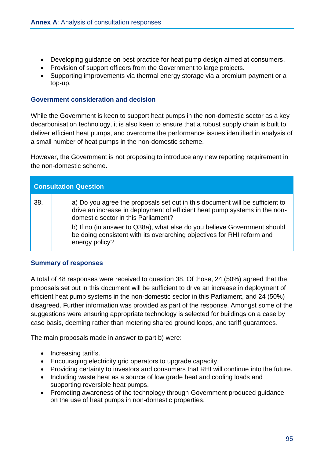- Developing guidance on best practice for heat pump design aimed at consumers.
- Provision of support officers from the Government to large projects.
- Supporting improvements via thermal energy storage via a premium payment or a top-up.

#### **Government consideration and decision**

While the Government is keen to support heat pumps in the non-domestic sector as a key decarbonisation technology, it is also keen to ensure that a robust supply chain is built to deliver efficient heat pumps, and overcome the performance issues identified in analysis of a small number of heat pumps in the non-domestic scheme.

However, the Government is not proposing to introduce any new reporting requirement in the non-domestic scheme.

| <b>Consultation Question</b> |                                                                                                                                                                                                   |  |
|------------------------------|---------------------------------------------------------------------------------------------------------------------------------------------------------------------------------------------------|--|
| 38.                          | a) Do you agree the proposals set out in this document will be sufficient to<br>drive an increase in deployment of efficient heat pump systems in the non-<br>domestic sector in this Parliament? |  |
|                              | b) If no (in answer to Q38a), what else do you believe Government should<br>be doing consistent with its overarching objectives for RHI reform and<br>energy policy?                              |  |

# **Summary of responses**

A total of 48 responses were received to question 38. Of those, 24 (50%) agreed that the proposals set out in this document will be sufficient to drive an increase in deployment of efficient heat pump systems in the non-domestic sector in this Parliament, and 24 (50%) disagreed. Further information was provided as part of the response. Amongst some of the suggestions were ensuring appropriate technology is selected for buildings on a case by case basis, deeming rather than metering shared ground loops, and tariff guarantees.

The main proposals made in answer to part b) were:

- Increasing tariffs.
- Encouraging electricity grid operators to upgrade capacity.
- Providing certainty to investors and consumers that RHI will continue into the future.
- Including waste heat as a source of low grade heat and cooling loads and supporting reversible heat pumps.
- Promoting awareness of the technology through Government produced guidance on the use of heat pumps in non-domestic properties.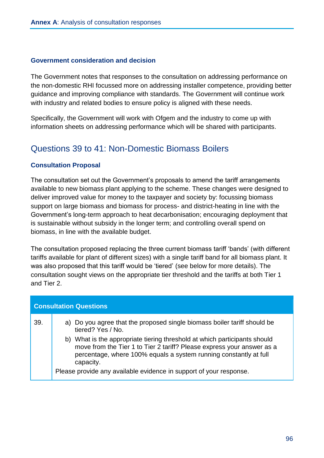#### **Government consideration and decision**

The Government notes that responses to the consultation on addressing performance on the non-domestic RHI focussed more on addressing installer competence, providing better guidance and improving compliance with standards. The Government will continue work with industry and related bodies to ensure policy is aligned with these needs.

Specifically, the Government will work with Ofgem and the industry to come up with information sheets on addressing performance which will be shared with participants.

# Questions 39 to 41: Non-Domestic Biomass Boilers

#### **Consultation Proposal**

The consultation set out the Government's proposals to amend the tariff arrangements available to new biomass plant applying to the scheme. These changes were designed to deliver improved value for money to the taxpayer and society by: focussing biomass support on large biomass and biomass for process- and district-heating in line with the Government's long-term approach to heat decarbonisation; encouraging deployment that is sustainable without subsidy in the longer term; and controlling overall spend on biomass, in line with the available budget.

The consultation proposed replacing the three current biomass tariff 'bands' (with different tariffs available for plant of different sizes) with a single tariff band for all biomass plant. It was also proposed that this tariff would be 'tiered' (see below for more details). The consultation sought views on the appropriate tier threshold and the tariffs at both Tier 1 and Tier 2.

| <b>Consultation Questions</b> |                                                                                                                                                                                                                                                                                                                                                                                                                 |  |
|-------------------------------|-----------------------------------------------------------------------------------------------------------------------------------------------------------------------------------------------------------------------------------------------------------------------------------------------------------------------------------------------------------------------------------------------------------------|--|
| 39.                           | a) Do you agree that the proposed single biomass boiler tariff should be<br>tiered? Yes / No.<br>What is the appropriate tiering threshold at which participants should<br>b)<br>move from the Tier 1 to Tier 2 tariff? Please express your answer as a<br>percentage, where 100% equals a system running constantly at full<br>capacity.<br>Please provide any available evidence in support of your response. |  |
|                               |                                                                                                                                                                                                                                                                                                                                                                                                                 |  |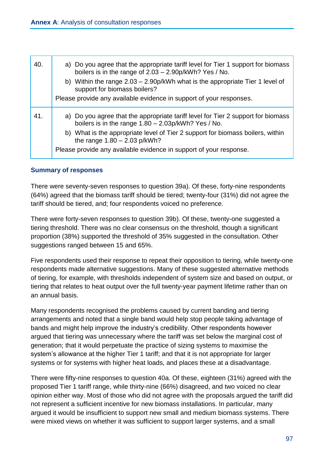| 40. | a) Do you agree that the appropriate tariff level for Tier 1 support for biomass<br>boilers is in the range of 2.03 - 2.90p/kWh? Yes / No.<br>b) Within the range $2.03 - 2.90p/kWh$ what is the appropriate Tier 1 level of<br>support for biomass boilers?<br>Please provide any available evidence in support of your responses. |
|-----|-------------------------------------------------------------------------------------------------------------------------------------------------------------------------------------------------------------------------------------------------------------------------------------------------------------------------------------|
| 41. | a) Do you agree that the appropriate tariff level for Tier 2 support for biomass<br>boilers is in the range 1.80 - 2.03p/kWh? Yes / No.<br>b) What is the appropriate level of Tier 2 support for biomass boilers, within<br>the range $1.80 - 2.03$ p/kWh?<br>Please provide any available evidence in support of your response.   |

There were seventy-seven responses to question 39a). Of these, forty-nine respondents (64%) agreed that the biomass tariff should be tiered; twenty-four (31%) did not agree the tariff should be tiered, and; four respondents voiced no preference.

There were forty-seven responses to question 39b). Of these, twenty-one suggested a tiering threshold. There was no clear consensus on the threshold, though a significant proportion (38%) supported the threshold of 35% suggested in the consultation. Other suggestions ranged between 15 and 65%.

Five respondents used their response to repeat their opposition to tiering, while twenty-one respondents made alternative suggestions. Many of these suggested alternative methods of tiering, for example, with thresholds independent of system size and based on output, or tiering that relates to heat output over the full twenty-year payment lifetime rather than on an annual basis.

Many respondents recognised the problems caused by current banding and tiering arrangements and noted that a single band would help stop people taking advantage of bands and might help improve the industry's credibility. Other respondents however argued that tiering was unnecessary where the tariff was set below the marginal cost of generation; that it would perpetuate the practice of sizing systems to maximise the system's allowance at the higher Tier 1 tariff; and that it is not appropriate for larger systems or for systems with higher heat loads, and places these at a disadvantage.

There were fifty-nine responses to question 40a. Of these, eighteen (31%) agreed with the proposed Tier 1 tariff range, while thirty-nine (66%) disagreed, and two voiced no clear opinion either way. Most of those who did not agree with the proposals argued the tariff did not represent a sufficient incentive for new biomass installations. In particular, many argued it would be insufficient to support new small and medium biomass systems. There were mixed views on whether it was sufficient to support larger systems, and a small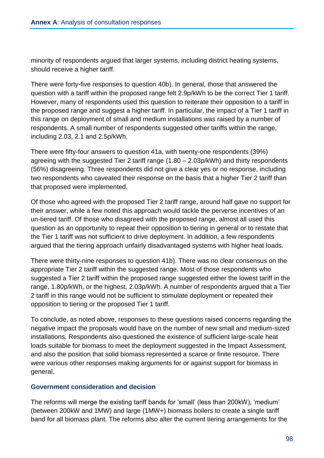minority of respondents argued that larger systems, including district heating systems, should receive a higher tariff.

There were forty-five responses to question 40b). In general, those that answered the question with a tariff within the proposed range felt 2.9p/kWh to be the correct Tier 1 tariff. However, many of respondents used this question to reiterate their opposition to a tariff in the proposed range and suggest a higher tariff. In particular, the impact of a Tier 1 tariff in this range on deployment of small and medium installations was raised by a number of respondents. A small number of respondents suggested other tariffs within the range, including 2.03, 2.1 and 2.5p/kWh.

There were fifty-four answers to question 41a, with twenty-one respondents (39%) agreeing with the suggested Tier 2 tariff range (1.80 – 2.03p/kWh) and thirty respondents (56%) disagreeing. Three respondents did not give a clear yes or no response, including two respondents who caveated their response on the basis that a higher Tier 2 tariff than that proposed were implemented.

Of those who agreed with the proposed Tier 2 tariff range, around half gave no support for their answer, while a few noted this approach would tackle the perverse incentives of an un-tiered tariff. Of those who disagreed with the proposed range, almost all used this question as an opportunity to repeat their opposition to tiering in general or to restate that the Tier 1 tariff was not sufficient to drive deployment. In addition, a few respondents argued that the tiering approach unfairly disadvantaged systems with higher heat loads.

There were thirty-nine responses to question 41b). There was no clear consensus on the appropriate Tier 2 tariff within the suggested range. Most of those respondents who suggested a Tier 2 tariff within the proposed range suggested either the lowest tariff in the range, 1.80p/kWh, or the highest, 2.03p/kWh. A number of respondents argued that a Tier 2 tariff in this range would not be sufficient to stimulate deployment or repeated their opposition to tiering or the proposed Tier 1 tariff.

To conclude, as noted above, responses to these questions raised concerns regarding the negative impact the proposals would have on the number of new small and medium-sized installations. Respondents also questioned the existence of sufficient large-scale heat loads suitable for biomass to meet the deployment suggested in the Impact Assessment, and also the position that solid biomass represented a scarce or finite resource. There were various other responses making arguments for or against support for biomass in general.

# **Government consideration and decision**

The reforms will merge the existing tariff bands for 'small' (less than 200kW), 'medium' (between 200kW and 1MW) and large (1MW+) biomass boilers to create a single tariff band for all biomass plant. The reforms also alter the current tiering arrangements for the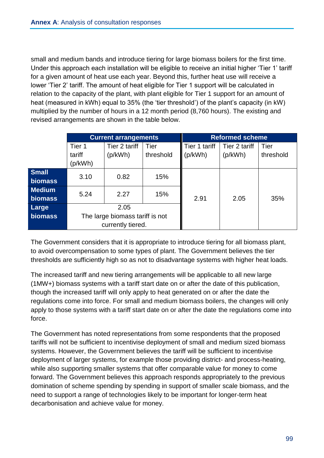small and medium bands and introduce tiering for large biomass boilers for the first time. Under this approach each installation will be eligible to receive an initial higher 'Tier 1' tariff for a given amount of heat use each year. Beyond this, further heat use will receive a lower 'Tier 2' tariff. The amount of heat eligible for Tier 1 support will be calculated in relation to the capacity of the plant, with plant eligible for Tier 1 support for an amount of heat (measured in kWh) equal to 35% (the 'tier threshold') of the plant's capacity (in kW) multiplied by the number of hours in a 12 month period (8,760 hours). The existing and revised arrangements are shown in the table below.

|                | <b>Current arrangements</b>     |                          |                   | <b>Reformed scheme</b>   |                          |                   |
|----------------|---------------------------------|--------------------------|-------------------|--------------------------|--------------------------|-------------------|
|                | Tier 1<br>tariff                | Tier 2 tariff<br>(p/kWh) | Tier<br>threshold | Tier 1 tariff<br>(p/kWh) | Tier 2 tariff<br>(p/kWh) | Tier<br>threshold |
|                | (p/kWh)                         |                          |                   |                          |                          |                   |
| <b>Small</b>   | 3.10                            | 0.82                     | 15%               |                          |                          |                   |
| <b>biomass</b> |                                 |                          |                   |                          |                          |                   |
| <b>Medium</b>  | 5.24                            | 2.27                     | 15%               |                          |                          |                   |
| <b>biomass</b> |                                 |                          |                   | 2.91                     | 2.05                     | 35%               |
| Large          | 2.05                            |                          |                   |                          |                          |                   |
| <b>biomass</b> | The large biomass tariff is not |                          |                   |                          |                          |                   |
|                | currently tiered.               |                          |                   |                          |                          |                   |

The Government considers that it is appropriate to introduce tiering for all biomass plant, to avoid overcompensation to some types of plant. The Government believes the tier thresholds are sufficiently high so as not to disadvantage systems with higher heat loads.

The increased tariff and new tiering arrangements will be applicable to all new large (1MW+) biomass systems with a tariff start date on or after the date of this publication, though the increased tariff will only apply to heat generated on or after the date the regulations come into force. For small and medium biomass boilers, the changes will only apply to those systems with a tariff start date on or after the date the regulations come into force.

The Government has noted representations from some respondents that the proposed tariffs will not be sufficient to incentivise deployment of small and medium sized biomass systems. However, the Government believes the tariff will be sufficient to incentivise deployment of larger systems, for example those providing district- and process-heating, while also supporting smaller systems that offer comparable value for money to come forward. The Government believes this approach responds appropriately to the previous domination of scheme spending by spending in support of smaller scale biomass, and the need to support a range of technologies likely to be important for longer-term heat decarbonisation and achieve value for money.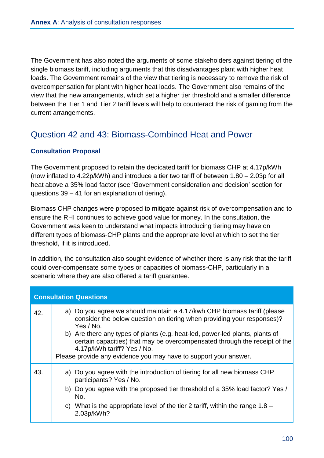The Government has also noted the arguments of some stakeholders against tiering of the single biomass tariff, including arguments that this disadvantages plant with higher heat loads. The Government remains of the view that tiering is necessary to remove the risk of overcompensation for plant with higher heat loads. The Government also remains of the view that the new arrangements, which set a higher tier threshold and a smaller difference between the Tier 1 and Tier 2 tariff levels will help to counteract the risk of gaming from the current arrangements.

# Question 42 and 43: Biomass-Combined Heat and Power

# **Consultation Proposal**

The Government proposed to retain the dedicated tariff for biomass CHP at 4.17p/kWh (now inflated to 4.22p/kWh) and introduce a tier two tariff of between 1.80 – 2.03p for all heat above a 35% load factor (see 'Government consideration and decision' section for questions 39 – 41 for an explanation of tiering).

Biomass CHP changes were proposed to mitigate against risk of overcompensation and to ensure the RHI continues to achieve good value for money. In the consultation, the Government was keen to understand what impacts introducing tiering may have on different types of biomass-CHP plants and the appropriate level at which to set the tier threshold, if it is introduced.

In addition, the consultation also sought evidence of whether there is any risk that the tariff could over-compensate some types or capacities of biomass-CHP, particularly in a scenario where they are also offered a tariff guarantee.

| <b>Consultation Questions</b> |                                                                                                                                                                                                                                                                                                                                                                                                                                  |  |
|-------------------------------|----------------------------------------------------------------------------------------------------------------------------------------------------------------------------------------------------------------------------------------------------------------------------------------------------------------------------------------------------------------------------------------------------------------------------------|--|
| 42.                           | a) Do you agree we should maintain a 4.17/kwh CHP biomass tariff (please<br>consider the below question on tiering when providing your responses)?<br>Yes / No.<br>b) Are there any types of plants (e.g. heat-led, power-led plants, plants of<br>certain capacities) that may be overcompensated through the receipt of the<br>4.17p/kWh tariff? Yes / No.<br>Please provide any evidence you may have to support your answer. |  |
| 43.                           | a) Do you agree with the introduction of tiering for all new biomass CHP<br>participants? Yes / No.<br>b) Do you agree with the proposed tier threshold of a 35% load factor? Yes /<br>No.<br>c) What is the appropriate level of the tier 2 tariff, within the range $1.8 -$<br>2.03p/kWh?                                                                                                                                      |  |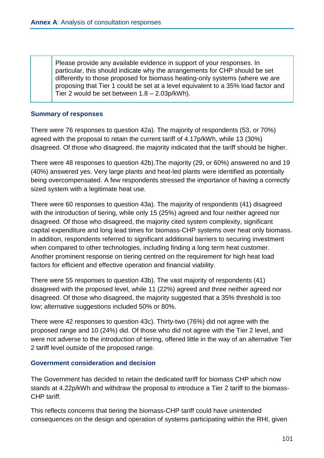Please provide any available evidence in support of your responses. In particular, this should indicate why the arrangements for CHP should be set differently to those proposed for biomass heating-only systems (where we are proposing that Tier 1 could be set at a level equivalent to a 35% load factor and Tier 2 would be set between 1.8 – 2.03p/kWh).

### **Summary of responses**

There were 76 responses to question 42a). The majority of respondents (53, or 70%) agreed with the proposal to retain the current tariff of 4.17p/kWh, while 13 (30%) disagreed. Of those who disagreed, the majority indicated that the tariff should be higher.

There were 48 responses to question 42b).The majority (29, or 60%) answered no and 19 (40%) answered yes. Very large plants and heat-led plants were identified as potentially being overcompensated. A few respondents stressed the importance of having a correctly sized system with a legitimate heat use.

There were 60 responses to question 43a). The majority of respondents (41) disagreed with the introduction of tiering, while only 15 (25%) agreed and four neither agreed nor disagreed. Of those who disagreed, the majority cited system complexity, significant capital expenditure and long lead times for biomass-CHP systems over heat only biomass. In addition, respondents referred to significant additional barriers to securing investment when compared to other technologies, including finding a long term heat customer. Another prominent response on tiering centred on the requirement for high heat load factors for efficient and effective operation and financial viability.

There were 55 responses to question 43b). The vast majority of respondents (41) disagreed with the proposed level, while 11 (22%) agreed and three neither agreed nor disagreed. Of those who disagreed, the majority suggested that a 35% threshold is too low; alternative suggestions included 50% or 80%.

There were 42 responses to question 43c). Thirty-two (76%) did not agree with the proposed range and 10 (24%) did. Of those who did not agree with the Tier 2 level, and were not adverse to the introduction of tiering, offered little in the way of an alternative Tier 2 tariff level outside of the proposed range.

#### **Government consideration and decision**

The Government has decided to retain the dedicated tariff for biomass CHP which now stands at 4.22p/kWh and withdraw the proposal to introduce a Tier 2 tariff to the biomass-CHP tariff.

This reflects concerns that tiering the biomass-CHP tariff could have unintended consequences on the design and operation of systems participating within the RHI, given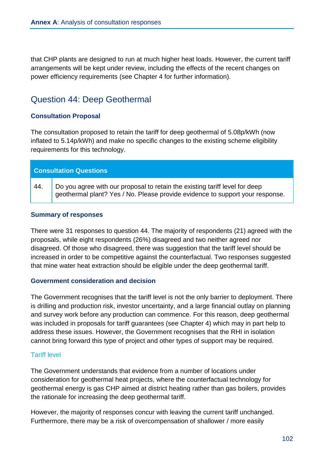that CHP plants are designed to run at much higher heat loads. However, the current tariff arrangements will be kept under review, including the effects of the recent changes on power efficiency requirements (see Chapter 4 for further information).

# Question 44: Deep Geothermal

# **Consultation Proposal**

The consultation proposed to retain the tariff for deep geothermal of 5.08p/kWh (now inflated to 5.14p/kWh) and make no specific changes to the existing scheme eligibility requirements for this technology.

| <b>Consultation Questions</b> |                                                                                                                                                              |  |
|-------------------------------|--------------------------------------------------------------------------------------------------------------------------------------------------------------|--|
| 44.                           | Do you agree with our proposal to retain the existing tariff level for deep<br>geothermal plant? Yes / No. Please provide evidence to support your response. |  |
| <b>Summary of responses</b>   |                                                                                                                                                              |  |

There were 31 responses to question 44. The majority of respondents (21) agreed with the proposals, while eight respondents (26%) disagreed and two neither agreed nor disagreed. Of those who disagreed, there was suggestion that the tariff level should be increased in order to be competitive against the counterfactual. Two responses suggested that mine water heat extraction should be eligible under the deep geothermal tariff.

#### **Government consideration and decision**

The Government recognises that the tariff level is not the only barrier to deployment. There is drilling and production risk, investor uncertainty, and a large financial outlay on planning and survey work before any production can commence. For this reason, deep geothermal was included in proposals for tariff guarantees (see Chapter 4) which may in part help to address these issues. However, the Government recognises that the RHI in isolation cannot bring forward this type of project and other types of support may be required.

# Tariff level

The Government understands that evidence from a number of locations under consideration for geothermal heat projects, where the counterfactual technology for geothermal energy is gas CHP aimed at district heating rather than gas boilers, provides the rationale for increasing the deep geothermal tariff.

However, the majority of responses concur with leaving the current tariff unchanged. Furthermore, there may be a risk of overcompensation of shallower / more easily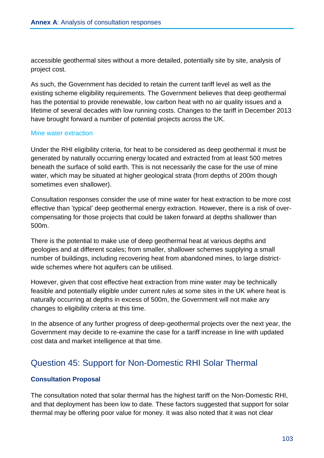accessible geothermal sites without a more detailed, potentially site by site, analysis of project cost.

As such, the Government has decided to retain the current tariff level as well as the existing scheme eligibility requirements. The Government believes that deep geothermal has the potential to provide renewable, low carbon heat with no air quality issues and a lifetime of several decades with low running costs. Changes to the tariff in December 2013 have brought forward a number of potential projects across the UK.

### Mine water extraction

Under the RHI eligibility criteria, for heat to be considered as deep geothermal it must be generated by naturally occurring energy located and extracted from at least 500 metres beneath the surface of solid earth. This is not necessarily the case for the use of mine water, which may be situated at higher geological strata (from depths of 200m though sometimes even shallower).

Consultation responses consider the use of mine water for heat extraction to be more cost effective than 'typical' deep geothermal energy extraction. However, there is a risk of overcompensating for those projects that could be taken forward at depths shallower than 500m.

There is the potential to make use of deep geothermal heat at various depths and geologies and at different scales; from smaller, shallower schemes supplying a small number of buildings, including recovering heat from abandoned mines, to large districtwide schemes where hot aquifers can be utilised.

However, given that cost effective heat extraction from mine water may be technically feasible and potentially eligible under current rules at some sites in the UK where heat is naturally occurring at depths in excess of 500m, the Government will not make any changes to eligibility criteria at this time.

In the absence of any further progress of deep-geothermal projects over the next year, the Government may decide to re-examine the case for a tariff increase in line with updated cost data and market intelligence at that time.

# Question 45: Support for Non-Domestic RHI Solar Thermal

# **Consultation Proposal**

The consultation noted that solar thermal has the highest tariff on the Non-Domestic RHI, and that deployment has been low to date. These factors suggested that support for solar thermal may be offering poor value for money. It was also noted that it was not clear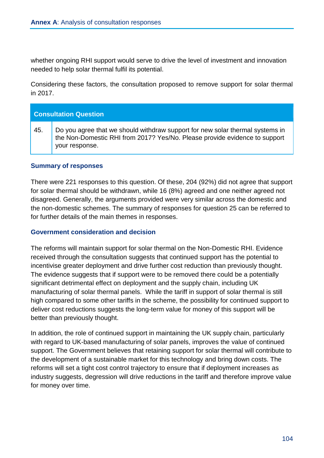whether ongoing RHI support would serve to drive the level of investment and innovation needed to help solar thermal fulfil its potential.

Considering these factors, the consultation proposed to remove support for solar thermal in 2017.

| <b>Consultation Question</b> |                                                                                                                                                                               |  |
|------------------------------|-------------------------------------------------------------------------------------------------------------------------------------------------------------------------------|--|
| 45.                          | Do you agree that we should withdraw support for new solar thermal systems in<br>the Non-Domestic RHI from 2017? Yes/No. Please provide evidence to support<br>your response. |  |

#### **Summary of responses**

There were 221 responses to this question. Of these, 204 (92%) did not agree that support for solar thermal should be withdrawn, while 16 (8%) agreed and one neither agreed not disagreed. Generally, the arguments provided were very similar across the domestic and the non-domestic schemes. The summary of responses for question 25 can be referred to for further details of the main themes in responses.

#### **Government consideration and decision**

The reforms will maintain support for solar thermal on the Non-Domestic RHI. Evidence received through the consultation suggests that continued support has the potential to incentivise greater deployment and drive further cost reduction than previously thought. The evidence suggests that if support were to be removed there could be a potentially significant detrimental effect on deployment and the supply chain, including UK manufacturing of solar thermal panels. While the tariff in support of solar thermal is still high compared to some other tariffs in the scheme, the possibility for continued support to deliver cost reductions suggests the long-term value for money of this support will be better than previously thought.

In addition, the role of continued support in maintaining the UK supply chain, particularly with regard to UK-based manufacturing of solar panels, improves the value of continued support. The Government believes that retaining support for solar thermal will contribute to the development of a sustainable market for this technology and bring down costs. The reforms will set a tight cost control trajectory to ensure that if deployment increases as industry suggests, degression will drive reductions in the tariff and therefore improve value for money over time.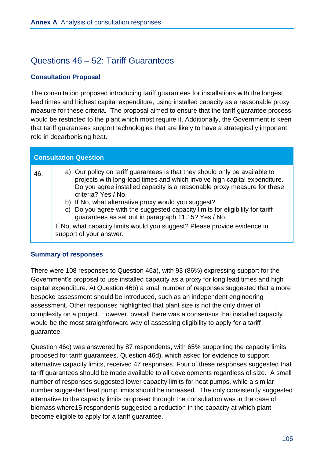# Questions 46 – 52: Tariff Guarantees

### **Consultation Proposal**

The consultation proposed introducing tariff guarantees for installations with the longest lead times and highest capital expenditure, using installed capacity as a reasonable proxy measure for these criteria. The proposal aimed to ensure that the tariff guarantee process would be restricted to the plant which most require it. Additionally, the Government is keen that tariff guarantees support technologies that are likely to have a strategically important role in decarbonising heat.

| <b>Consultation Question</b> |                                                                                                                                                                                                                                                                                                                                                                                                                                                                                                                                                                   |  |  |  |
|------------------------------|-------------------------------------------------------------------------------------------------------------------------------------------------------------------------------------------------------------------------------------------------------------------------------------------------------------------------------------------------------------------------------------------------------------------------------------------------------------------------------------------------------------------------------------------------------------------|--|--|--|
| 46.                          | a) Our policy on tariff guarantees is that they should only be available to<br>projects with long-lead times and which involve high capital expenditure.<br>Do you agree installed capacity is a reasonable proxy measure for these<br>criteria? Yes / No.<br>b) If No, what alternative proxy would you suggest?<br>c) Do you agree with the suggested capacity limits for eligibility for tariff<br>guarantees as set out in paragraph 11.15? Yes / No.<br>If No, what capacity limits would you suggest? Please provide evidence in<br>support of your answer. |  |  |  |

#### **Summary of responses**

There were 108 responses to Question 46a), with 93 (86%) expressing support for the Government's proposal to use installed capacity as a proxy for long lead times and high capital expenditure. At Question 46b) a small number of responses suggested that a more bespoke assessment should be introduced, such as an independent engineering assessment. Other responses highlighted that plant size is not the only driver of complexity on a project. However, overall there was a consensus that installed capacity would be the most straightforward way of assessing eligibility to apply for a tariff guarantee.

Question 46c) was answered by 87 respondents, with 65% supporting the capacity limits proposed for tariff guarantees. Question 46d), which asked for evidence to support alternative capacity limits, received 47 responses. Four of these responses suggested that tariff guarantees should be made available to all developments regardless of size. A small number of responses suggested lower capacity limits for heat pumps, while a similar number suggested heat pump limits should be increased. The only consistently suggested alternative to the capacity limits proposed through the consultation was in the case of biomass where15 respondents suggested a reduction in the capacity at which plant become eligible to apply for a tariff guarantee.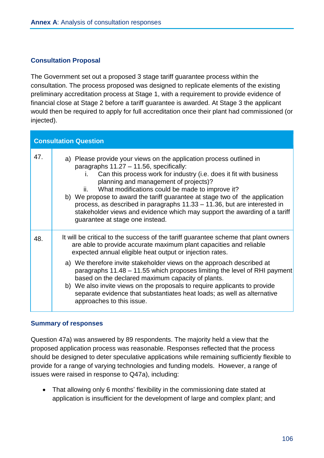### **Consultation Proposal**

The Government set out a proposed 3 stage tariff guarantee process within the consultation. The process proposed was designed to replicate elements of the existing preliminary accreditation process at Stage 1, with a requirement to provide evidence of financial close at Stage 2 before a tariff guarantee is awarded. At Stage 3 the applicant would then be required to apply for full accreditation once their plant had commissioned (or injected).

|     | <b>Consultation Question</b>                                                                                                                                                                                                                                                                                                                                                                                                                                                                                                                                                                                          |
|-----|-----------------------------------------------------------------------------------------------------------------------------------------------------------------------------------------------------------------------------------------------------------------------------------------------------------------------------------------------------------------------------------------------------------------------------------------------------------------------------------------------------------------------------------------------------------------------------------------------------------------------|
| 47. | a) Please provide your views on the application process outlined in<br>paragraphs 11.27 - 11.56, specifically:<br>Can this process work for industry (i.e. does it fit with business<br>i.<br>planning and management of projects)?<br>What modifications could be made to improve it?<br>ii.<br>b) We propose to award the tariff guarantee at stage two of the application<br>process, as described in paragraphs 11.33 – 11.36, but are interested in<br>stakeholder views and evidence which may support the awarding of a tariff<br>guarantee at stage one instead.                                              |
| 48. | It will be critical to the success of the tariff guarantee scheme that plant owners<br>are able to provide accurate maximum plant capacities and reliable<br>expected annual eligible heat output or injection rates.<br>a) We therefore invite stakeholder views on the approach described at<br>paragraphs 11.48 – 11.55 which proposes limiting the level of RHI payment<br>based on the declared maximum capacity of plants.<br>b) We also invite views on the proposals to require applicants to provide<br>separate evidence that substantiates heat loads; as well as alternative<br>approaches to this issue. |

#### **Summary of responses**

Question 47a) was answered by 89 respondents. The majority held a view that the proposed application process was reasonable. Responses reflected that the process should be designed to deter speculative applications while remaining sufficiently flexible to provide for a range of varying technologies and funding models. However, a range of issues were raised in response to Q47a), including:

 That allowing only 6 months' flexibility in the commissioning date stated at application is insufficient for the development of large and complex plant; and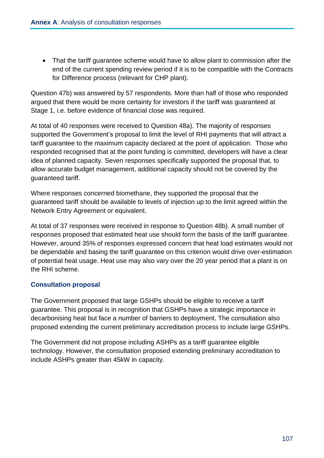• That the tariff guarantee scheme would have to allow plant to commission after the end of the current spending review period if it is to be compatible with the Contracts for Difference process (relevant for CHP plant).

Question 47b) was answered by 57 respondents. More than half of those who responded argued that there would be more certainty for investors if the tariff was guaranteed at Stage 1, i.e. before evidence of financial close was required.

At total of 40 responses were received to Question 48a). The majority of responses supported the Government's proposal to limit the level of RHI payments that will attract a tariff guarantee to the maximum capacity declared at the point of application. Those who responded recognised that at the point funding is committed, developers will have a clear idea of planned capacity. Seven responses specifically supported the proposal that, to allow accurate budget management, additional capacity should not be covered by the guaranteed tariff.

Where responses concerned biomethane, they supported the proposal that the guaranteed tariff should be available to levels of injection up to the limit agreed within the Network Entry Agreement or equivalent.

At total of 37 responses were received in response to Question 48b). A small number of responses proposed that estimated heat use should form the basis of the tariff guarantee. However, around 35% of responses expressed concern that heat load estimates would not be dependable and basing the tariff guarantee on this criterion would drive over-estimation of potential heat usage. Heat use may also vary over the 20 year period that a plant is on the RHI scheme.

# **Consultation proposal**

The Government proposed that large GSHPs should be eligible to receive a tariff guarantee. This proposal is in recognition that GSHPs have a strategic importance in decarbonising heat but face a number of barriers to deployment. The consultation also proposed extending the current preliminary accreditation process to include large GSHPs.

The Government did not propose including ASHPs as a tariff guarantee eligible technology. However, the consultation proposed extending preliminary accreditation to include ASHPs greater than 45kW in capacity.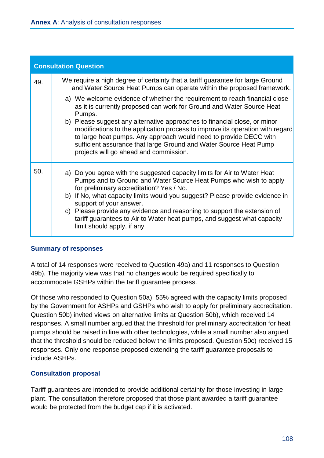| <b>Consultation Question</b> |                                                                                                                                                                                                                                                                                                                                                                                                                                                                                                                 |  |
|------------------------------|-----------------------------------------------------------------------------------------------------------------------------------------------------------------------------------------------------------------------------------------------------------------------------------------------------------------------------------------------------------------------------------------------------------------------------------------------------------------------------------------------------------------|--|
| 49.                          | We require a high degree of certainty that a tariff guarantee for large Ground<br>and Water Source Heat Pumps can operate within the proposed framework.                                                                                                                                                                                                                                                                                                                                                        |  |
|                              | a) We welcome evidence of whether the requirement to reach financial close<br>as it is currently proposed can work for Ground and Water Source Heat<br>Pumps.<br>b) Please suggest any alternative approaches to financial close, or minor<br>modifications to the application process to improve its operation with regard<br>to large heat pumps. Any approach would need to provide DECC with<br>sufficient assurance that large Ground and Water Source Heat Pump<br>projects will go ahead and commission. |  |
| 50.                          | a) Do you agree with the suggested capacity limits for Air to Water Heat<br>Pumps and to Ground and Water Source Heat Pumps who wish to apply<br>for preliminary accreditation? Yes / No.<br>b) If No, what capacity limits would you suggest? Please provide evidence in<br>support of your answer.<br>c) Please provide any evidence and reasoning to support the extension of<br>tariff guarantees to Air to Water heat pumps, and suggest what capacity<br>limit should apply, if any.                      |  |

## **Summary of responses**

A total of 14 responses were received to Question 49a) and 11 responses to Question 49b). The majority view was that no changes would be required specifically to accommodate GSHPs within the tariff guarantee process.

Of those who responded to Question 50a), 55% agreed with the capacity limits proposed by the Government for ASHPs and GSHPs who wish to apply for preliminary accreditation. Question 50b) invited views on alternative limits at Question 50b), which received 14 responses. A small number argued that the threshold for preliminary accreditation for heat pumps should be raised in line with other technologies, while a small number also argued that the threshold should be reduced below the limits proposed. Question 50c) received 15 responses. Only one response proposed extending the tariff guarantee proposals to include ASHPs.

# **Consultation proposal**

Tariff guarantees are intended to provide additional certainty for those investing in large plant. The consultation therefore proposed that those plant awarded a tariff guarantee would be protected from the budget cap if it is activated.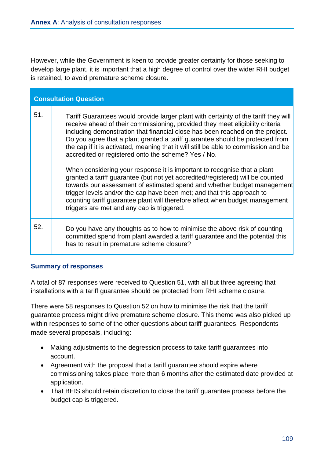However, while the Government is keen to provide greater certainty for those seeking to develop large plant, it is important that a high degree of control over the wider RHI budget is retained, to avoid premature scheme closure.

| <b>Consultation Question</b> |                                                                                                                                                                                                                                                                                                                                                                                                                                                                                                                                                                                                                                                                                                                                                                                                                                                                                                                                       |  |
|------------------------------|---------------------------------------------------------------------------------------------------------------------------------------------------------------------------------------------------------------------------------------------------------------------------------------------------------------------------------------------------------------------------------------------------------------------------------------------------------------------------------------------------------------------------------------------------------------------------------------------------------------------------------------------------------------------------------------------------------------------------------------------------------------------------------------------------------------------------------------------------------------------------------------------------------------------------------------|--|
| 51.                          | Tariff Guarantees would provide larger plant with certainty of the tariff they will<br>receive ahead of their commissioning, provided they meet eligibility criteria<br>including demonstration that financial close has been reached on the project.<br>Do you agree that a plant granted a tariff guarantee should be protected from<br>the cap if it is activated, meaning that it will still be able to commission and be<br>accredited or registered onto the scheme? Yes / No.<br>When considering your response it is important to recognise that a plant<br>granted a tariff guarantee (but not yet accredited/registered) will be counted<br>towards our assessment of estimated spend and whether budget management<br>trigger levels and/or the cap have been met; and that this approach to<br>counting tariff guarantee plant will therefore affect when budget management<br>triggers are met and any cap is triggered. |  |
| 52.                          | Do you have any thoughts as to how to minimise the above risk of counting<br>committed spend from plant awarded a tariff guarantee and the potential this<br>has to result in premature scheme closure?                                                                                                                                                                                                                                                                                                                                                                                                                                                                                                                                                                                                                                                                                                                               |  |

## **Summary of responses**

A total of 87 responses were received to Question 51, with all but three agreeing that installations with a tariff guarantee should be protected from RHI scheme closure.

There were 58 responses to Question 52 on how to minimise the risk that the tariff guarantee process might drive premature scheme closure. This theme was also picked up within responses to some of the other questions about tariff guarantees. Respondents made several proposals, including:

- Making adjustments to the degression process to take tariff guarantees into account.
- Agreement with the proposal that a tariff guarantee should expire where commissioning takes place more than 6 months after the estimated date provided at application.
- That BEIS should retain discretion to close the tariff guarantee process before the budget cap is triggered.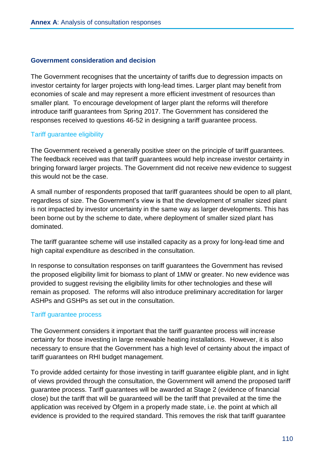## **Government consideration and decision**

The Government recognises that the uncertainty of tariffs due to degression impacts on investor certainty for larger projects with long-lead times. Larger plant may benefit from economies of scale and may represent a more efficient investment of resources than smaller plant. To encourage development of larger plant the reforms will therefore introduce tariff guarantees from Spring 2017. The Government has considered the responses received to questions 46-52 in designing a tariff guarantee process.

## Tariff guarantee eligibility

The Government received a generally positive steer on the principle of tariff guarantees. The feedback received was that tariff guarantees would help increase investor certainty in bringing forward larger projects. The Government did not receive new evidence to suggest this would not be the case.

A small number of respondents proposed that tariff guarantees should be open to all plant, regardless of size. The Government's view is that the development of smaller sized plant is not impacted by investor uncertainty in the same way as larger developments. This has been borne out by the scheme to date, where deployment of smaller sized plant has dominated.

The tariff guarantee scheme will use installed capacity as a proxy for long-lead time and high capital expenditure as described in the consultation.

In response to consultation responses on tariff guarantees the Government has revised the proposed eligibility limit for biomass to plant of 1MW or greater. No new evidence was provided to suggest revising the eligibility limits for other technologies and these will remain as proposed. The reforms will also introduce preliminary accreditation for larger ASHPs and GSHPs as set out in the consultation.

## Tariff guarantee process

The Government considers it important that the tariff guarantee process will increase certainty for those investing in large renewable heating installations. However, it is also necessary to ensure that the Government has a high level of certainty about the impact of tariff guarantees on RHI budget management.

To provide added certainty for those investing in tariff guarantee eligible plant, and in light of views provided through the consultation, the Government will amend the proposed tariff guarantee process. Tariff guarantees will be awarded at Stage 2 (evidence of financial close) but the tariff that will be guaranteed will be the tariff that prevailed at the time the application was received by Ofgem in a properly made state, i.e. the point at which all evidence is provided to the required standard. This removes the risk that tariff guarantee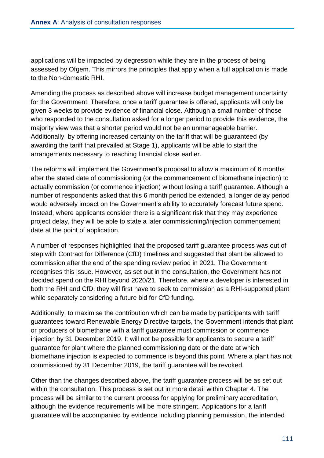applications will be impacted by degression while they are in the process of being assessed by Ofgem. This mirrors the principles that apply when a full application is made to the Non-domestic RHI.

Amending the process as described above will increase budget management uncertainty for the Government. Therefore, once a tariff guarantee is offered, applicants will only be given 3 weeks to provide evidence of financial close. Although a small number of those who responded to the consultation asked for a longer period to provide this evidence, the majority view was that a shorter period would not be an unmanageable barrier. Additionally, by offering increased certainty on the tariff that will be guaranteed (by awarding the tariff that prevailed at Stage 1), applicants will be able to start the arrangements necessary to reaching financial close earlier.

The reforms will implement the Government's proposal to allow a maximum of 6 months after the stated date of commissioning (or the commencement of biomethane injection) to actually commission (or commence injection) without losing a tariff guarantee. Although a number of respondents asked that this 6 month period be extended, a longer delay period would adversely impact on the Government's ability to accurately forecast future spend. Instead, where applicants consider there is a significant risk that they may experience project delay, they will be able to state a later commissioning/injection commencement date at the point of application.

A number of responses highlighted that the proposed tariff guarantee process was out of step with Contract for Difference (CfD) timelines and suggested that plant be allowed to commission after the end of the spending review period in 2021. The Government recognises this issue. However, as set out in the consultation, the Government has not decided spend on the RHI beyond 2020/21. Therefore, where a developer is interested in both the RHI and CfD, they will first have to seek to commission as a RHI-supported plant while separately considering a future bid for CfD funding.

Additionally, to maximise the contribution which can be made by participants with tariff guarantees toward Renewable Energy Directive targets, the Government intends that plant or producers of biomethane with a tariff guarantee must commission or commence injection by 31 December 2019. It will not be possible for applicants to secure a tariff guarantee for plant where the planned commissioning date or the date at which biomethane injection is expected to commence is beyond this point. Where a plant has not commissioned by 31 December 2019, the tariff guarantee will be revoked.

Other than the changes described above, the tariff guarantee process will be as set out within the consultation. This process is set out in more detail within Chapter 4. The process will be similar to the current process for applying for preliminary accreditation, although the evidence requirements will be more stringent. Applications for a tariff guarantee will be accompanied by evidence including planning permission, the intended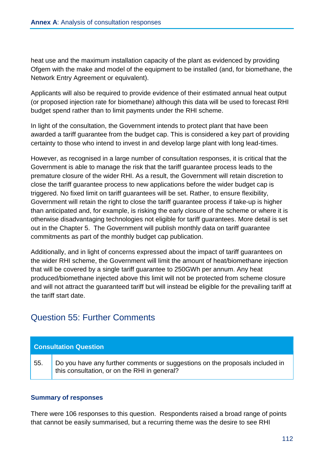heat use and the maximum installation capacity of the plant as evidenced by providing Ofgem with the make and model of the equipment to be installed (and, for biomethane, the Network Entry Agreement or equivalent).

Applicants will also be required to provide evidence of their estimated annual heat output (or proposed injection rate for biomethane) although this data will be used to forecast RHI budget spend rather than to limit payments under the RHI scheme.

In light of the consultation, the Government intends to protect plant that have been awarded a tariff guarantee from the budget cap. This is considered a key part of providing certainty to those who intend to invest in and develop large plant with long lead-times.

However, as recognised in a large number of consultation responses, it is critical that the Government is able to manage the risk that the tariff guarantee process leads to the premature closure of the wider RHI. As a result, the Government will retain discretion to close the tariff guarantee process to new applications before the wider budget cap is triggered. No fixed limit on tariff guarantees will be set. Rather, to ensure flexibility, Government will retain the right to close the tariff guarantee process if take-up is higher than anticipated and, for example, is risking the early closure of the scheme or where it is otherwise disadvantaging technologies not eligible for tariff guarantees. More detail is set out in the Chapter 5. The Government will publish monthly data on tariff guarantee commitments as part of the monthly budget cap publication.

Additionally, and in light of concerns expressed about the impact of tariff guarantees on the wider RHI scheme, the Government will limit the amount of heat/biomethane injection that will be covered by a single tariff guarantee to 250GWh per annum. Any heat produced/biomethane injected above this limit will not be protected from scheme closure and will not attract the guaranteed tariff but will instead be eligible for the prevailing tariff at the tariff start date.

# Question 55: Further Comments

| <b>Consultation Question</b> |                                                                                                                              |  |
|------------------------------|------------------------------------------------------------------------------------------------------------------------------|--|
| 55.                          | Do you have any further comments or suggestions on the proposals included in<br>this consultation, or on the RHI in general? |  |

# **Summary of responses**

There were 106 responses to this question. Respondents raised a broad range of points that cannot be easily summarised, but a recurring theme was the desire to see RHI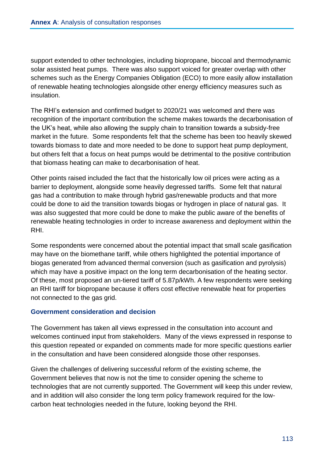support extended to other technologies, including biopropane, biocoal and thermodynamic solar assisted heat pumps. There was also support voiced for greater overlap with other schemes such as the Energy Companies Obligation (ECO) to more easily allow installation of renewable heating technologies alongside other energy efficiency measures such as insulation.

The RHI's extension and confirmed budget to 2020/21 was welcomed and there was recognition of the important contribution the scheme makes towards the decarbonisation of the UK's heat, while also allowing the supply chain to transition towards a subsidy-free market in the future. Some respondents felt that the scheme has been too heavily skewed towards biomass to date and more needed to be done to support heat pump deployment, but others felt that a focus on heat pumps would be detrimental to the positive contribution that biomass heating can make to decarbonisation of heat.

Other points raised included the fact that the historically low oil prices were acting as a barrier to deployment, alongside some heavily degressed tariffs. Some felt that natural gas had a contribution to make through hybrid gas/renewable products and that more could be done to aid the transition towards biogas or hydrogen in place of natural gas. It was also suggested that more could be done to make the public aware of the benefits of renewable heating technologies in order to increase awareness and deployment within the RHI.

Some respondents were concerned about the potential impact that small scale gasification may have on the biomethane tariff, while others highlighted the potential importance of biogas generated from advanced thermal conversion (such as gasification and pyrolysis) which may have a positive impact on the long term decarbonisation of the heating sector. Of these, most proposed an un-tiered tariff of 5.87p/kWh. A few respondents were seeking an RHI tariff for biopropane because it offers cost effective renewable heat for properties not connected to the gas grid.

## **Government consideration and decision**

The Government has taken all views expressed in the consultation into account and welcomes continued input from stakeholders. Many of the views expressed in response to this question repeated or expanded on comments made for more specific questions earlier in the consultation and have been considered alongside those other responses.

Given the challenges of delivering successful reform of the existing scheme, the Government believes that now is not the time to consider opening the scheme to technologies that are not currently supported. The Government will keep this under review, and in addition will also consider the long term policy framework required for the lowcarbon heat technologies needed in the future, looking beyond the RHI.